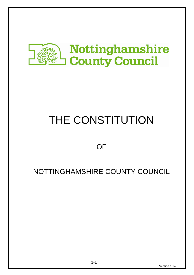

# THE CONSTITUTION

# **OF**

# NOTTINGHAMSHIRE COUNTY COUNCIL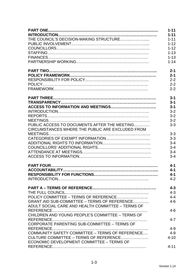|                                                   | $1 - 11$ |
|---------------------------------------------------|----------|
|                                                   | $1 - 11$ |
|                                                   | $1 - 11$ |
|                                                   | $1 - 12$ |
|                                                   | $1 - 12$ |
|                                                   | $1 - 13$ |
|                                                   | $1 - 13$ |
|                                                   | $1 - 14$ |
|                                                   | $2 - 1$  |
|                                                   | $2 - 1$  |
|                                                   | $2 - 2$  |
|                                                   | $2 - 2$  |
|                                                   | $2 - 2$  |
|                                                   | $3 - 1$  |
|                                                   | $3 - 1$  |
|                                                   | $3 - 1$  |
|                                                   | $3 - 2$  |
|                                                   | $3 - 2$  |
|                                                   | $3 - 2$  |
| PUBLIC ACCESS TO DOCUMENTS AFTER THE MEETING      | $3 - 3$  |
| CIRCUMSTANCES WHERE THE PUBLIC ARE EXCLUDED FROM  |          |
|                                                   | $3 - 3$  |
|                                                   | $3 - 3$  |
|                                                   | $3 - 4$  |
|                                                   | $3 - 4$  |
|                                                   | $3 - 4$  |
|                                                   | $3 - 4$  |
|                                                   | $4 - 1$  |
|                                                   | $4 - 1$  |
|                                                   | $4 - 1$  |
|                                                   | $4 - 2$  |
|                                                   | $4 - 3$  |
|                                                   | $4 - 3$  |
|                                                   | $4 - 4$  |
| GRANT AID SUB-COMMITTEE - TERMS OF REFERENCE      | $4 - 6$  |
| ADULT SOCIAL CARE AND HEALTH COMMITTEE - TERMS OF |          |
|                                                   | $4 - 6$  |
| CHILDREN AND YOUNG PEOPLE'S COMMITTEE - TERMS OF  |          |
| CORPORATE PARENTING SUB-COMMITTEE - TERMS OF      | $4 - 7$  |
|                                                   | $4 - 9$  |
| COMMUNITY SAFETY COMMITTEE - TERMS OF REFERENCE   | $4 - 9$  |
| CULTURE COMMITTEE – TERMS OF REFERENCE            | $4 - 10$ |
| ECONOMIC DEVELOPMENT COMMITTEE - TERMS OF         |          |
|                                                   | $4 - 11$ |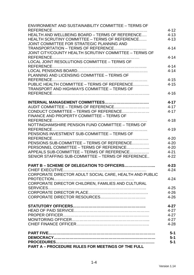| <b>ENVIRONMENT AND SUSTAINABILITY COMMITTEE – TERMS OF</b>                                       |                      |
|--------------------------------------------------------------------------------------------------|----------------------|
|                                                                                                  | $4 - 12$             |
| HEALTH AND WELLBEING BOARD - TERMS OF REFERENCE                                                  | $4 - 13$             |
| HEALTH SCRUTINY COMMITTEE - TERMS OF REFERENCE                                                   | $4 - 13$             |
| JOINT COMMITTEE FOR STRATEGIC PLANNING AND                                                       |                      |
| TRANSPORTATION - TERMS OF REFERENCE                                                              | $4 - 14$             |
| JOINT CITY/COUNTY HEALTH SCRUTINY COMMITTEE - TERMS OF                                           |                      |
|                                                                                                  | $4 - 14$             |
| LOCAL JOINT RESOLUTIONS COMMITTEE - TERMS OF                                                     |                      |
|                                                                                                  | $4 - 14$             |
|                                                                                                  | $4 - 14$             |
| PLANNING AND LICENSING COMMITTEE - TERMS OF                                                      |                      |
|                                                                                                  | $4 - 15$             |
| PUBLIC HEALTH COMMITTEE - TERMS OF REFERENCE                                                     | $4 - 15$             |
| <b>TRANSPORT AND HIGHWAYS COMMITTEE - TERMS OF</b>                                               |                      |
|                                                                                                  | $4 - 16$             |
|                                                                                                  |                      |
|                                                                                                  | $4 - 17$             |
| AUDIT COMMITTEE - TERMS OF REFERENCE                                                             | $4 - 17$             |
| CONDUCT COMMITTEE - TERMS OF REFERENCE                                                           | $4 - 17$             |
| FINANCE AND PROPERTY COMMITTEE - TERMS OF                                                        |                      |
|                                                                                                  | $4 - 18$             |
| NOTTINGHAMSHIRE PENSION FUND COMMITTEE - TERMS OF                                                |                      |
|                                                                                                  | $4 - 19$             |
| PENSIONS INVESTMENT SUB-COMMITTEE - TERMS OF                                                     |                      |
|                                                                                                  | $4 - 20$             |
| PENSIONS SUB-COMMITTEE - TERMS OF REFERENCE                                                      | $4 - 20$             |
| PERSONNEL COMMITTEE - TERMS OF REFERENCE                                                         | $4 - 20$             |
| APPEALS SUB-COMMITTEE - TERMS OF REFERENCE<br>SENIOR STAFFING SUB-COMMITTEE - TERMS OF REFERENCE | $4 - 21$<br>$4 - 22$ |
|                                                                                                  |                      |
| PART B - SCHEME OF DELEGATION TO OFFICERS                                                        | $4 - 23$             |
|                                                                                                  | $4 - 24$             |
| CORPORATE DIRECTOR ADULT SOCIAL CARE, HEALTH AND PUBLIC                                          |                      |
|                                                                                                  | $4 - 24$             |
| CORPORATE DIRECTOR CHILDREN, FAMILIES AND CULTURAL                                               |                      |
|                                                                                                  | $4 - 25$             |
|                                                                                                  | $4 - 26$             |
|                                                                                                  | $4 - 26$             |
|                                                                                                  |                      |
|                                                                                                  | $4 - 27$             |
|                                                                                                  | $4 - 27$             |
|                                                                                                  | $4 - 27$             |
|                                                                                                  | $4 - 27$             |
|                                                                                                  | $4 - 28$             |
|                                                                                                  |                      |
|                                                                                                  | $5-1$                |
|                                                                                                  | $5 - 1$              |
|                                                                                                  | $5-1$                |
| <b>PART A - PROCEDURE RULES FOR MEETINGS OF THE FULL</b>                                         |                      |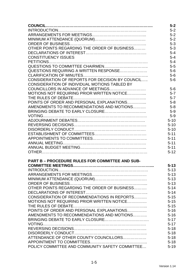|                                                        | $5 - 2$  |
|--------------------------------------------------------|----------|
|                                                        | $5 - 2$  |
|                                                        | $5 - 2$  |
|                                                        | $5 - 2$  |
|                                                        | $5 - 3$  |
| OTHER POINTS REGARDING THE ORDER OF BUSINESS           | $5 - 3$  |
|                                                        | $5 - 4$  |
| <b>CONSTITUENCY ISSUES</b>                             | $5 - 4$  |
|                                                        | $5 - 4$  |
|                                                        | $5-5$    |
| QUESTIONS REQUIRING A WRITTEN RESPONSE                 | $5-6$    |
|                                                        | $5-6$    |
| CONSIDERATION OF REPORTS FOR DECISION BY COUNCIL       | $5-6$    |
| CONSIDERATION OF INDIVIDUAL MOTIONS TABLED BY          |          |
|                                                        | $5-6$    |
| MOTIONS NOT REQUIRING PRIOR WRITTEN NOTICE             | $5 - 7$  |
|                                                        | $5 - 7$  |
| POINTS OF ORDER AND PERSONAL EXPLANATIONS              | $5 - 8$  |
| AMENDMENTS TO RECOMMENDATIONS AND MOTIONS              | $5-8$    |
|                                                        | $5-9$    |
|                                                        | $5-9$    |
|                                                        | $5 - 10$ |
|                                                        | $5 - 10$ |
|                                                        | $5 - 10$ |
|                                                        | $5 - 11$ |
|                                                        | $5 - 11$ |
|                                                        |          |
|                                                        | $5 - 11$ |
|                                                        | $5 - 11$ |
|                                                        | $5 - 12$ |
| <b>PART B - PROCEDURE RULES FOR COMMITTEE AND SUB-</b> |          |
|                                                        | $5 - 13$ |
|                                                        | $5 - 13$ |
|                                                        | $5 - 13$ |
|                                                        | $5 - 13$ |
|                                                        | $5 - 13$ |
| OTHER POINTS REGARDING THE ORDER OF BUSINESS           |          |
|                                                        | $5 - 14$ |
| CONSIDERATION OF RECOMMENDATIONS IN REPORTS            | $5 - 14$ |
|                                                        | $5 - 15$ |
| MOTIONS NOT REQUIRING PRIOR WRITTEN NOTICE             | $5 - 15$ |
|                                                        | $5 - 15$ |
| POINTS OF ORDER AND PERSONAL EXPLANATIONS              | $5 - 16$ |
| AMENDMENTS TO RECOMMENDATIONS AND MOTIONS              | $5 - 16$ |
|                                                        | $5 - 17$ |
|                                                        | $5 - 17$ |
|                                                        | $5 - 18$ |
|                                                        | $5 - 18$ |
| ATTENDANCE OF OTHER COUNTY COUNCILLORS                 | $5 - 18$ |
|                                                        | $5 - 18$ |
| POLICY COMMITTEE AND COMMUNITY SAFETY COMMITTEE        | $5 - 19$ |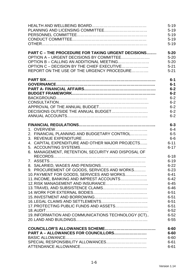|                                                           | $5 - 19$<br>$5 - 19$<br>$5 - 19$<br>$5 - 19$<br>$5 - 19$ |
|-----------------------------------------------------------|----------------------------------------------------------|
| <b>PART C - THE PROCEDURE FOR TAKING URGENT DECISIONS</b> | $5 - 20$                                                 |
| OPTION A - URGENT DECISIONS BY COMMITTEE                  | $5 - 20$                                                 |
| OPTION B - CALLING AN ADDITIONAL MEETING                  | $5 - 20$                                                 |
| OPTION C - DECISION BY THE CHIEF EXECUTIVE                | $5 - 21$                                                 |
| REPORT ON THE USE OF THE URGENCY PROCEDURE                | $5 - 21$                                                 |
|                                                           | $6-1$                                                    |
|                                                           | $6-1$                                                    |
|                                                           | $6-2$                                                    |
|                                                           | $6-2$                                                    |
|                                                           | $6 - 2$                                                  |
|                                                           | $6 - 2$                                                  |
|                                                           | $6 - 2$                                                  |
|                                                           | $6 - 2$                                                  |
|                                                           | $6 - 2$                                                  |
|                                                           | $6 - 3$                                                  |
|                                                           | $6 - 4$                                                  |
| 2. FINANCIAL PLANNING AND BUDGETARY CONTROL               | $6-5$                                                    |
|                                                           | $6-6$                                                    |
| 4. CAPITAL EXPENDITURE AND OTHER MAJOR PROJECTS           | $6 - 11$                                                 |
|                                                           | $6 - 17$                                                 |
| 6. MANAGEMENT, RETENTION, SECURITY AND DISPOSAL OF        |                                                          |
|                                                           | $6 - 18$                                                 |
|                                                           | $6 - 19$                                                 |
|                                                           | $6 - 22$                                                 |
| 9. PROCUREMENT OF GOODS, SERVICES AND WORKS               | $6 - 23$                                                 |
| 10. PAYMENT FOR GOODS, SERVICES AND WORKS                 | $6 - 41$                                                 |
| 11. INCOME, BANKING AND IMPREST ACCOUNTS                  | $6 - 42$                                                 |
|                                                           | $6 - 45$                                                 |
|                                                           | $6 - 46$                                                 |
|                                                           | $6 - 51$                                                 |
|                                                           | $6 - 51$                                                 |
|                                                           | $6 - 51$                                                 |
| 17. PROTECTING PUBLIC FUNDS AND ASSETS                    | $6 - 51$                                                 |
|                                                           | $6 - 52$                                                 |
| 19. INFORMATION AND COMMUNICATIONS TECHNOLOGY (ICT)       | $6 - 52$                                                 |
|                                                           | $6 - 55$                                                 |
|                                                           | $6 - 60$                                                 |
| PART A - ALLOWANCES FOR COUNCILLORS                       | $6 - 60$                                                 |
|                                                           | $6 - 60$                                                 |
|                                                           | $6 - 61$                                                 |
|                                                           | $6 - 61$                                                 |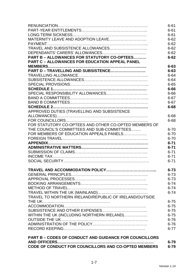|                                                               | $6 - 61$ |
|---------------------------------------------------------------|----------|
|                                                               | $6 - 61$ |
|                                                               | $6 - 61$ |
| MATERNITY LEAVE AND ADOPTION LEAVE                            | $6 - 62$ |
|                                                               | $6 - 62$ |
| TRAVEL AND SUBSISTENCE ALLOWANCES                             | $6 - 62$ |
|                                                               | $6 - 62$ |
| <b>PART B - ALLOWANCES FOR STATUTORY CO-OPTEES</b>            | $6 - 62$ |
| <b>PART C - ALLOWANCES FOR EDUCATION APPEAL PANEL</b>         |          |
|                                                               | $6 - 63$ |
| PART D - TRAVELLING AND SUBSISTENCE                           | $6 - 63$ |
|                                                               | $6 - 64$ |
|                                                               | $6 - 64$ |
|                                                               | $6 - 65$ |
|                                                               | $6 - 66$ |
|                                                               | $6 - 66$ |
|                                                               | $6 - 67$ |
|                                                               | $6 - 67$ |
|                                                               | $6 - 68$ |
| APPROVED DUTIES (TRAVELLING AND SUBSISTENCE                   |          |
|                                                               | $6 - 68$ |
|                                                               | $6 - 68$ |
| FOR STATUTORY CO-OPTEES AND OTHER CO-OPTED MEMBERS OF         |          |
| THE COUNCIL'S COMMITTEES AND SUB-COMMITTEES                   | $6 - 70$ |
| FOR MEMBERS OF EDUCATION APPEALS PANELS                       | $6 - 70$ |
|                                                               | $6 - 70$ |
|                                                               | $6 - 71$ |
|                                                               | $6 - 71$ |
|                                                               | $6 - 71$ |
|                                                               | $6 - 71$ |
|                                                               | $6 - 71$ |
|                                                               | $6 - 73$ |
|                                                               | $6 - 73$ |
|                                                               | $6 - 73$ |
|                                                               | $6 - 74$ |
|                                                               | $6 - 74$ |
|                                                               | $6 - 74$ |
| TRAVEL TO NORTHERN IRELAND/REPUBLIC OF IRELAND/OUTSIDE        |          |
|                                                               | $6 - 75$ |
|                                                               | $6 - 75$ |
|                                                               | $6 - 75$ |
| WITHIN THE UK (INCLUDING NORTHERN IRELAND)                    | $6 - 75$ |
|                                                               | $6 - 76$ |
|                                                               | $6 - 76$ |
|                                                               | $6 - 77$ |
| <b>PART B - CODES OF CONDUCT AND GUIDANCE FOR COUNCILLORS</b> |          |
| <b>AND OFFICERS</b>                                           | $6 - 79$ |
| CODE OF CONDUCT FOR COUNCILLORS AND CO-OPTED MEMBERS          | $6 - 79$ |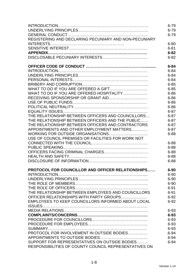|                                                       | $6 - 79$  |
|-------------------------------------------------------|-----------|
|                                                       | $6 - 79$  |
|                                                       | $6 - 79$  |
| REGISTERING AND DECLARING PECUNIARY AND NON-PECUNIARY |           |
|                                                       | $6 - 80$  |
|                                                       | $6 - 81$  |
|                                                       | $6 - 82$  |
|                                                       | $6 - 82$  |
|                                                       |           |
|                                                       | $6 - 84$  |
|                                                       | $6 - 84$  |
|                                                       | $6 - 84$  |
|                                                       | $6 - 84$  |
|                                                       | $6 - 85$  |
|                                                       | $6 - 85$  |
| WHAT TO DO IF YOU ARE OFFERED HOSPITALITY             | $6 - 86$  |
|                                                       | $6 - 86$  |
|                                                       | $6 - 86$  |
|                                                       | $6 - 86$  |
|                                                       | $6 - 87$  |
| THE RELATIONSHIP BETWEEN OFFICERS AND COUNCILLORS     | $6 - 87$  |
| THE RELATIONSHIP BETWEEN OFFICERS AND THE PUBLIC      | $6 - 87$  |
| THE RELATIONSHIP BETWEEN OFFICERS AND CONTRACTORS     | $6 - 87$  |
| APPOINTMENTS AND OTHER EMPLOYMENT MATTERS             | $6 - 87$  |
|                                                       | $6 - 88$  |
| USE OF COUNCIL PREMISES OR FACILITIES FOR WORK NOT    |           |
|                                                       | $6 - 88$  |
|                                                       | $6 - 88$  |
|                                                       | $6 - 88$  |
|                                                       | $6 - 88$  |
|                                                       | $6 - 88$  |
|                                                       |           |
| PROTOCOL FOR COUNCILLOR AND OFFICER RELATIONSHIPS     | $6 - 90$  |
|                                                       | $6 - 90$  |
|                                                       | $6 - 90$  |
|                                                       | $6 - 90$  |
|                                                       | $6 - 91$  |
| THE RELATIONSHIP BETWEEN EMPLOYEES AND COUNCILLORS    | $6 - 91$  |
| OFFICER RELATIONSHIPS WITH PARTY GROUPS               | $6 - 92$  |
| EMPLOYEES TO KEEP COUNCILLORS INFORMED ABOUT LOCAL    | $6 - 92$  |
|                                                       |           |
|                                                       | 6-93      |
|                                                       | $6 - 93$  |
|                                                       | 6-93      |
|                                                       | 6-93      |
|                                                       | 6-93      |
| PROTOCOL FOR INVOLVEMENT IN OUTSIDE BODIES            | $.6 - 94$ |
|                                                       | $6 - 94$  |
| SUPPORT FOR REPRESENTATIVES ON OUTSIDE BODIES         | $6 - 94$  |
| RESPONSIBILITIES OF COUNTY COUNCIL REPRESENTATIVES ON |           |
|                                                       |           |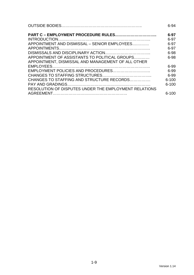|                                                       | $6 - 94$  |
|-------------------------------------------------------|-----------|
| PART C - EMPLOYMENT PROCEDURE RULES                   | $6 - 97$  |
|                                                       | $6 - 97$  |
| APPOINTMENT AND DISMISSAL – SENIOR EMPLOYEES          | 6-97      |
|                                                       | $6 - 97$  |
|                                                       | 6-98      |
| APPOINTMENT OF ASSISTANTS TO POLITICAL GROUPS         | 6-98      |
| APPOINTMENT, DISMISSAL AND MANAGEMENT OF ALL OTHER    |           |
|                                                       | $6 - 99$  |
|                                                       | $6 - 99$  |
|                                                       | 6-99      |
| CHANGES TO STAFFING AND STRUCTURE RECORDS             | $6 - 100$ |
|                                                       | $6 - 100$ |
| RESOLUTION OF DISPUTES UNDER THE EMPLOYMENT RELATIONS |           |
|                                                       | 6-100     |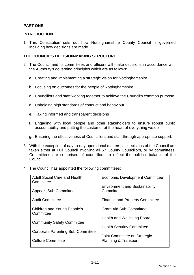# **PART ONE**

# **INTRODUCTION**

1. This Constitution sets out how Nottinghamshire County Council is governed including how decisions are made.

# **THE COUNCIL'S DECISION-MAKING STRUCTURE**

- 2. The Council and its committees and officers will make decisions in accordance with the Authority's governing principles which are as follows:
	- a. Creating and implementing a strategic vision for Nottinghamshire
	- b. Focusing on outcomes for the people of Nottinghamshire
	- c. Councillors and staff working together to achieve the Council's common purpose
	- d. Upholding high standards of conduct and behaviour
	- e. Taking informed and transparent decisions
	- f. Engaging with local people and other stakeholders to ensure robust public accountability and putting the customer at the heart of everything we do
	- g. Ensuring the effectiveness of Councillors and staff through appropriate support.
- 3. With the exception of day-to-day operational matters, all decisions of the Council are taken either at Full Council involving all 67 County Councillors, or by committees. Committees are comprised of councillors, to reflect the political balance of the Council.
- 4. The Council has appointed the following committees:

| <b>Adult Social Care and Health</b><br>Committee | <b>Economic Development Committee</b>              |
|--------------------------------------------------|----------------------------------------------------|
| <b>Appeals Sub-Committee</b>                     | <b>Environment and Sustainability</b><br>Committee |
| <b>Audit Committee</b>                           | <b>Finance and Property Committee</b>              |
| Children and Young People's<br>Committee         | <b>Grant Aid Sub-Committee</b>                     |
|                                                  | Health and Wellbeing Board                         |
| <b>Community Safety Committee</b>                | <b>Health Scrutiny Committee</b>                   |
| <b>Corporate Parenting Sub-Committee</b>         | Joint Committee on Strategic                       |
| <b>Culture Committee</b>                         | <b>Planning &amp; Transport</b>                    |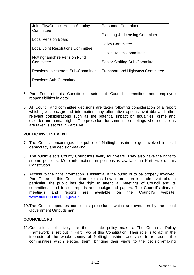| Joint City/Council Health Scrutiny<br>Committee | <b>Personnel Committee</b>                |
|-------------------------------------------------|-------------------------------------------|
| Local Pension Board                             | <b>Planning &amp; Licensing Committee</b> |
| <b>Local Joint Resolutions Committee</b>        | <b>Policy Committee</b>                   |
| Nottinghamshire Pension Fund                    | <b>Public Health Committee</b>            |
| Committee                                       | <b>Senior Staffing Sub-Committee</b>      |
| <b>Pensions Investment Sub-Committee</b>        | <b>Transport and Highways Committee</b>   |
| <b>Pensions Sub-Committee</b>                   |                                           |
|                                                 |                                           |

- 5. Part Four of this Constitution sets out Council, committee and employee responsibilities in detail.
- 6. All Council and committee decisions are taken following consideration of a report which gives background information, any alternative options available and other relevant considerations such as the potential impact on equalities, crime and disorder and human rights. The procedure for committee meetings where decisions are taken is set out in Part Five.

# **PUBLIC INVOLVEMENT**

- 7. The Council encourages the public of Nottinghamshire to get involved in local democracy and decision-making.
- 8. The public elects County Councillors every four years. They also have the right to submit petitions. More information on petitions is available in Part Five of this Constitution.
- 9. Access to the right information is essential if the public is to be properly involved; Part Three of this Constitution explains how information is made available. In particular, the public has the right to attend all meetings of Council and its committees, and to see reports and background papers. The Council's diary of meetings and reports are available on the Council's website: www.nottinghamshire.gov.uk
- 10. The Council operates complaints procedures which are overseen by the Local Government Ombudsman.

#### **COUNCILLORS**

11. Councillors collectively are the ultimate policy makers. The Council's Policy Framework is set out in Part Two of this Constitution. Their role is to act in the interests of the whole county of Nottinghamshire, and also to represent the communities which elected them, bringing their views to the decision-making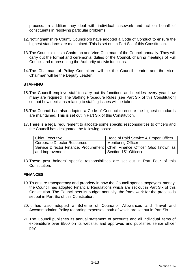process. In addition they deal with individual casework and act on behalf of constituents in resolving particular problems.

- 12. Nottinghamshire County Councillors have adopted a Code of Conduct to ensure the highest standards are maintained. This is set out in Part Six of this Constitution.
- 13. The Council elects a Chairman and Vice-Chairman of the Council annually. They will carry out the formal and ceremonial duties of the Council, chairing meetings of Full Council and representing the Authority at civic functions.
- 14. The Chairman of Policy Committee will be the Council Leader and the Vice-Chairman will be the Deputy Leader.

# **STAFFING**

- 15. The Council employs staff to carry out its functions and decides every year how many are required. The Staffing Procedure Rules [see Part Six of this Constitution] set out how decisions relating to staffing issues will be taken.
- 16. The Council has also adopted a Code of Conduct to ensure the highest standards are maintained. This is set out in Part Six of this Constitution.
- 17. There is a legal requirement to allocate some specific responsibilities to officers and the Council has designated the following posts:

| Chief Executive                                                              | Head of Paid Service & Proper Officer |
|------------------------------------------------------------------------------|---------------------------------------|
| <b>Corporate Director Resources</b>                                          | <b>Monitoring Officer</b>             |
| Service Director Finance, Procurement   Chief Finance Officer (also known as |                                       |
| and Improvement                                                              | Section 151 Officer)                  |

18. These post holders' specific responsibilities are set out in Part Four of this **Constitution** 

#### **FINANCES**

- 19. To ensure transparency and propriety in how the Council spends taxpayers' money, the Council has adopted Financial Regulations which are set out in Part Six of this Constitution. The Council sets its budget annually; the framework for the process is set out in Part Six of this Constitution.
- 20. It has also adopted a Scheme of Councillor Allowances and Travel and Accommodation Policy regarding expenses, both of which are set out in Part Six.
- 21. The Council publishes its annual statement of accounts and all individual items of expenditure over £500 on its website, and approves and publishes senior officer pay.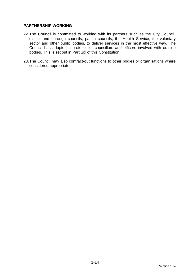# **PARTNERSHIP WORKING**

- 22. The Council is committed to working with its partners such as the City Council, district and borough councils, parish councils, the Health Service, the voluntary sector and other public bodies, to deliver services in the most effective way. The Council has adopted a protocol for councillors and officers involved with outside bodies. This is set out in Part Six of this Constitution.
- 23. The Council may also contract-out functions to other bodies or organisations where considered appropriate.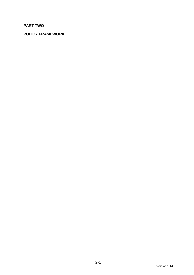# **PART TWO**

# **POLICY FRAMEWORK**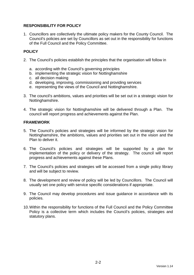# **RESPONSIBILITY FOR POLICY**

1. Councillors are collectively the ultimate policy makers for the County Council. The Council's policies are set by Councillors as set out in the responsibility for functions of the Full Council and the Policy Committee.

# **POLICY**

- 2. The Council's policies establish the principles that the organisation will follow in
	- a. according with the Council's governing principles
	- b. implementing the strategic vision for Nottinghamshire
	- c. all decision making
	- d. developing, improving, commissioning and providing services
	- e. representing the views of the Council and Nottinghamshire.
- 3. The council's ambitions, values and priorities will be set out in a strategic vision for Nottinghamshire.
- 4. The strategic vision for Nottinghamshire will be delivered through a Plan. The council will report progress and achievements against the Plan.

# **FRAMEWORK**

- 5. The Council's policies and strategies will be informed by the strategic vision for Nottinghamshire, the ambitions, values and priorities set out in the vision and the Plan to deliver it.
- 6. The Council's policies and strategies will be supported by a plan for implementation of the policy or delivery of the strategy. The council will report progress and achievements against these Plans.
- 7. The Council's policies and strategies will be accessed from a single policy library and will be subject to review.
- 8. The development and review of policy will be led by Councillors. The Council will usually set one policy with service specific considerations if appropriate.
- 9. The Council may develop procedures and issue guidance in accordance with its policies.
- 10. Within the responsibility for functions of the Full Council and the Policy Committee Policy is a collective term which includes the Council's policies, strategies and statutory plans.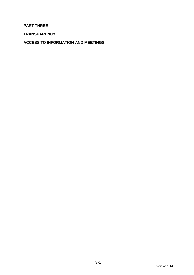# **PART THREE**

**TRANSPARENCY** 

**ACCESS TO INFORMATION AND MEETINGS**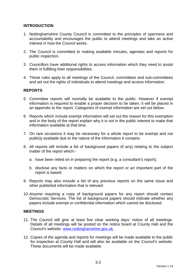# **INTRODUCTION**

- 1. Nottinghamshire County Council is committed to the principles of openness and accountability and encourages the public to attend meetings and take an active interest in how the Council works.
- 2. The Council is committed to making available minutes, agendas and reports for public inspection.
- 3. Councillors have additional rights to access information which they need to assist them in fulfilling their responsibilities.
- 4. These rules apply to all meetings of the Council, committees and sub-committees and set out the rights of individuals to attend meetings and access information.

# **REPORTS**

- 5. Committee reports will normally be available to the public. However if exempt information is required to enable a proper decision to be taken, it will be placed in an appendix to the report. Categories of exempt information are set out below.
- 6. Reports which include exempt information will set out the reason for this exemption and in the body of the report explain why it is not in the public interest to make that information available at that time.
- 7. On rare occasions it may be necessary for a whole report to be exempt and not publicly available due to the nature of the information it contains.
- 8. All reports will include a list of background papers (if any) relating to the subject matter of the report which:
	- a. have been relied on in preparing the report (e.g. a consultant's report);
	- b. disclose any facts or matters on which the report or an important part of the report is based;
- 9. Reports may also include a list of any previous reports on the same issue and other published information that is relevant
- 10. Anyone requiring a copy of background papers for any report should contact Democratic Services. The list of background papers should indicate whether any papers include exempt or confidential information which cannot be disclosed.

#### **MEETINGS**

- 11. The Council will give at least five clear working days' notice of all meetings. Details of all meetings will be posted on the notice board at County Hall and the Council's website: www.nottinghamshire.gov.uk.
- 12. Copies of the agenda and reports for meetings will be made available to the public for inspection at County Hall and will also be available on the Council's website. These documents will be made available: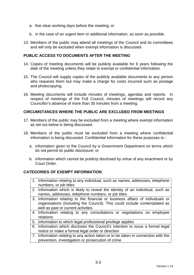- a. five clear working days before the meeting; or
- b. in the case of an urgent item or additional information, as soon as possible.
- 13. Members of the public may attend all meetings of the Council and its committees and will only be excluded when exempt information is discussed.

# **PUBLIC ACCESS TO DOCUMENTS AFTER THE MEETING**

- 14. Copies of meeting documents will be publicly available for 6 years following the date of the meeting unless they relate to exempt or confidential information.
- 15. The Council will supply copies of the publicly available documents to any person who requests them but may make a charge for costs incurred such as postage and photocopying.
- 16. Meeting documents will include minutes of meetings, agendas and reports. In respect of meetings of the Full Council, minutes of meetings will record any Councillor's absence of more than 30 minutes from a meeting.

### **CIRCUMSTANCES WHERE THE PUBLIC ARE EXCLUDED FROM MEETINGS**

- 17. Members of the public may be excluded from a meeting where exempt information as set out below is being discussed.
- 18. Members of the public must be excluded from a meeting where confidential information is being discussed. Confidential information for these purposes is:
	- a. information given to the Council by a Government Department on terms which do not permit its public disclosure; or
	- b. information which cannot be publicly disclosed by virtue of any enactment or by Court Order.

#### **CATEGORIES OF EXEMPT INFORMATION**

- 1. Information relating to any individual, such as names, addresses, telephone numbers, or job titles
- 2. Information which is likely to reveal the identity of an individual, such as names, addresses, telephone numbers, or job titles
- 3. Information relating to the financial or business affairs of individuals or organisations (including the Council). This could include contemplated as well as past or current activities
- 4. Information relating to any consultations or negotiations on employee relations
- 5. Information to which legal professional privilege applies
- 6. Information which discloses the Council's intention to issue a formal legal notice or make a formal legal order or direction
- 7. Information relating to any action taken or to be taken in connection with the prevention, investigation or prosecution of crime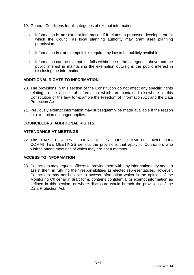- 19. General Conditions for all categories of exempt information:
	- a. Information **is not** exempt information if it relates to proposed development for which the Council as local planning authority may grant itself planning permission.
	- b. Information **is not** exempt if it is required by law to be publicly available.
	- c. Information can be exempt if it falls within one of the categories above and the public interest in maintaining the exemption outweighs the public interest in disclosing the information.

#### **ADDITIONAL RIGHTS TO INFORMATION**

- 20. The provisions in this section of the Constitution do not affect any specific rights relating to the access of information which are contained elsewhere in this Constitution or the law; for example the Freedom of Information Act and the Data Protection Act
- 21. Previously exempt information may subsequently be made available if the reason for exemption no longer applies.

#### **COUNCILLORS' ADDITIONAL RIGHTS**

#### **ATTENDANCE AT MEETINGS**

22. The PART B – PROCEDURE RULES FOR COMMITTEE AND SUB-COMMITTEE MEETINGS set out the provisions that apply to Councillors who wish to attend meetings of which they are not a member.

# **ACCESS TO INFORMATION**

23. Councillors may request officers to provide them with any information they need to assist them in fulfilling their responsibilities as elected representatives. However, Councillors may not be able to access information which in the opinion of the Monitoring Officer is in draft form, contains confidential or exempt information as defined in this section, or where disclosure would breach the provisions of the Data Protection Act.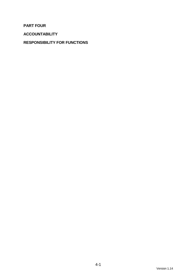**PART FOUR** 

**ACCOUNTABILITY** 

# **RESPONSIBILITY FOR FUNCTIONS**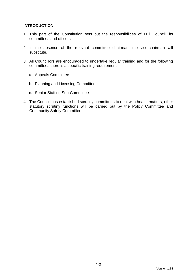# **INTRODUCTION**

- 1. This part of the Constitution sets out the responsibilities of Full Council, its committees and officers.
- 2. In the absence of the relevant committee chairman, the vice-chairman will substitute.
- 3. All Councillors are encouraged to undertake regular training and for the following committees there is a specific training requirement:
	- a. Appeals Committee
	- b. Planning and Licensing Committee
	- c. Senior Staffing Sub-Committee
- 4. The Council has established scrutiny committees to deal with health matters; other statutory scrutiny functions will be carried out by the Policy Committee and Community Safety Committee.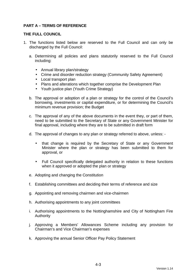# **PART A – TERMS OF REFERENCE**

### **THE FULL COUNCIL**

- 1. The functions listed below are reserved to the Full Council and can only be discharged by the Full Council:
	- a. Determining all policies and plans statutorily reserved to the Full Council including:
		- Annual library plan/strategy
		- Crime and disorder reduction strategy (Community Safety Agreement)
		- Local transport plan
		- Plans and alterations which together comprise the Development Plan
		- Youth justice plan (Youth Crime Strategy)
	- b. The approval or adoption of a plan or strategy for the control of the Council's borrowing, investments or capital expenditure, or for determining the Council's minimum revenue provision; the Budget
	- c. The approval of any of the above documents in the event they, or part of them, need to be submitted to the Secretary of State or any Government Minister for final approval, including where they are to be submitted in draft form
	- d. The approval of changes to any plan or strategy referred to above, unless:
		- that change is required by the Secretary of State or any Government Minister where the plan or strategy has been submitted to them for approval, or
		- Full Council specifically delegated authority in relation to these functions when it approved or adopted the plan or strategy
	- e. Adopting and changing the Constitution
	- f. Establishing committees and deciding their terms of reference and size
	- g. Appointing and removing chairmen and vice-chairmen
	- h. Authorising appointments to any joint committees
	- i. Authorising appointments to the Nottinghamshire and City of Nottingham Fire Authority
	- j. Approving a Members' Allowances Scheme including any provision for Chairman's and Vice Chairman's expenses
	- k. Approving the annual Senior Officer Pay Policy Statement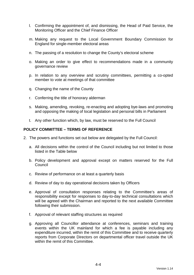- l. Confirming the appointment of, and dismissing, the Head of Paid Service, the Monitoring Officer and the Chief Finance Officer
- m. Making any request to the Local Government Boundary Commission for England for single-member electoral areas
- n. The passing of a resolution to change the County's electoral scheme
- o. Making an order to give effect to recommendations made in a community governance review
- p. In relation to any overview and scrutiny committees, permitting a co-opted member to vote at meetings of that committee
- q. Changing the name of the County
- r. Conferring the title of honorary alderman
- s. Making, amending, revoking, re-enacting and adopting bye-laws and promoting and opposing the making of local legislation and personal bills in Parliament
- t. Any other function which, by law, must be reserved to the Full Council

#### **POLICY COMMITTEE – TERMS OF REFERENCE**

- 2. The powers and functions set out below are delegated by the Full Council:
	- a. All decisions within the control of the Council including but not limited to those listed in the Table below
	- b. Policy development and approval except on matters reserved for the Full Council
	- c. Review of performance on at least a quarterly basis
	- d. Review of day to day operational decisions taken by Officers
	- e. Approval of consultation responses relating to the Committee's areas of responsibility except for responses to day-to-day technical consultations which will be agreed with the Chairman and reported to the next available Committee following their submission.
	- f. Approval of relevant staffing structures as required
	- g. Approving all Councillor attendance at conferences, seminars and training events within the UK mainland for which a fee is payable including any expenditure incurred, within the remit of this Committee and to receive quarterly reports from Corporate Directors on departmental officer travel outside the UK within the remit of this Committee.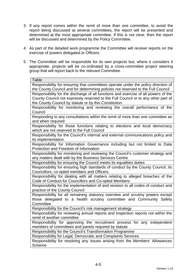- 3. If any report comes within the remit of more than one committee, to avoid the report being discussed at several committees, the report will be presented and determined at the most appropriate committee. If this is not clear, then the report will be discussed and determined by the Policy Committee.
- 4. As part of the detailed work programme the Committee will receive reports on the exercise of powers delegated to Officers.
- 5. The Committee will be responsible for its own projects but, where it considers it appropriate, projects will be co-ordinated by a cross-committee project steering group that will report back to the relevant Committee.

| <b>Table</b>                                                                                                                                            |
|---------------------------------------------------------------------------------------------------------------------------------------------------------|
| Responsibility for ensuring that committees operate under the policy direction of                                                                       |
| the County Council and for determining policies not reserved to the Full Council                                                                        |
| Responsibility for the discharge of all functions and exercise of all powers of the                                                                     |
| County Council not expressly reserved to the Full Council or to any other part of                                                                       |
| the County Council by statute or by this Constitution                                                                                                   |
| Responsibility for monitoring and reviewing the overall performance of the                                                                              |
| Council                                                                                                                                                 |
| Responding to any consultations within the remit of more than one committee as                                                                          |
| and when required                                                                                                                                       |
| Responsibility for those functions relating to elections and local democracy                                                                            |
| which are not reserved to the Full Council                                                                                                              |
| Responsibility for the Council's internal and external communications policy and                                                                        |
| its implementation                                                                                                                                      |
| Responsibility for Information Governance including but not limited to Data                                                                             |
| Protection and Freedom of Information                                                                                                                   |
| Responsibility for monitoring and reviewing the Council's customer strategy and                                                                         |
| any matters dealt with by the Business Services Centre                                                                                                  |
| Responsibility for ensuring the Council meets its equalities duties<br>Responsibility for ensuring high standards of conduct by the County Council, its |
| Councillors, co-opted members and Officers                                                                                                              |
| Responsibility for dealing with all matters relating to alleged breaches of the                                                                         |
| Code of Conduct for Councillors and Co-opted Members                                                                                                    |
| Responsibility for the implementation of and revision to all codes of conduct and                                                                       |
| practice of the County Council                                                                                                                          |
| Responsibility for all remaining statutory overview and scrutiny powers except                                                                          |
| those delegated to a health scrutiny committee and Community Safety                                                                                     |
| Committee                                                                                                                                               |
| Responsibility for the Council's risk management strategy                                                                                               |
| Responsibility for reviewing annual reports and inspection reports not within the                                                                       |
| remit of another committee                                                                                                                              |
| Responsibility for approving the recruitment process for any independent                                                                                |
| members of committees and panels required by statute                                                                                                    |
| Responsibility for the Council's Transformation Programme                                                                                               |
| Responsibility for Legal, Democratic and Complaints Services                                                                                            |
| Responsibility for resolving any issues arising from the Members' Allowances                                                                            |
| <b>Scheme</b>                                                                                                                                           |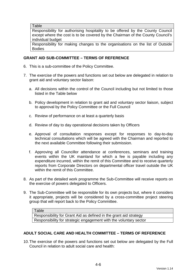**Table** 

Responsibility for authorising hospitality to be offered by the County Council except where the cost is to be covered by the Chairman of the County Council's individual budget

Responsibility for making changes to the organisations on the list of Outside Bodies

# **GRANT AID SUB-COMMITTEE – TERMS OF REFERENCE**

- 6. This is a sub-committee of the Policy Committee.
- 7. The exercise of the powers and functions set out below are delegated in relation to grant aid and voluntary sector liaison:
	- a. All decisions within the control of the Council including but not limited to those listed in the Table below
	- b. Policy development in relation to grant aid and voluntary sector liaison, subject to approval by the Policy Committee or the Full Council
	- c. Review of performance on at least a quarterly basis
	- d. Review of day to day operational decisions taken by Officers
	- e. Approval of consultation responses except for responses to day-to-day technical consultations which will be agreed with the Chairman and reported to the next available Committee following their submission.
	- f. Approving all Councillor attendance at conferences, seminars and training events within the UK mainland for which a fee is payable including any expenditure incurred, within the remit of this Committee and to receive quarterly reports from Corporate Directors on departmental officer travel outside the UK within the remit of this Committee.
- 8. As part of the detailed work programme the Sub-Committee will receive reports on the exercise of powers delegated to Officers.
- 9. The Sub-Committee will be responsible for its own projects but, where it considers it appropriate, projects will be considered by a cross-committee project steering group that will report back to the Policy Committee.

#### **ADULT SOCIAL CARE AND HEALTH COMMITTEE – TERMS OF REFERENCE**

10. The exercise of the powers and functions set out below are delegated by the Full Council in relation to adult social care and health:

Table Responsibility for Grant Aid as defined in the grant aid strategy Responsibility for strategic engagement with the voluntary sector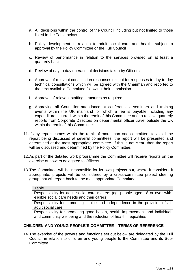- a. All decisions within the control of the Council including but not limited to those listed in the Table below
- b. Policy development in relation to adult social care and health, subject to approval by the Policy Committee or the Full Council
- c. Review of performance in relation to the services provided on at least a quarterly basis
- d. Review of day to day operational decisions taken by Officers
- e. Approval of relevant consultation responses except for responses to day-to-day technical consultations which will be agreed with the Chairman and reported to the next available Committee following their submission.
- f. Approval of relevant staffing structures as required
- g. Approving all Councillor attendance at conferences, seminars and training events within the UK mainland for which a fee is payable including any expenditure incurred, within the remit of this Committee and to receive quarterly reports from Corporate Directors on departmental officer travel outside the UK within the remit of this Committee.
- 11. If any report comes within the remit of more than one committee, to avoid the report being discussed at several committees, the report will be presented and determined at the most appropriate committee. If this is not clear, then the report will be discussed and determined by the Policy Committee.
- 12. As part of the detailed work programme the Committee will receive reports on the exercise of powers delegated to Officers.
- 13. The Committee will be responsible for its own projects but, where it considers it appropriate, projects will be considered by a cross-committee project steering group that will report back to the most appropriate Committee.

| <b>Table</b>                                                                                                                  |
|-------------------------------------------------------------------------------------------------------------------------------|
| Responsibility for adult social care matters (eg. people aged 18 or over with<br>eligible social care needs and their carers) |
| Responsibility for promoting choice and independence in the provision of all                                                  |

adult social care

Responsibility for promoting good health, health improvement and individual and community wellbeing and the reduction of health inequalities

# **CHILDREN AND YOUNG PEOPLE'S COMMITTEE – TERMS OF REFERENCE**

14. The exercise of the powers and functions set out below are delegated by the Full Council in relation to children and young people to the Committee and its Sub-Committee.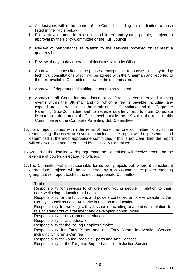- a. All decisions within the control of the Council including but not limited to those listed in the Table below
- b. Policy development in relation to children and young people, subject to approval by the Policy Committee or the Full Council
- c. Review of performance in relation to the services provided on at least a quarterly basis
- d. Review of day to day operational decisions taken by Officers
- e. Approval of consultation responses except for responses to day-to-day technical consultations which will be agreed with the Chairman and reported to the next available Committee following their submission.
- f. Approval of departmental staffing structures as required
- g. Approving all Councillor attendance at conferences, seminars and training events within the UK mainland for which a fee is payable including any expenditure incurred, within the remit of this Committee and the Corporate Parenting Sub-Committee and to receive quarterly reports from Corporate Directors on departmental officer travel outside the UK within the remit of this Committee and the Corporate Parenting Sub-Committee.
- 15. If any report comes within the remit of more than one committee, to avoid the report being discussed at several committees, the report will be presented and determined at the most appropriate committee. If this is not clear, then the report will be discussed and determined by the Policy Committee.
- 16. As part of the detailed work programme the Committee will receive reports on the exercise of powers delegated to Officers.
- 17. The Committee will be responsible for its own projects but, where it considers it appropriate, projects will be considered by a cross-committee project steering group that will report back to the most appropriate Committee.

| Table                                                                          |
|--------------------------------------------------------------------------------|
| Responsibility for services to children and young people in relation to their  |
| care, wellbeing, education or health                                           |
| Responsibility for the functions and powers conferred on or exercisable by the |
| County Council as Local Authority in relation to education                     |
| Responsibility for working with all schools including academies in relation to |
| raising standards of attainment and developing opportunities                   |
| Responsibility for environmental education                                     |
| Responsibility for arts education                                              |
| Responsibility for the Young People's Service                                  |
| Responsibility for Early Years and the Early Years Intervention Service        |
| including Children's Centres                                                   |
| Responsibility for Young People's Sports and Arts Services                     |
| Responsibility for the Targeted Support and Youth Justice Service              |
|                                                                                |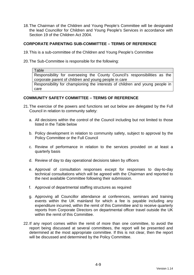18. The Chairman of the Children and Young People's Committee will be designated the lead Councillor for Children and Young People's Services in accordance with Section 19 of the Children Act 2004.

#### **CORPORATE PARENTING SUB-COMMITTEE – TERMS OF REFERENCE**

- 19. This is a sub-committee of the Children and Young People's Committee
- 20. The Sub-Committee is responsible for the following:

Table Responsibility for overseeing the County Council's responsibilities as the corporate parent of children and young people in care Responsibility for championing the interests of children and young people in care

#### **COMMUNITY SAFETY COMMITTEE – TERMS OF REFERENCE**

- 21. The exercise of the powers and functions set out below are delegated by the Full Council in relation to community safety:
	- a. All decisions within the control of the Council including but not limited to those listed in the Table below
	- b. Policy development in relation to community safety, subject to approval by the Policy Committee or the Full Council
	- c. Review of performance in relation to the services provided on at least a quarterly basis
	- d. Review of day to day operational decisions taken by officers
	- e. Approval of consultation responses except for responses to day-to-day technical consultations which will be agreed with the Chairman and reported to the next available Committee following their submission.
	- f. Approval of departmental staffing structures as required
	- g. Approving all Councillor attendance at conferences, seminars and training events within the UK mainland for which a fee is payable including any expenditure incurred, within the remit of this Committee and to receive quarterly reports from Corporate Directors on departmental officer travel outside the UK within the remit of this Committee.
- 22. If any report comes within the remit of more than one committee, to avoid the report being discussed at several committees, the report will be presented and determined at the most appropriate committee. If this is not clear, then the report will be discussed and determined by the Policy Committee.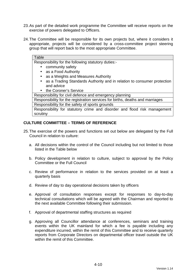- 23. As part of the detailed work programme the Committee will receive reports on the exercise of powers delegated to Officers.
- 24. The Committee will be responsible for its own projects but, where it considers it appropriate, projects will be considered by a cross-committee project steering group that will report back to the most appropriate Committee.

| Table                                                                                |
|--------------------------------------------------------------------------------------|
| Responsibility for the following statutory duties:-                                  |
| community safety                                                                     |
| • as a Food Authority                                                                |
| as a Weights and Measures Authority<br>$\bullet$                                     |
| as a Trading Standards Authority and in relation to consumer protection<br>$\bullet$ |
| and advice                                                                           |
| the Coroner's Service<br>$\bullet$                                                   |
| Responsibility for civil defence and emergency planning                              |
| Responsibility for the registration services for births, deaths and marriages        |
| Responsibility for the safety of sports grounds                                      |
| Responsibility for statutory crime and disorder and flood risk management            |

# **CULTURE COMMITTEE – TERMS OF REFERENCE**

scrutiny

- 25. The exercise of the powers and functions set out below are delegated by the Full Council in relation to culture:
	- a. All decisions within the control of the Council including but not limited to those listed in the Table below
	- b. Policy development in relation to culture, subject to approval by the Policy Committee or the Full Council
	- c. Review of performance in relation to the services provided on at least a quarterly basis
	- d. Review of day to day operational decisions taken by officers
	- e. Approval of consultation responses except for responses to day-to-day technical consultations which will be agreed with the Chairman and reported to the next available Committee following their submission.
	- f. Approval of departmental staffing structures as required
	- g. Approving all Councillor attendance at conferences, seminars and training events within the UK mainland for which a fee is payable including any expenditure incurred, within the remit of this Committee and to receive quarterly reports from Corporate Directors on departmental officer travel outside the UK within the remit of this Committee.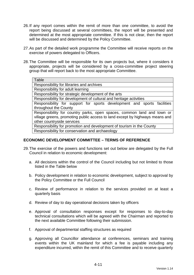- 26. If any report comes within the remit of more than one committee, to avoid the report being discussed at several committees, the report will be presented and determined at the most appropriate committee. If this is not clear, then the report will be discussed and determined by the Policy Committee.
- 27. As part of the detailed work programme the Committee will receive reports on the exercise of powers delegated to Officers.
- 28. The Committee will be responsible for its own projects but, where it considers it appropriate, projects will be considered by a cross-committee project steering group that will report back to the most appropriate Committee.

| Table                                                                        |
|------------------------------------------------------------------------------|
| Responsibility for libraries and archives                                    |
| Responsibility for adult learning                                            |
| Responsibility for strategic development of the arts                         |
| Responsibility for development of cultural and heritage activities           |
| Responsibility for support for sports development and sports facilities      |
| throughout the County                                                        |
| Responsibility for country parks, open spaces, common land and town or       |
| village greens, promoting public access to land except by highways means and |
| other countryside services                                                   |
| Responsibility for promotion and development of tourism in the County        |
| Responsibility for conservation and archaeology                              |

#### **ECONOMIC DEVELOPMENT COMMITTEE – TERMS OF REFERENCE**

- 29. The exercise of the powers and functions set out below are delegated by the Full Council in relation to economic development:
	- a. All decisions within the control of the Council including but not limited to those listed in the Table below
	- b. Policy development in relation to economic development, subject to approval by the Policy Committee or the Full Council
	- c. Review of performance in relation to the services provided on at least a quarterly basis
	- d. Review of day to day operational decisions taken by officers
	- e. Approval of consultation responses except for responses to day-to-day technical consultations which will be agreed with the Chairman and reported to the next available Committee following their submission.
	- f. Approval of departmental staffing structures as required
	- g. Approving all Councillor attendance at conferences, seminars and training events within the UK mainland for which a fee is payable including any expenditure incurred, within the remit of this Committee and to receive quarterly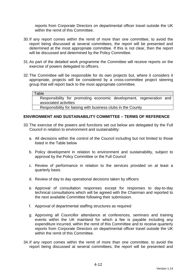reports from Corporate Directors on departmental officer travel outside the UK within the remit of this Committee.

- 30. If any report comes within the remit of more than one committee, to avoid the report being discussed at several committees, the report will be presented and determined at the most appropriate committee. If this is not clear, then the report will be discussed and determined by the Policy Committee.
- 31. As part of the detailed work programme the Committee will receive reports on the exercise of powers delegated to officers.
- 32. The Committee will be responsible for its own projects but, where it considers it appropriate, projects will be considered by a cross-committee project steering group that will report back to the most appropriate committee.

#### Table

Responsibility for promoting economic development, regeneration and associated activities

Responsibility for liaising with business clubs in the County

#### **ENVIRONMENT AND SUSTAINABILITY COMMITTEE – TERMS OF REFERENCE**

- 33. The exercise of the powers and functions set out below are delegated by the Full Council in relation to environment and sustainability:
	- a. All decisions within the control of the Council including but not limited to those listed in the Table below
	- b. Policy development in relation to environment and sustainability, subject to approval by the Policy Committee or the Full Council
	- c. Review of performance in relation to the services provided on at least a quarterly basis
	- d. Review of day to day operational decisions taken by officers
	- e. Approval of consultation responses except for responses to day-to-day technical consultations which will be agreed with the Chairman and reported to the next available Committee following their submission.
	- f. Approval of departmental staffing structures as required
	- g. Approving all Councillor attendance at conferences, seminars and training events within the UK mainland for which a fee is payable including any expenditure incurred, within the remit of this Committee and to receive quarterly reports from Corporate Directors on departmental officer travel outside the UK within the remit of this Committee.
- 34. If any report comes within the remit of more than one committee, to avoid the report being discussed at several committees, the report will be presented and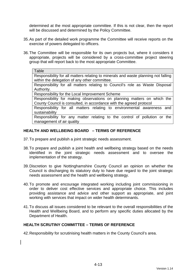determined at the most appropriate committee. If this is not clear, then the report will be discussed and determined by the Policy Committee.

- 35. As part of the detailed work programme the Committee will receive reports on the exercise of powers delegated to officers.
- 36. The Committee will be responsible for its own projects but, where it considers it appropriate, projects will be considered by a cross-committee project steering group that will report back to the most appropriate Committee.

#### **Table**

Responsibility for all matters relating to minerals and waste planning not falling within the delegation of any other committee.

Responsibility for all matters relating to Council's role as Waste Disposal Authority.

Responsibility for the Local Improvement Scheme

Responsibility for making observations on planning matters on which the County Council is consulted, in accordance with the agreed protocol

Responsibility for all matters relating to environmental awareness and sustainability

Responsibility for any matter relating to the control of pollution or the management of air quality

# **HEALTH AND WELLBEING BOARD – TERMS OF REFERENCE**

- 37. To prepare and publish a joint strategic needs assessment.
- 38. To prepare and publish a joint health and wellbeing strategy based on the needs identified in the joint strategic needs assessment and to oversee the implementation of the strategy.
- 39. Discretion to give Nottinghamshire County Council an opinion on whether the Council is discharging its statutory duty to have due regard to the joint strategic needs assessment and the health and wellbeing strategy.
- 40. To promote and encourage integrated working including joint commissioning in order to deliver cost effective services and appropriate choice. This includes providing assistance and advice and other support as appropriate, and joint working with services that impact on wider health determinants.
- 41. To discuss all issues considered to be relevant to the overall responsibilities of the Health and Wellbeing Board, and to perform any specific duties allocated by the Department of Health.

#### **HEALTH SCRUTINY COMMITTEE – TERMS OF REFERENCE**

42. Responsibility for scrutinising health matters in the County Council's area.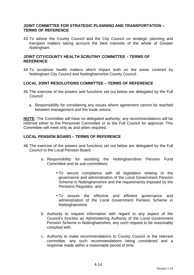#### **JOINT COMMITTEE FOR STRATEGIC PLANNING AND TRANSPORTATION – TERMS OF REFERENCE**

43. To advise the County Council and the City Council on strategic planning and transport matters taking account the best interests of the whole of Greater Nottingham.

### **JOINT CITY/COUNTY HEALTH SCRUTINY COMMITTEE – TERMS OF REFERENCE**

44. To scrutinise health matters which impact both on the areas covered by Nottingham City Council and Nottinghamshire County Council.

#### **LOCAL JOINT RESOLUTIONS COMMITTEE – TERMS OF REFERENCE**

- 45. The exercise of the powers and functions set out below are delegated by the Full Council:
	- a. Responsibility for considering any issues where agreement cannot be reached between management and the trade unions.

**NOTE:** The Committee will have no delegated authority; any recommendations will be referred either to the Personnel Committee or to the Full Council for approval. This Committee will meet only as and when required.

#### **LOCAL PENSION BOARD – TERMS OF REFERENCE**

- 46. The exercise of the powers and functions set out below are delegated by the Full Council to the Local Pension Board:
	- a. Responsibility for assisting the Nottinghamshire Pension Fund Committee and its sub-committees:
		- To secure compliance with all legislation relating to the governance and administration of the Local Government Pension Scheme in Nottinghamshire and the requirements imposed by the Pensions Regulator, and
		- To ensure the effective and efficient governance and administration of the Local Government Pension Scheme in Nottinghamshire
	- b. Authority to request information with regard to any aspect of the Council's function as Administering Authority of the Local Government Pension Scheme in Nottinghamshire, any such request to be reasonably complied with.
	- c. Authority to make recommendations to County Council or the relevant committee, any such recommendations being considered and a response made within a reasonable period of time.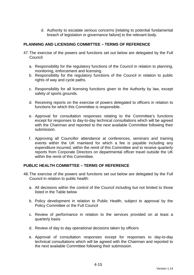d. Authority to escalate serious concerns [relating to potential fundamental breach of legislation or governance failure] to the relevant body.

# **PLANNING AND LICENSING COMMITTEE – TERMS OF REFERENCE**

- 47. The exercise of the powers and functions set out below are delegated by the Full Council:
	- a. Responsibility for the regulatory functions of the Council in relation to planning, monitoring, enforcement and licensing.
	- b. Responsibility for the regulatory functions of the Council in relation to public rights of way and cycle paths.
	- c. Responsibility for all licensing functions given to the Authority by law, except safety of sports grounds.
	- d. Receiving reports on the exercise of powers delegated to officers in relation to functions for which this Committee is responsible.
	- e. Approval for consultation responses relating to the Committee's functions except for responses to day-to-day technical consultations which will be agreed with the Chairman and reported to the next available Committee following their submission.
	- f. Approving all Councillor attendance at conferences, seminars and training events within the UK mainland for which a fee is payable including any expenditure incurred, within the remit of this Committee and to receive quarterly reports from Corporate Directors on departmental officer travel outside the UK within the remit of this Committee.

#### **PUBLIC HEALTH COMMITTEE – TERMS OF REFERENCE**

- 48. The exercise of the powers and functions set out below are delegated by the Full Council in relation to public health:
	- a. All decisions within the control of the Council including but not limited to those listed in the Table below
	- b. Policy development in relation to Public Health, subject to approval by the Policy Committee or the Full Council
	- c. Review of performance in relation to the services provided on at least a quarterly basis
	- d. Review of day to day operational decisions taken by officers
	- e. Approval of consultation responses except for responses to day-to-day technical consultations which will be agreed with the Chairman and reported to the next available Committee following their submission.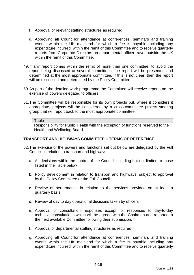- f. Approval of relevant staffing structures as required
- g. Approving all Councillor attendance at conferences, seminars and training events within the UK mainland for which a fee is payable including any expenditure incurred, within the remit of this Committee and to receive quarterly reports from Corporate Directors on departmental officer travel outside the UK within the remit of this Committee.
- 49. If any report comes within the remit of more than one committee, to avoid the report being discussed at several committees, the report will be presented and determined at the most appropriate committee. If this is not clear, then the report will be discussed and determined by the Policy Committee.
- 50. As part of the detailed work programme the Committee will receive reports on the exercise of powers delegated to officers.
- 51. The Committee will be responsible for its own projects but, where it considers it appropriate, projects will be considered by a cross-committee project steering group that will report back to the most appropriate committee.

#### **Table**

Responsibility for Public Health with the exception of functions reserved to the Health and Wellbeing Board

# **TRANSPORT AND HIGHWAYS COMMITTEE – TERMS OF REFERENCE**

- 52. The exercise of the powers and functions set out below are delegated by the Full Council in relation to transport and highways:
	- a. All decisions within the control of the Council including but not limited to those listed in the Table below
	- b. Policy development in relation to transport and highways, subject to approval by the Policy Committee or the Full Council
	- c. Review of performance in relation to the services provided on at least a quarterly basis
	- d. Review of day to day operational decisions taken by officers
	- e. Approval of consultation responses except for responses to day-to-day technical consultations which will be agreed with the Chairman and reported to the next available Committee following their submission.
	- f. Approval of departmental staffing structures as required
	- g. Approving all Councillor attendance at conferences, seminars and training events within the UK mainland for which a fee is payable including any expenditure incurred, within the remit of this Committee and to receive quarterly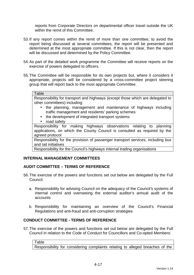reports from Corporate Directors on departmental officer travel outside the UK within the remit of this Committee.

- 53. If any report comes within the remit of more than one committee, to avoid the report being discussed at several committees, the report will be presented and determined at the most appropriate committee. If this is not clear, then the report will be discussed and determined by the Policy Committee.
- 54. As part of the detailed work programme the Committee will receive reports on the exercise of powers delegated to officers.
- 55. The Committee will be responsible for its own projects but, where it considers it appropriate, projects will be considered by a cross-committee project steering group that will report back to the most appropriate Committee.

#### **Table**

Responsibility for transport and highways (except those which are delegated to other committees) including:

- the planning, management and maintenance of highways including traffic management and residents' parking schemes
- the development of integrated transport systems
- road safety

Responsibility for making highways observations relating to planning applications, on which the County Council is consulted as required by the agreed protocol

Responsibility for the provision of passenger transport services, including bus and rail initiatives

Responsibility for the Council's highways internal trading organisations

#### **INTERNAL MANAGEMENT COMMITTEES**

#### **AUDIT COMMITTEE – TERMS OF REFERENCE**

- 56. The exercise of the powers and functions set out below are delegated by the Full Council:
	- a. Responsibility for advising Council on the adequacy of the Council's systems of internal control and overseeing the external auditor's annual audit of the accounts
	- b. Responsibility for maintaining an overview of the Council's Financial Regulations and anti-fraud and anti-corruption strategies

# **CONDUCT COMMITTEE - TERMS OF REFERENCE**

57. The exercise of the powers and functions set out below are delegated by the Full Council in relation to the Code of Conduct for Councillors and Co-opted Members:

Table Responsibility for considering complaints relating to alleged breaches of the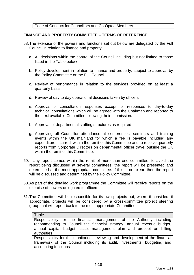Code of Conduct for Councillors and Co-Opted Members

## **FINANCE AND PROPERTY COMMITTEE – TERMS OF REFERENCE**

- 58. The exercise of the powers and functions set out below are delegated by the Full Council in relation to finance and property:
	- a. All decisions within the control of the Council including but not limited to those listed in the Table below
	- b. Policy development in relation to finance and property, subject to approval by the Policy Committee or the Full Council
	- c. Review of performance in relation to the services provided on at least a quarterly basis
	- d. Review of day to day operational decisions taken by officers
	- e. Approval of consultation responses except for responses to day-to-day technical consultations which will be agreed with the Chairman and reported to the next available Committee following their submission.
	- f. Approval of departmental staffing structures as required
	- g. Approving all Councillor attendance at conferences, seminars and training events within the UK mainland for which a fee is payable including any expenditure incurred, within the remit of this Committee and to receive quarterly reports from Corporate Directors on departmental officer travel outside the UK within the remit of this Committee.
- 59. If any report comes within the remit of more than one committee, to avoid the report being discussed at several committees, the report will be presented and determined at the most appropriate committee. If this is not clear, then the report will be discussed and determined by the Policy Committee.
- 60. As part of the detailed work programme the Committee will receive reports on the exercise of powers delegated to officers.
- 61. The Committee will be responsible for its own projects but, where it considers it appropriate, projects will be considered by a cross-committee project steering group that will report back to the most appropriate Committee.

#### **Table**

Responsibility for the financial management of the Authority including recommending to Council the financial strategy, annual revenue budget, annual capital budget, asset management plan and precept on billing authorities

Responsibility for the monitoring, reviewing and development of the financial framework of the Council including its audit, investments, budgeting and accounting functions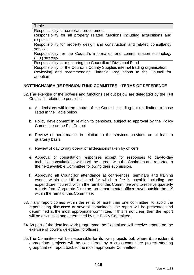**Table** 

Responsibility for corporate procurement

Responsibility for all property related functions including acquisitions and disposals

Responsibility for property design and construction and related consultancy services

Responsibility for the Council's information and communication technology (ICT) strategy

Responsibility for monitoring the Councillors' Divisional Fund

Responsibility for the Council's County Supplies internal trading organisation Reviewing and recommending Financial Regulations to the Council for adoption

## **NOTTINGHAMSHIRE PENSION FUND COMMITTEE – TERMS OF REFERENCE**

- 62. The exercise of the powers and functions set out below are delegated by the Full Council in relation to pensions:
	- a. All decisions within the control of the Council including but not limited to those listed in the Table below
	- b. Policy development in relation to pensions, subject to approval by the Policy Committee or the Full Council
	- c. Review of performance in relation to the services provided on at least a quarterly basis
	- d. Review of day to day operational decisions taken by officers
	- e. Approval of consultation responses except for responses to day-to-day technical consultations which will be agreed with the Chairman and reported to the next available Committee following their submission.
	- f. Approving all Councillor attendance at conferences, seminars and training events within the UK mainland for which a fee is payable including any expenditure incurred, within the remit of this Committee and to receive quarterly reports from Corporate Directors on departmental officer travel outside the UK within the remit of this Committee.
- 63. If any report comes within the remit of more than one committee, to avoid the report being discussed at several committees, the report will be presented and determined at the most appropriate committee. If this is not clear, then the report will be discussed and determined by the Policy Committee.
- 64. As part of the detailed work programme the Committee will receive reports on the exercise of powers delegated to officers.
- 65. The Committee will be responsible for its own projects but, where it considers it appropriate, projects will be considered by a cross-committee project steering group that will report back to the most appropriate Committee.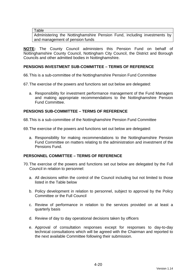**Table** 

Administering the Nottinghamshire Pension Fund, including investments by and management of pension funds

**NOTE:** The County Council administers this Pension Fund on behalf of Nottinghamshire County Council, Nottingham City Council, the District and Borough Councils and other admitted bodies in Nottinghamshire.

## **PENSIONS INVESTMENT SUB-COMMITTEE – TERMS OF REFERENCE**

66. This is a sub-committee of the Nottinghamshire Pension Fund Committee

67. The exercise of the powers and functions set out below are delegated:

a. Responsibility for investment performance management of the Fund Managers and making appropriate recommendations to the Nottinghamshire Pension Fund Committee.

## **PENSIONS SUB-COMMITTEE – TERMS OF REFERENCE**

68. This is a sub-committee of the Nottinghamshire Pension Fund Committee

69. The exercise of the powers and functions set out below are delegated:

a. Responsibility for making recommendations to the Nottinghamshire Pension Fund Committee on matters relating to the administration and investment of the Pensions Fund.

### **PERSONNEL COMMITTEE – TERMS OF REFERENCE**

- 70. The exercise of the powers and functions set out below are delegated by the Full Council in relation to personnel:
	- a. All decisions within the control of the Council including but not limited to those listed in the Table below
	- b. Policy development in relation to personnel, subject to approval by the Policy Committee or the Full Council
	- c. Review of performance in relation to the services provided on at least a quarterly basis
	- d. Review of day to day operational decisions taken by officers
	- e. Approval of consultation responses except for responses to day-to-day technical consultations which will be agreed with the Chairman and reported to the next available Committee following their submission.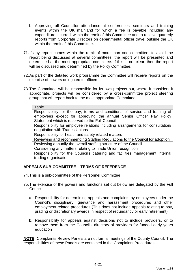- f. Approving all Councillor attendance at conferences, seminars and training events within the UK mainland for which a fee is payable including any expenditure incurred, within the remit of this Committee and to receive quarterly reports from Corporate Directors on departmental officer travel outside the UK within the remit of this Committee.
- 71. If any report comes within the remit of more than one committee, to avoid the report being discussed at several committees, the report will be presented and determined at the most appropriate committee. If this is not clear, then the report will be discussed and determined by the Policy Committee.
- 72. As part of the detailed work programme the Committee will receive reports on the exercise of powers delegated to officers.
- 73. The Committee will be responsible for its own projects but, where it considers it appropriate, projects will be considered by a cross-committee project steering group that will report back to the most appropriate Committee.

| Table                                                                          |  |  |  |  |
|--------------------------------------------------------------------------------|--|--|--|--|
| Responsibility for the pay, terms and conditions of service and training of    |  |  |  |  |
| employees except for approving the annual Senior Officer Pay Policy            |  |  |  |  |
| Statement which is reserved to the Full Council                                |  |  |  |  |
| Responsibility for employee relations including arrangements for consultation/ |  |  |  |  |
| negotiation with Trades Unions                                                 |  |  |  |  |
| Responsibility for health and safety related matters                           |  |  |  |  |
| Reviewing and recommending Staffing Regulations to the Council for adoption    |  |  |  |  |
| Reviewing annually the overall staffing structure of the Council               |  |  |  |  |
| Considering any matters relating to Trade Union recognition                    |  |  |  |  |
| Responsibility for the Council's catering and facilities management internal   |  |  |  |  |
| trading organisation                                                           |  |  |  |  |

## **APPEALS SUB-COMMITTEE – TERMS OF REFERENCE**

- 74. This is a sub-committee of the Personnel Committee
- 75. The exercise of the powers and functions set out below are delegated by the Full Council:
	- a. Responsibility for determining appeals and complaints by employees under the Council's disciplinary, grievance and harassment procedures and other employment related procedures (This does not include appeals relating to pay, grading or discretionary awards in respect of redundancy or early retirement)
	- b. Responsibility for appeals against decisions not to include providers, or to remove them from the Council's directory of providers for funded early years education

**NOTE:** Complaints Review Panels are not formal meetings of the County Council. The responsibilities of these Panels are contained in the Complaints Procedures.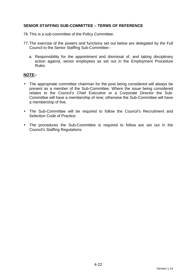## **SENIOR STAFFING SUB-COMMITTEE – TERMS OF REFERENCE**

- 76. This is a sub-committee of the Policy Committee.
- 77. The exercise of the powers and functions set out below are delegated by the Full Council to the Senior Staffing Sub-Committee:
	- a. Responsibility for the appointment and dismissal of, and taking disciplinary action against, senior employees as set out in the Employment Procedure Rules

#### **NOTE:-**

- The appropriate committee chairman for the post being considered will always be present as a member of the Sub-Committee. Where the issue being considered relates to the Council's Chief Executive or a Corporate Director the Sub-Committee will have a membership of nine; otherwise the Sub-Committee will have a membership of five.
- The Sub-Committee will be required to follow the Council's Recruitment and Selection Code of Practice.
- The procedures the Sub-Committee is required to follow are set out in the Council's Staffing Regulations.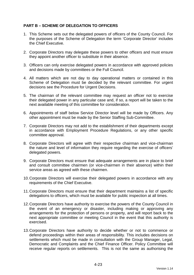## **PART B – SCHEME OF DELEGATION TO OFFICERS**

- 1. This Scheme sets out the delegated powers of officers of the County Council. For the purposes of the Scheme of Delegation the term 'Corporate Director' includes the Chief Executive.
- 2. Corporate Directors may delegate these powers to other officers and must ensure they appoint another officer to substitute in their absence.
- 3. Officers can only exercise delegated powers in accordance with approved policies and decisions made by committees or the Full Council.
- 4. All matters which are not day to day operational matters or contained in this Scheme of Delegation must be decided by the relevant committee. For urgent decisions see the Procedure for Urgent Decisions.
- 5. The chairman of the relevant committee may request an officer not to exercise their delegated power in any particular case and, if so, a report will be taken to the next available meeting of this committee for consideration.
- 6. Appointments of staff below Service Director level will be made by Officers. Any other appointment must be made by the Senior Staffing Sub-Committee.
- 7. Corporate Directors may not add to the establishment of their departments except in accordance with Employment Procedure Regulations, or any other specific committee approval.
- 8. Corporate Directors will agree with their respective chairman and vice-chairman the nature and level of information they require regarding the exercise of officers' delegated powers.
- 9. Corporate Directors must ensure that adequate arrangements are in place to brief and consult committee chairmen (or vice-chairmen in their absence) within their service areas as agreed with these chairmen.
- 10. Corporate Directors will exercise their delegated powers in accordance with any requirements of the Chief Executive.
- 11. Corporate Directors must ensure that their department maintains a list of specific delegations to officers, which must be available for public inspection at all times.
- 12. Corporate Directors have authority to exercise the powers of the County Council in the event of an emergency or disaster, including making or approving any arrangements for the protection of persons or property, and will report back to the next appropriate committee or meeting Council in the event that this authority is exercised.
- 13. Corporate Directors have authority to decide whether or not to commence or defend proceedings within their areas of responsibility. This includes decisions on settlements which must be made in consultation with the Group Manager, Legal, Democratic and Complaints and the Chief Finance Officer. Policy Committee will receive regular reports on settlements. This is not the same as authorising the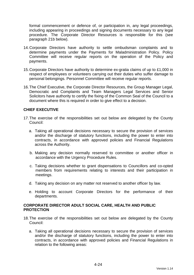formal commencement or defence of, or participation in, any legal proceedings, including appearing in proceedings and signing documents necessary to any legal procedure. The Corporate Director Resources is responsible for this (see paragraph 21b below).

- 14. Corporate Directors have authority to settle ombudsman complaints and to determine payments under the Payments for Maladministration Policy. Policy Committee will receive regular reports on the operation of the Policy and payments.
- 15. Corporate Directors have authority to determine ex-gratia claims of up to £1,000 in respect of employees or volunteers carrying out their duties who suffer damage to personal belongings. Personnel Committee will receive regular reports.
- 16. The Chief Executive, the Corporate Director Resources, the Group Manager Legal, Democratic and Complaints and Team Managers Legal Services and Senior Solicitors have authority to certify the fixing of the Common Seal of the Council to a document where this is required in order to give effect to a decision.

## **CHIEF EXECUTIVE**

- 17. The exercise of the responsibilities set out below are delegated by the County Council:
	- a. Taking all operational decisions necessary to secure the provision of services and/or the discharge of statutory functions, including the power to enter into contracts, in accordance with approved policies and Financial Regulations across the Authority.
	- b. Making any decision normally reserved to committee or another officer in accordance with the Urgency Procedure Rules.
	- c. Taking decisions whether to grant dispensations to Councillors and co-opted members from requirements relating to interests and their participation in meetings.
	- d. Taking any decision on any matter not reserved to another officer by law.
	- e. Holding to account Corporate Directors for the performance of their departments.

#### **CORPORATE DIRECTOR ADULT SOCIAL CARE, HEALTH AND PUBLIC PROTECTION**

- 18. The exercise of the responsibilities set out below are delegated by the County Council:
	- a. Taking all operational decisions necessary to secure the provision of services and/or the discharge of statutory functions, including the power to enter into contracts, in accordance with approved policies and Financial Regulations in relation to the following areas: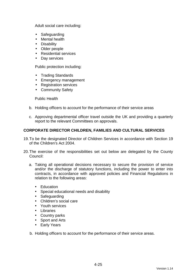Adult social care including:

- Safeguarding
- Mental health
- Disability
- Older people
- Residential services
- Day services

Public protection including:

- Trading Standards
- Emergency management
- Registration services
- Community Safety

Public Health

- b. Holding officers to account for the performance of their service areas
- c. Approving departmental officer travel outside the UK and providing a quarterly report to the relevant Committees on approvals.

## **CORPORATE DIRECTOR CHILDREN, FAMILIES AND CULTURAL SERVICES**

- 19. To be the designated Director of Children Services in accordance with Section 19 of the Children's Act 2004.
- 20. The exercise of the responsibilities set out below are delegated by the County Council:
	- a. Taking all operational decisions necessary to secure the provision of service and/or the discharge of statutory functions, including the power to enter into contracts, in accordance with approved policies and Financial Regulations in relation to the following areas:
		- Education
		- Special educational needs and disability
		- Safeguarding
		- Children's social care
		- Youth services
		- Libraries
		- Country parks
		- Sport and Arts
		- Early Years
	- b. Holding officers to account for the performance of their service areas.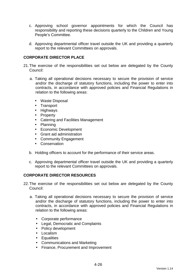- c. Approving school governor appointments for which the Council has responsibility and reporting these decisions quarterly to the Children and Young People's Committee.
- d. Approving departmental officer travel outside the UK and providing a quarterly report to the relevant Committees on approvals.

## **CORPORATE DIRECTOR PLACE**

- 21. The exercise of the responsibilities set out below are delegated by the County Council:
	- a. Taking all operational decisions necessary to secure the provision of service and/or the discharge of statutory functions, including the power to enter into contracts, in accordance with approved policies and Financial Regulations in relation to the following areas:
		- Waste Disposal
		- Transport
		- Highways
		- Property
		- Catering and Facilities Management
		- Planning
		- Economic Development
		- Grant aid administration
		- Community Engagement
		- Conservation
	- b. Holding officers to account for the performance of their service areas.
	- c. Approving departmental officer travel outside the UK and providing a quarterly report to the relevant Committees on approvals.

## **CORPORATE DIRECTOR RESOURCES**

- 22. The exercise of the responsibilities set out below are delegated by the County Council:
	- a. Taking all operational decisions necessary to secure the provision of service and/or the discharge of statutory functions, including the power to enter into contracts, in accordance with approved policies and Financial Regulations in relation to the following areas:
		- Corporate performance
		- Legal, Democratic and Complaints
		- Policy development
		- Localism
		- Equalities
		- Communications and Marketing
		- Finance, Procurement and Improvement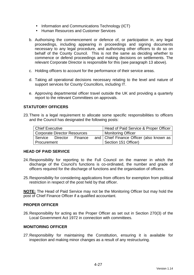- Information and Communications Technology (ICT)
- Human Resources and Customer Services
- b. Authorising the commencement or defence of, or participation in, any legal proceedings, including appearing in proceedings and signing documents necessary to any legal procedure, and authorising other officers to do so on behalf of the County Council. This is not the same as deciding whether to commence or defend proceedings and making decisions on settlements. The relevant Corporate Director is responsible for this (see paragraph 13 above).
- c. Holding officers to account for the performance of their service areas.
- d. Taking all operational decisions necessary relating to the level and nature of support services for County Councillors, including IT.
- e. Approving departmental officer travel outside the UK and providing a quarterly report to the relevant Committees on approvals.

## **STATUTORY OFFICERS**

23. There is a legal requirement to allocate some specific responsibilities to officers and the Council has designated the following posts:

| Chief Executive                     |  |         |  | Head of Paid Service & Proper Officer      |
|-------------------------------------|--|---------|--|--------------------------------------------|
| <b>Corporate Director Resources</b> |  |         |  | <b>Monitoring Officer</b>                  |
| Service Director                    |  | Finance |  | and   Chief Finance Officer (also known as |
| l Procurement                       |  |         |  | Section 151 Officer)                       |

#### **HEAD OF PAID SERVICE**

- 24. Responsibility for reporting to the Full Council on the manner in which the discharge of the Council's functions is co-ordinated, the number and grade of officers required for the discharge of functions and the organisation of officers.
- 25. Responsibility for considering applications from officers for exemption from political restriction in respect of the post held by that officer.

**NOTE:** The Head of Paid Service may not be the Monitoring Officer but may hold the post of Chief Finance Officer if a qualified accountant.

#### **PROPER OFFICER**

26. Responsibility for acting as the Proper Officer as set out in Section 270(3) of the Local Government Act 1972 in connection with committees.

#### **MONITORING OFFICER**

27. Responsibility for maintaining the Constitution, ensuring it is available for inspection and making minor changes as a result of any restructuring.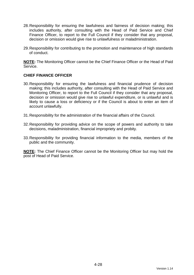- 28. Responsibility for ensuring the lawfulness and fairness of decision making; this includes authority, after consulting with the Head of Paid Service and Chief Finance Officer, to report to the Full Council if they consider that any proposal, decision or omission would give rise to unlawfulness or maladministration.
- 29. Responsibility for contributing to the promotion and maintenance of high standards of conduct.

**NOTE:** The Monitoring Officer cannot be the Chief Finance Officer or the Head of Paid Service.

#### **CHIEF FINANCE OFFICER**

- 30. Responsibility for ensuring the lawfulness and financial prudence of decision making; this includes authority, after consulting with the Head of Paid Service and Monitoring Officer, to report to the Full Council if they consider that any proposal, decision or omission would give rise to unlawful expenditure, or is unlawful and is likely to cause a loss or deficiency or if the Council is about to enter an item of account unlawfully.
- 31. Responsibility for the administration of the financial affairs of the Council.
- 32. Responsibility for providing advice on the scope of powers and authority to take decisions, maladministration, financial impropriety and probity.
- 33. Responsibility for providing financial information to the media, members of the public and the community.

**NOTE:** The Chief Finance Officer cannot be the Monitoring Officer but may hold the post of Head of Paid Service.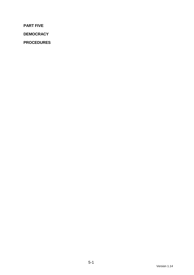**PART FIVE** 

**DEMOCRACY** 

**PROCEDURES**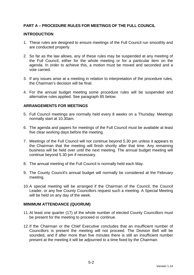## **PART A – PROCEDURE RULES FOR MEETINGS OF THE FULL COUNCIL**

#### **INTRODUCTION**

- 1. These rules are designed to ensure meetings of the Full Council run smoothly and are conducted properly.
- 2. So far as the law allows, any of these rules may be suspended at any meeting of the Full Council, either for the whole meeting or for a particular item on the agenda. In order to achieve this, a motion must be moved and seconded and a vote carried.
- 3. If any issues arise at a meeting in relation to interpretation of the procedure rules, the Chairman's decision will be final.
- 4. For the annual budget meeting some procedure rules will be suspended and alternative rules applied. See paragraph 85 below.

#### **ARRANGEMENTS FOR MEETINGS**

- 5. Full Council meetings are normally held every 8 weeks on a Thursday. Meetings normally start at 10.30am.
- 6. The agenda and papers for meetings of the Full Council must be available at least five clear working days before the meeting.
- 7. Meetings of the Full Council will not continue beyond 5.30 pm unless it appears to the Chairman that the meeting will finish shortly after that time. Any remaining business will be held over until the next meeting. The annual budget meeting will continue beyond 5.30 pm if necessary.
- 8. The annual meeting of the Full Council is normally held each May.
- 9. The County Council's annual budget will normally be considered at the February meeting.
- 10. A special meeting will be arranged if the Chairman of the Council, the Council Leader, or any five County Councillors request such a meeting. A Special Meeting will be held on any day of the week.

#### **MINIMUM ATTENDANCE (QUORUM)**

- 11. At least one quarter (17) of the whole number of elected County Councillors must be present for the meeting to proceed or continue.
- 12. If the Chairman or the Chief Executive concludes that an insufficient number of Councillors is present the meeting will not proceed. The Division Bell will be sounded, and if after more than five minutes there is still an insufficient number present at the meeting it will be adjourned to a time fixed by the Chairman.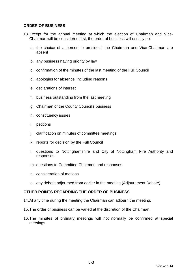#### **ORDER OF BUSINESS**

- 13. Except for the annual meeting at which the election of Chairman and Vice-Chairman will be considered first, the order of business will usually be:
	- a. the choice of a person to preside if the Chairman and Vice-Chairman are absent
	- b. any business having priority by law
	- c. confirmation of the minutes of the last meeting of the Full Council
	- d. apologies for absence, including reasons
	- e. declarations of interest
	- f. business outstanding from the last meeting
	- g. Chairman of the County Council's business
	- h. constituency issues
	- i. petitions
	- j. clarification on minutes of committee meetings
	- k. reports for decision by the Full Council
	- l. questions to Nottinghamshire and City of Nottingham Fire Authority and responses
	- m. questions to Committee Chairmen and responses
	- n. consideration of motions
	- o. any debate adjourned from earlier in the meeting (Adjournment Debate)

### **OTHER POINTS REGARDING THE ORDER OF BUSINESS**

- 14. At any time during the meeting the Chairman can adjourn the meeting.
- 15. The order of business can be varied at the discretion of the Chairman.
- 16. The minutes of ordinary meetings will not normally be confirmed at special meetings.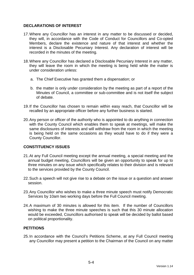## **DECLARATIONS OF INTEREST**

- 17. Where any Councillor has an interest in any matter to be discussed or decided, they will, in accordance with the Code of Conduct for Councillors and Co-opted Members, declare the existence and nature of that interest and whether the interest is a Disclosable Pecuniary Interest. Any declaration of interest will be recorded in the minutes of the meeting.
- 18. Where any Councillor has declared a Disclosable Pecuniary Interest in any matter, they will leave the room in which the meeting is being held while the matter is under consideration unless:
	- a. The Chief Executive has granted them a dispensation; or
	- b. the matter is only under consideration by the meeting as part of a report of the Minutes of Council, a committee or sub-committee and is not itself the subject of debate.
- 19. If the Councillor has chosen to remain within easy reach, that Councillor will be recalled by an appropriate officer before any further business is started.
- 20. Any person or officer of the authority who is appointed to do anything in connection with the County Council which enables them to speak at meetings, will make the same disclosures of interests and will withdraw from the room in which the meeting is being held on the same occasions as they would have to do if they were a County Councillor.

## **CONSTITUENCY ISSUES**

- 21. At any Full Council meeting except the annual meeting, a special meeting and the annual budget meeting, Councillors will be given an opportunity to speak for up to three minutes on any issue which specifically relates to their division and is relevant to the services provided by the County Council.
- 22. Such a speech will not give rise to a debate on the issue or a question and answer session.
- 23. Any Councillor who wishes to make a three minute speech must notify Democratic Services by 10am two working days before the Full Council meeting.
- 24. A maximum of 30 minutes is allowed for this item. If the number of Councillors wishing to make the three minute speeches is such that this 30 minute allocation would be exceeded, Councillors authorised to speak will be decided by ballot based on political proportionality.

### **PETITIONS**

25. In accordance with the Council's Petitions Scheme, at any Full Council meeting any Councillor may present a petition to the Chairman of the Council on any matter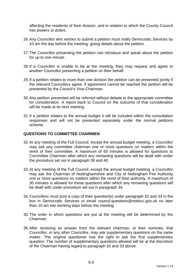affecting the residents of their division, and in relation to which the County Council has powers or duties.

- 26. Any Councillor who wishes to submit a petition must notify Democratic Services by 10 am the day before the meeting, giving details about the petition.
- 27. The Councillor presenting the petition can introduce and speak about the petition for up to one minute.
- 28. If a Councillor is unable to be at the meeting, they may request and agree to another Councillor presenting a petition on their behalf.
- 29. If a petition relates to more than one division the petition can be presented jointly if the relevant Councillors agree. If agreement cannot be reached the petition will be presented by the Council's Vice-Chairman.
- 30. Any petition presented will be referred without debate to the appropriate committee for consideration. A report back to Council on the outcome of that consideration will be made at its next meeting.
- 31. If a petition relates to the annual budget it will be included within the consultation responses and will not be presented separately under the normal petitions scheme.

#### **QUESTIONS TO COMMITTEE CHAIRMEN**

- 32. At any meeting of the Full Council, except the annual budget meeting, a Councillor may ask any committee chairman one or more questions on matters within the remit of their committee. A maximum of 60 minutes is allowed for questions to Committee Chairmen after which any remaining questions will be dealt with under the procedure set out in paragraph 39 and 40.
- 33. At any meeting of the Full Council, except the annual budget meeting, a Councillor may ask the Chairman of Nottinghamshire and City of Nottingham Fire Authority one or more questions on matters within the remit of their authority. A maximum of 30 minutes is allowed for these questions after which any remaining questions will be dealt with under procedure set out in paragraph 34.
- 34. Councillors must post a copy of their question(s) under paragraph 32 and 33 in the box in Democratic Services or email council.questions@nottscc.gov.uk no later than 10 am two working days before the meeting.
- 35. The order in which questions are put at the meeting will be determined by the Chairman.
- 36. After receiving an answer from the relevant chairman, or their nominee, that Councillor, or any other Councillor, may ask supplementary questions on the same matter. The original questioner has the right to ask the first supplementary question. The number of supplementary questions allowed will be at the discretion of the Chairman having regard to paragraph 32 and 33 above.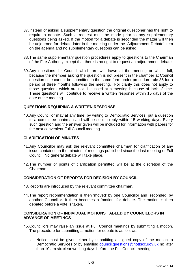- 37. Instead of asking a supplementary question the original questioner has the right to require a debate. Such a request must be made prior to any supplementary questions being asked. If the motion for a debate is seconded the matter will then be adjourned for debate later in the meeting under the 'Adjournment Debate' item on the agenda and no supplementary questions can be asked.
- 38. The same supplementary question procedures apply to questions to the Chairman of the Fire Authority except that there is no right to request an adjournment debate.
- 39. Any questions for Council which are withdrawn at the meeting or which fall, because the member asking the question is not present in the chamber at Council question time cannot be submitted in the same form under procedure rule 36 for a period of three months following the meeting. For clarity this does not apply to those questions which are not discussed at a meeting because of lack of time. These questions will continue to receive a written response within 15 days of the date of the meeting.

#### **QUESTIONS REQUIRING A WRITTEN RESPONSE**

40. Any Councillor may at any time, by writing to Democratic Services, put a question to a committee chairman and will be sent a reply within 15 working days. Every such question and the answer given will be included for information with papers for the next convenient Full Council meeting.

#### **CLARIFICATION OF MINUTES**

- 41. Any Councillor may ask the relevant committee chairman for clarification of any issue contained in the minutes of meetings published since the last meeting of Full Council. No general debate will take place.
- 42. The number of points of clarification permitted will be at the discretion of the Chairman.

#### **CONSIDERATION OF REPORTS FOR DECISION BY COUNCIL**

- 43. Reports are introduced by the relevant committee chairman.
- 44. The report recommendation is then 'moved' by one Councillor and 'seconded' by another Councillor. It then becomes a 'motion' for debate. The motion is then debated before a vote is taken.

#### **CONSIDERATION OF INDIVIDUAL MOTIONS TABLED BY COUNCILLORS IN ADVANCE OF MEETINGS**

- 45. Councillors may raise an issue at Full Council meetings by submitting a motion. The procedure for submitting a motion for debate is as follows:
	- a. Notice must be given either by submitting a signed copy of the motion to Democratic Services or by emailing council.questions@nottscc.gov.uk no later than 10 am six clear working days before the Full Council meeting.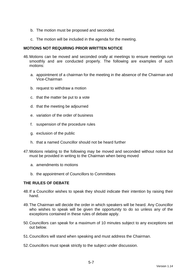- b. The motion must be proposed and seconded.
- c. The motion will be included in the agenda for the meeting.

#### **MOTIONS NOT REQUIRING PRIOR WRITTEN NOTICE**

- 46. Motions can be moved and seconded orally at meetings to ensure meetings run smoothly and are conducted properly. The following are examples of such motions:
	- a. appointment of a chairman for the meeting in the absence of the Chairman and Vice-Chairman
	- b. request to withdraw a motion
	- c. that the matter be put to a vote
	- d. that the meeting be adjourned
	- e. variation of the order of business
	- f. suspension of the procedure rules
	- g. exclusion of the public
	- h. that a named Councillor should not be heard further
- 47. Motions relating to the following may be moved and seconded without notice but must be provided in writing to the Chairman when being moved
	- a. amendments to motions
	- b. the appointment of Councillors to Committees

#### **THE RULES OF DEBATE**

- 48. If a Councillor wishes to speak they should indicate their intention by raising their hand.
- 49. The Chairman will decide the order in which speakers will be heard. Any Councillor who wishes to speak will be given the opportunity to do so unless any of the exceptions contained in these rules of debate apply.
- 50. Councillors can speak for a maximum of 10 minutes subject to any exceptions set out below.
- 51. Councillors will stand when speaking and must address the Chairman.
- 52. Councillors must speak strictly to the subject under discussion.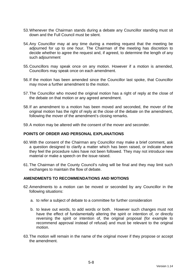- 53. Whenever the Chairman stands during a debate any Councillor standing must sit down and the Full Council must be silent.
- 54. Any Councillor may at any time during a meeting request that the meeting be adjourned for up to one hour. The Chairman of the meeting has discretion to decide whether to agree the request and, if agreed, to determine the length of any such adjournment
- 55. Councillors may speak once on any motion. However if a motion is amended, Councillors may speak once on each amendment.
- 56. If the motion has been amended since the Councillor last spoke, that Councillor may move a further amendment to the motion.
- 57. The Councillor who moved the original motion has a right of reply at the close of the debate on that motion or any agreed amendment.
- 58. If an amendment to a motion has been moved and seconded, the mover of the original motion has the right of reply at the close of the debate on the amendment, following the mover of the amendment's closing remarks.
- 59. A motion may be altered with the consent of the mover and seconder.

## **POINTS OF ORDER AND PERSONAL EXPLANATIONS**

- 60. With the consent of the Chairman any Councillor may make a brief comment, ask a question designed to clarify a matter which has been raised, or indicate where they feel the procedure rules have not been followed. They may not introduce new material or make a speech on the issue raised.
- 61. The Chairman of the County Council's ruling will be final and they may limit such exchanges to maintain the flow of debate.

#### **AMENDMENTS TO RECOMMENDATIONS AND MOTIONS**

- 62. Amendments to a motion can be moved or seconded by any Councillor in the following situations:
	- a. to refer a subject of debate to a committee for further consideration
	- b. to leave out words, to add words or both. However such changes must not have the effect of fundamentally altering the spirit or intention of, or directly reversing the spirit or intention of, the original proposal (for example to recommend approval instead of refusal) and must be relevant to the original motion.
- 63. The motion will remain in the name of the original mover if they propose or accept the amendment.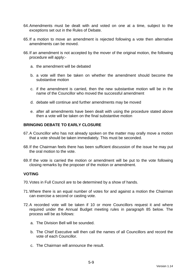- 64. Amendments must be dealt with and voted on one at a time, subject to the exceptions set out in the Rules of Debate.
- 65. If a motion to move an amendment is rejected following a vote then alternative amendments can be moved.
- 66. If an amendment is not accepted by the mover of the original motion, the following procedure will apply:
	- a. the amendment will be debated
	- b. a vote will then be taken on whether the amendment should become the substantive motion
	- c. if the amendment is carried, then the new substantive motion will be in the name of the Councillor who moved the successful amendment
	- d. debate will continue and further amendments may be moved
	- e. after all amendments have been dealt with using the procedure stated above then a vote will be taken on the final substantive motion

## **BRINGING DEBATE TO EARLY CLOSURE**

- 67. A Councillor who has not already spoken on the matter may orally move a motion that a vote should be taken immediately. This must be seconded.
- 68. If the Chairman feels there has been sufficient discussion of the issue he may put the oral motion to the vote.
- 69. If the vote is carried the motion or amendment will be put to the vote following closing remarks by the proposer of the motion or amendment.

#### **VOTING**

- 70. Votes in Full Council are to be determined by a show of hands.
- 71. Where there is an equal number of votes for and against a motion the Chairman can exercise a second or casting vote.
- 72. A recorded vote will be taken if 10 or more Councillors request it and where required under the Annual Budget meeting rules in paragraph 85 below. The process will be as follows:
	- a. The Division Bell will be sounded.
	- b. The Chief Executive will then call the names of all Councillors and record the vote of each Councillor.
	- c. The Chairman will announce the result.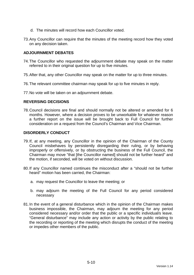- d. The minutes will record how each Councillor voted.
- 73. Any Councillor can require that the minutes of the meeting record how they voted on any decision taken.

#### **ADJOURNMENT DEBATES**

- 74. The Councillor who requested the adjournment debate may speak on the matter referred to in their original question for up to five minutes.
- 75. After that, any other Councillor may speak on the matter for up to three minutes.
- 76. The relevant committee chairman may speak for up to five minutes in reply.
- 77. No vote will be taken on an adjournment debate.

#### **REVERSING DECISIONS**

78. Council decisions are final and should normally not be altered or amended for 6 months. However, where a decision proves to be unworkable for whatever reason a further report on the issue will be brought back to Full Council for further consideration on a request from the Council's Chairman and Vice Chairman.

#### **DISORDERLY CONDUCT**

- 79. If, at any meeting, any Councillor in the opinion of the Chairman of the County Council misbehaves by persistently disregarding their ruling, or by behaving improperly or offensively, or by obstructing the business of the Full Council, the Chairman may move "that [the Councillor named] should not be further heard" and the motion, if seconded, will be voted on without discussion.
- 80. If any Councillor named continues the misconduct after a "should not be further heard" motion has been carried, the Chairman:
	- a. may request the Councillor to leave the meeting; or
	- b. may adjourn the meeting of the Full Council for any period considered necessary
- 81. In the event of a general disturbance which in the opinion of the Chairman makes business impossible, the Chairman, may adjourn the meeting for any period considered necessary and/or order that the public or a specific individual/s leave. "General disturbance" may include any action or activity by the public relating to the recording or reporting of the meeting which disrupts the conduct of the meeting or impedes other members of the public.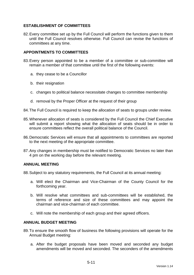## **ESTABLISHMENT OF COMMITTEES**

82. Every committee set up by the Full Council will perform the functions given to them until the Full Council resolves otherwise. Full Council can revise the functions of committees at any time.

### **APPOINTMENTS TO COMMITTEES**

- 83. Every person appointed to be a member of a committee or sub-committee will remain a member of that committee until the first of the following events:
	- a. they cease to be a Councillor
	- b. their resignation
	- c. changes to political balance necessitate changes to committee membership
	- d. removal by the Proper Officer at the request of their group
- 84. The Full Council is required to keep the allocation of seats to groups under review.
- 85. Whenever allocation of seats is considered by the Full Council the Chief Executive will submit a report showing what the allocation of seats should be in order to ensure committees reflect the overall political balance of the Council.
- 86. Democratic Services will ensure that all appointments to committees are reported to the next meeting of the appropriate committee.
- 87. Any changes in membership must be notified to Democratic Services no later than 4 pm on the working day before the relevant meeting.

#### **ANNUAL MEETING**

88. Subject to any statutory requirements, the Full Council at its annual meeting:

- a. Will elect the Chairman and Vice-Chairman of the County Council for the forthcoming year.
- b. Will resolve what committees and sub-committees will be established, the terms of reference and size of these committees and may appoint the chairman and vice-chairman of each committee.
- c. Will note the membership of each group and their agreed officers.

#### **ANNUAL BUDGET MEETING**

- 89. To ensure the smooth flow of business the following provisions will operate for the Annual Budget meeting:
	- a. After the budget proposals have been moved and seconded any budget amendments will be moved and seconded. The seconders of the amendments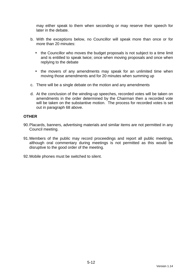may either speak to them when seconding or may reserve their speech for later in the debate.

- b. With the exceptions below, no Councillor will speak more than once or for more than 20 minutes:
	- the Councillor who moves the budget proposals is not subject to a time limit and is entitled to speak twice; once when moving proposals and once when replying to the debate
	- the movers of any amendments may speak for an unlimited time when moving those amendments and for 20 minutes when summing up
- c. There will be a single debate on the motion and any amendments
- d. At the conclusion of the winding-up speeches, recorded votes will be taken on amendments in the order determined by the Chairman then a recorded vote will be taken on the substantive motion. The process for recorded votes is set out in paragraph 68 above.

### **OTHER**

- 90. Placards, banners, advertising materials and similar items are not permitted in any Council meeting.
- 91. Members of the public may record proceedings and report all public meetings, although oral commentary during meetings is not permitted as this would be disruptive to the good order of the meeting.
- 92. Mobile phones must be switched to silent.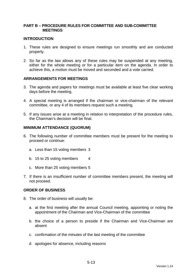### **PART B – PROCEDURE RULES FOR COMMITTEE AND SUB-COMMITTEE MEETINGS**

#### **INTRODUCTION**

- 1. These rules are designed to ensure meetings run smoothly and are conducted properly.
- 2. So far as the law allows any of these rules may be suspended at any meeting, either for the whole meeting or for a particular item on the agenda. In order to achieve this, a motion must be moved and seconded and a vote carried.

#### **ARRANGEMENTS FOR MEETINGS**

- 3. The agenda and papers for meetings must be available at least five clear working days before the meeting.
- 4. A special meeting is arranged if the chairman or vice-chairman of the relevant committee, or any 4 of its members request such a meeting.
- 5. If any issues arise at a meeting in relation to interpretation of the procedure rules, the Chairman's decision will be final.

#### **MINIMUM ATTENDANCE (QUORUM)**

- 6. The following number of committee members must be present for the meeting to proceed or continue:
	- a. Less than 15 voting members 3
	- b. 15 to 25 voting members 4
	- c. More than 25 voting members 5
- 7. If there is an insufficient number of committee members present, the meeting will not proceed.

#### **ORDER OF BUSINESS**

- 8. The order of business will usually be:
	- a. at the first meeting after the annual Council meeting, appointing or noting the appointment of the Chairman and Vice-Chairman of the committee
	- b. the choice of a person to preside if the Chairman and Vice-Chairman are absent
	- c. confirmation of the minutes of the last meeting of the committee
	- d. apologies for absence, including reasons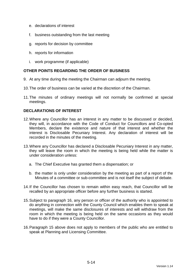- e. declarations of interest
- f. business outstanding from the last meeting
- g. reports for decision by committee
- h. reports for information
- i. work programme (if applicable)

## **OTHER POINTS REGARDING THE ORDER OF BUSINESS**

- 9. At any time during the meeting the Chairman can adjourn the meeting.
- 10. The order of business can be varied at the discretion of the Chairman.
- 11. The minutes of ordinary meetings will not normally be confirmed at special meetings.

## **DECLARATIONS OF INTEREST**

- 12. Where any Councillor has an interest in any matter to be discussed or decided, they will, in accordance with the Code of Conduct for Councillors and Co-opted Members, declare the existence and nature of that interest and whether the interest is Disclosable Pecuniary Interest. Any declaration of interest will be recorded in the minutes of the meeting.
- 13. Where any Councillor has declared a Disclosable Pecuniary Interest in any matter, they will leave the room in which the meeting is being held while the matter is under consideration unless:
	- a. The Chief Executive has granted them a dispensation; or
	- b. the matter is only under consideration by the meeting as part of a report of the Minutes of a committee or sub-committee and is not itself the subject of debate.
- 14. If the Councillor has chosen to remain within easy reach, that Councillor will be recalled by an appropriate officer before any further business is started.
- 15. Subject to paragraph 16, any person or officer of the authority who is appointed to do anything in connection with the County Council which enables them to speak at meetings, will make the same disclosures of interests and will withdraw from the room in which the meeting is being held on the same occasions as they would have to do if they were a County Councillor.
- 16. Paragraph 15 above does not apply to members of the public who are entitled to speak at Planning and Licensing Committee.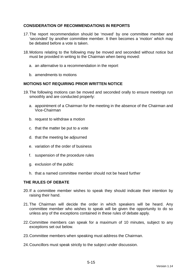## **CONSIDERATION OF RECOMMENDATIONS IN REPORTS**

- 17. The report recommendation should be 'moved' by one committee member and 'seconded' by another committee member. It then becomes a 'motion' which may be debated before a vote is taken.
- 18. Motions relating to the following may be moved and seconded without notice but must be provided in writing to the Chairman when being moved:
	- a. an alternative to a recommendation in the report
	- b. amendments to motions

#### **MOTIONS NOT REQUIRING PRIOR WRITTEN NOTICE**

- 19. The following motions can be moved and seconded orally to ensure meetings run smoothly and are conducted properly:
	- a. appointment of a Chairman for the meeting in the absence of the Chairman and Vice-Chairman
	- b. request to withdraw a motion
	- c. that the matter be put to a vote
	- d. that the meeting be adjourned
	- e. variation of the order of business
	- f. suspension of the procedure rules
	- g. exclusion of the public
	- h. that a named committee member should not be heard further

#### **THE RULES OF DEBATE**

- 20. If a committee member wishes to speak they should indicate their intention by raising their hand.
- 21. The Chairman will decide the order in which speakers will be heard. Any committee member who wishes to speak will be given the opportunity to do so unless any of the exceptions contained in these rules of debate apply.
- 22. Committee members can speak for a maximum of 10 minutes, subject to any exceptions set out below.
- 23. Committee members when speaking must address the Chairman.
- 24. Councillors must speak strictly to the subject under discussion.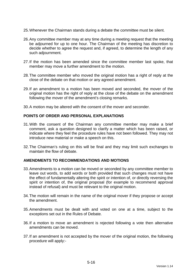- 25. Whenever the Chairman stands during a debate the committee must be silent.
- 26. Any committee member may at any time during a meeting request that the meeting be adjourned for up to one hour. The Chairman of the meeting has discretion to decide whether to agree the request and, if agreed, to determine the length of any such adjournment.
- 27. If the motion has been amended since the committee member last spoke, that member may move a further amendment to the motion.
- 28. The committee member who moved the original motion has a right of reply at the close of the debate on that motion or any agreed amendment.
- 29. If an amendment to a motion has been moved and seconded, the mover of the original motion has the right of reply at the close of the debate on the amendment following the mover of the amendment's closing remarks.
- 30. A motion may be altered with the consent of the mover and seconder.

#### **POINTS OF ORDER AND PERSONAL EXPLANATIONS**

- 31. With the consent of the Chairman any committee member may make a brief comment, ask a question designed to clarify a matter which has been raised, or indicate where they feel the procedure rules have not been followed. They may not introduce new material or make a speech on this.
- 32. The Chairman's ruling on this will be final and they may limit such exchanges to maintain the flow of debate.

#### **AMENDMENTS TO RECOMMENDATIONS AND MOTIONS**

- 33. Amendments to a motion can be moved or seconded by any committee member to leave out words, to add words or both provided that such changes must not have the effect of fundamentally altering the spirit or intention of, or directly reversing the spirit or intention of, the original proposal (for example to recommend approval instead of refusal) and must be relevant to the original motion.
- 34. The motion will remain in the name of the original mover if they propose or accept the amendment.
- 35. Amendments must be dealt with and voted on one at a time, subject to the exceptions set out in the Rules of Debate.
- 36. If a motion to move an amendment is rejected following a vote then alternative amendments can be moved.
- 37. If an amendment is not accepted by the mover of the original motion, the following procedure will apply:-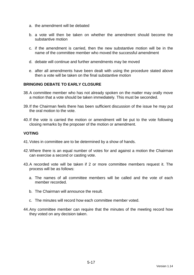- a. the amendment will be debated
- b. a vote will then be taken on whether the amendment should become the substantive motion
- c. if the amendment is carried, then the new substantive motion will be in the name of the committee member who moved the successful amendment
- d. debate will continue and further amendments may be moved
- e. after all amendments have been dealt with using the procedure stated above then a vote will be taken on the final substantive motion

## **BRINGING DEBATE TO EARLY CLOSURE**

- 38. A committee member who has not already spoken on the matter may orally move a motion that a vote should be taken immediately. This must be seconded.
- 39. If the Chairman feels there has been sufficient discussion of the issue he may put the oral motion to the vote.
- 40. If the vote is carried the motion or amendment will be put to the vote following closing remarks by the proposer of the motion or amendment.

#### **VOTING**

- 41. Votes in committee are to be determined by a show of hands.
- 42. Where there is an equal number of votes for and against a motion the Chairman can exercise a second or casting vote.
- 43. A recorded vote will be taken if 2 or more committee members request it. The process will be as follows:
	- a. The names of all committee members will be called and the vote of each member recorded.
	- b. The Chairman will announce the result.
	- c. The minutes will record how each committee member voted.
- 44. Any committee member can require that the minutes of the meeting record how they voted on any decision taken.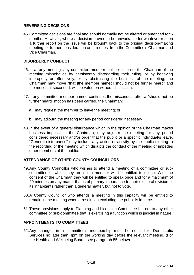## **REVERSING DECISIONS**

45. Committee decisions are final and should normally not be altered or amended for 6 months. However, where a decision proves to be unworkable for whatever reason a further report on the issue will be brought back to the original decision-making meeting for further consideration on a request from the Committee's Chairman and Vice Chairman.

## **DISORDERLY CONDUCT**

- 46. If, at any meeting, any committee member in the opinion of the Chairman of the meeting misbehaves by persistently disregarding their ruling, or by behaving improperly or offensively, or by obstructing the business of the meeting, the Chairman may move "that [the member named] should not be further heard" and the motion, if seconded, will be voted on without discussion.
- 47. If any committee member named continues the misconduct after a "should not be further heard" motion has been carried, the Chairman:
	- a. may request the member to leave the meeting; or
	- b. may adjourn the meeting for any period considered necessary
- 48. In the event of a general disturbance which in the opinion of the Chairman makes business impossible, the Chairman, may adjourn the meeting for any period considered necessary and/or order that the public or a specific individual/s leave. "General disturbance" may include any action or activity by the public relating to the recording of the meeting which disrupts the conduct of the meeting or impedes other members of the public.

#### **ATTENDANCE OF OTHER COUNTY COUNCILLORS**

- 49. Any County Councillor who wishes to attend a meeting of a committee or subcommittee of which they are not a member will be entitled to do so. With the consent of the Chairman they will be entitled to speak once and for a maximum of 20 minutes on any matter that is of primary importance to their electoral division or its inhabitants rather than a general matter, but not to vote.
- 50. A County Councillor who attends a meeting in this capacity will be entitled to remain in the meeting when a resolution excluding the public is in force.
- 51. These provisions apply to Planning and Licensing Committee but not to any other committee or sub-committee that is exercising a function which is judicial in nature.

#### **APPOINTMENTS TO COMMITTEES**

52. Any changes in a committee's membership must be notified to Democratic Services no later than 4pm on the working day before the relevant meeting. (For the Health and Wellbeing Board, see paragraph 55 below)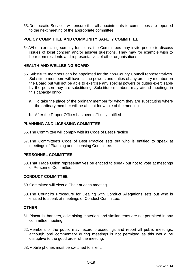53. Democratic Services will ensure that all appointments to committees are reported to the next meeting of the appropriate committee.

## **POLICY COMMITTEE AND COMMUNITY SAFETY COMMITTEE**

54. When exercising scrutiny functions, the Committees may invite people to discuss issues of local concern and/or answer questions. They may for example wish to hear from residents and representatives of other organisations.

### **HEALTH AND WELLBEING BOARD**

- 55. Substitute members can be appointed for the non-County Council representatives. Substitute members will have all the powers and duties of any ordinary member on the Board but will not be able to exercise any special powers or duties exercisable by the person they are substituting. Substitute members may attend meetings in this capacity only:
	- a. To take the place of the ordinary member for whom they are substituting where the ordinary member will be absent for whole of the meeting
	- b. After the Proper Officer has been officially notified

#### **PLANNING AND LICENSING COMMITTEE**

- 56. The Committee will comply with its Code of Best Practice
- 57. The Committee's Code of Best Practice sets out who is entitled to speak at meetings of Planning and Licensing Committee.

#### **PERSONNEL COMMITTEE**

58. That Trade Union representatives be entitled to speak but not to vote at meetings of Personnel Committee.

#### **CONDUCT COMMITTEE**

- 59. Committee will elect a Chair at each meeting.
- 60. The Council's Procedure for Dealing with Conduct Allegations sets out who is entitled to speak at meetings of Conduct Committee.

#### **OTHER**

- 61. Placards, banners, advertising materials and similar items are not permitted in any committee meeting.
- 62. Members of the public may record proceedings and report all public meetings, although oral commentary during meetings is not permitted as this would be disruptive to the good order of the meeting.
- 63. Mobile phones must be switched to silent.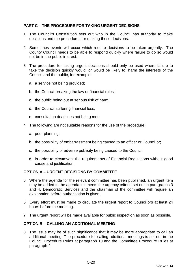## **PART C – THE PROCEDURE FOR TAKING URGENT DECISIONS**

- 1. The Council's Constitution sets out who in the Council has authority to make decisions and the procedures for making those decisions.
- 2. Sometimes events will occur which require decisions to be taken urgently. The County Council needs to be able to respond quickly where failure to do so would not be in the public interest.
- 3. The procedure for taking urgent decisions should only be used where failure to take the decision quickly would, or would be likely to, harm the interests of the Council and the public, for example:
	- a. a service not being provided;
	- b. the Council breaking the law or financial rules;
	- c. the public being put at serious risk of harm;
	- d. the Council suffering financial loss;
	- e. consultation deadlines not being met.
- 4. The following are not suitable reasons for the use of the procedure:
	- a. poor planning;
	- b. the possibility of embarrassment being caused to an officer or Councillor;
	- c. the possibility of adverse publicity being caused to the Council;
	- d. in order to circumvent the requirements of Financial Regulations without good cause and justification.

#### **OPTION A – URGENT DECISIONS BY COMMITTEE**

- 5. Where the agenda for the relevant committee has been published, an urgent item may be added to the agenda if it meets the urgency criteria set out in paragraphs 3 and 4. Democratic Services and the chairman of the committee will require an explanation before authorisation is given.
- 6. Every effort must be made to circulate the urgent report to Councillors at least 24 hours before the meeting.
- 7. The urgent report will be made available for public inspection as soon as possible.

### **OPTION B – CALLING AN ADDITIONAL MEETING**

8. The issue may be of such significance that it may be more appropriate to call an additional meeting. The procedure for calling additional meetings is set out in the Council Procedure Rules at paragraph 10 and the Committee Procedure Rules at paragraph 4.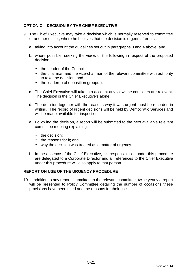# **OPTION C – DECISION BY THE CHIEF EXECUTIVE**

- 9. The Chief Executive may take a decision which is normally reserved to committee or another officer, where he believes that the decision is urgent, after first:
	- a. taking into account the guidelines set out in paragraphs 3 and 4 above; and
	- b. where possible, seeking the views of the following in respect of the proposed decision:-
		- the Leader of the Council.
		- the chairman and the vice-chairman of the relevant committee with authority to take the decision, and
		- the leader(s) of opposition group(s).
	- c. The Chief Executive will take into account any views he considers are relevant. The decision is the Chief Executive's alone.
	- d. The decision together with the reasons why it was urgent must be recorded in writing. The record of urgent decisions will be held by Democratic Services and will be made available for inspection.
	- e. Following the decision, a report will be submitted to the next available relevant committee meeting explaining:
		- the decision:
		- the reasons for it: and
		- why the decision was treated as a matter of urgency.
	- f. In the absence of the Chief Executive, his responsibilities under this procedure are delegated to a Corporate Director and all references to the Chief Executive under this procedure will also apply to that person.

#### **REPORT ON USE OF THE URGENCY PROCEDURE**

10. In addition to any reports submitted to the relevant committee, twice yearly a report will be presented to Policy Committee detailing the number of occasions these provisions have been used and the reasons for their use.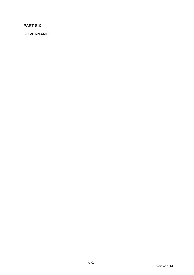**PART SIX** 

**GOVERNANCE**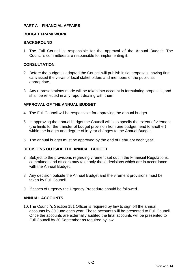## **PART A – FINANCIAL AFFAIRS**

#### **BUDGET FRAMEWORK**

#### **BACKGROUND**

1. The Full Council is responsible for the approval of the Annual Budget. The Council's committees are responsible for implementing it.

#### **CONSULTATION**

- 2. Before the budget is adopted the Council will publish initial proposals, having first canvassed the views of local stakeholders and members of the public as appropriate.
- 3. Any representations made will be taken into account in formulating proposals, and shall be reflected in any report dealing with them.

## **APPROVAL OF THE ANNUAL BUDGET**

- 4. The Full Council will be responsible for approving the annual budget.
- 5. In approving the annual budget the Council will also specify the extent of virement (the limits for the transfer of budget provision from one budget head to another) within the budget and degree of in-year changes to the Annual Budget.
- 6. The annual budget must be approved by the end of February each year.

#### **DECISIONS OUTSIDE THE ANNUAL BUDGET**

- 7. Subject to the provisions regarding virement set out in the Financial Regulations, committees and officers may take only those decisions which are in accordance with the Annual Budget.
- 8. Any decision outside the Annual Budget and the virement provisions must be taken by Full Council.
- 9. If cases of urgency the Urgency Procedure should be followed.

#### **ANNUAL ACCOUNTS**

10. The Council's Section 151 Officer is required by law to sign off the annual accounts by 30 June each year. These accounts will be presented to Full Council. Once the accounts are externally audited the final accounts will be presented to Full Council by 30 September as required by law.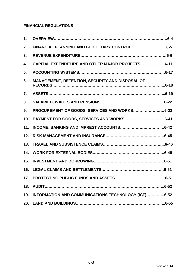# **FINANCIAL REGULATIONS**

| 1.  |                                                        |
|-----|--------------------------------------------------------|
| 2.  |                                                        |
| 3.  |                                                        |
| 4.  | CAPITAL EXPENDITURE AND OTHER MAJOR PROJECTS6-11       |
| 5.  |                                                        |
| 6.  | <b>MANAGEMENT, RETENTION, SECURITY AND DISPOSAL OF</b> |
| 7.  |                                                        |
| 8.  |                                                        |
| 9.  | PROCUREMENT OF GOODS, SERVICES AND WORKS6-23           |
| 10. |                                                        |
| 11. |                                                        |
| 12. |                                                        |
| 13. |                                                        |
| 14. |                                                        |
| 15. |                                                        |
| 16. |                                                        |
| 17. |                                                        |
| 18. |                                                        |
| 19. | INFORMATION AND COMMUNICATIONS TECHNOLOGY (ICT)6-52    |
| 20. |                                                        |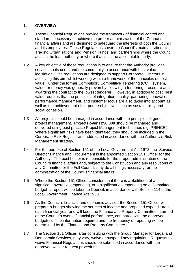# **1. OVERVIEW**

- 1.1 These Financial Regulations provide the framework of financial control and standards necessary to achieve the proper administration of the Council's financial affairs and are designed to safeguard the interests of both the Council and its employees. These Regulations cover the Council's main activities, its Trading Organisations and Pension Funds, and partnerships where the Council acts as the lead authority or where it acts as the accountable body.
- 1.2 A key objective of these regulations is to ensure that the Authority provides services to its users and the community in accordance with best value legislation. The regulations are designed to support Corporate Directors in achieving this aim whilst working within a framework of the principles of best value. Under the former Compulsory Competitive Tendering (CCT) system, value for money was generally proven by following a tendering procedure and awarding the contract to the lowest tenderer. However, in addition to cost, best value requires that the principles of integration, quality, partnering, innovation, performance management, and customer focus are also taken into account as well as the achievement of corporate objectives such as sustainability and social cohesion.
- 1.3 All projects should be managed in accordance with the principles of good project management. Projects **over £250,000** should be managed and delivered using best practice Project Management techniques e.g. PRINCE2. Where significant risks have been identified, they should be included in the Corporate Risk Register and addressed in accordance with the Authority's Risk Management strategy.
- 1.4 For the purpose of Section 151 of the Local Government Act 1972, the Service Director Finance and Procurement is the appointed Section 151 Officer for the Authority. The post holder is responsible for the proper administration of the Council's financial affairs and, subject to the Constitution and any resolutions of any Committee or the Full Council, may do all things necessary for the administration of the Council's financial affairs.
- 1.5 Where the Section 151 Officer considers that there is a likelihood of a significant overall overspending, or a significant overspending on a Committee budget, a report will be taken to Council, in accordance with Section 114 of the Local Government Finance Act 1988.
- 1.6 As the Council's financial and economic advisor, the Section 151 Officer will prepare a budget showing the sources of income and proposed expenditure in each financial year and will keep the Finance and Property Committee informed of the Council's overall financial performance, compared with the approved budget(s). The information required and the frequency of reporting will be determined by the Finance and Property Committee.
- 1.7 The Section 151 Officer, after consulting with the Group Manager for Legal and Democratic Services, may vary, waive or suspend any regulation. Requests to waive Financial Regulations should be submitted in accordance with the approved waiver request procedure.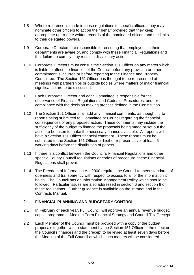- 1.8 Where reference is made in these regulations to specific officers, they may nominate other officers to act on their behalf provided that they keep appropriate up-to-date written records of the nominated officers and the limits to their delegated powers.
- 1.9 Corporate Directors are responsible for ensuring that employees in their departments are aware of, and comply with these Financial Regulations and that failure to comply may result in disciplinary action.
- 1.10 Corporate Directors must consult the Section 151 Officer on any matter which is liable to affect the finances of the Council before any provision or other commitment is incurred or before reporting to the Finance and Property Committee. The Section 151 Officer has the right to be represented at meetings with partnerships or outside bodies where matters of major financial significance are to be discussed.
- 1.11 Each Corporate Director and each Committee is responsible for the observance of Financial Regulations and Codes of Procedures, and for compliance with the decision making process defined in the Constitution.
- 1.12 The Section 151 Officer shall add any financial comments, as thought fit, to reports being submitted to Committee or Council regarding the financial consequences of any proposed action. These comments may include the sufficiency of the budget to finance the proposals being made or set out the action to be taken to make the necessary finance available. All reports will have a Section 151 Officer financial comment. These reports must be submitted to the Section 151 Officer or his/her representative, at least 5 working days before the distribution of papers.
- 1.13 If there is a conflict between the Council's Financial Regulations and other specific County Council regulations or codes of procedure, these Financial Regulations shall prevail.
- 1.14 The Freedom of Information Act 2000 requires the Council to meet standards of openness and transparency with respect to access to all of the information it holds. The Council has an Information Management Policy which should be followed. Particular issues are also addressed in section 6 and section 9 of these regulations. Further guidance is available on the intranet and in the Contracts Manual.

# **2. FINANCIAL PLANNING AND BUDGETARY CONTROL**

- 2.1 In February of each year, Full Council will approve an annual revenue budget, capital programme, Medium Term Financial Strategy and Council Tax Precept.
- 2.2 Each Member of the Council must be provided with a copy of the budget proposals together with a statement by the Section 151 Officer of the effect on the Council's finances and the precept to be levied at least seven days before the Meeting of the Full Council at which such matters will be considered.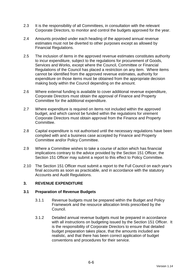- 2.3 It is the responsibility of all Committees, in consultation with the relevant Corporate Directors, to monitor and control the budgets approved for the year.
- 2.4 Amounts provided under each heading of the approved annual revenue estimates must not be diverted to other purposes except as allowed by Financial Regulations.
- 2.5 The inclusion of items in the approved revenue estimates constitutes authority to incur expenditure, subject to the regulations for procurement of Goods, Services and Works, except where the Council, Committee or Financial Regulations of the Council has placed a restriction on any item. Where items cannot be identified from the approved revenue estimates, authority for expenditure on those items must be obtained from the appropriate decision making body within the Council depending on the amount.
- 2.6 Where external funding is available to cover additional revenue expenditure, Corporate Directors must obtain the approval of Finance and Property Committee for the additional expenditure.
- 2.7 Where expenditure is required on items not included within the approved budget, and which cannot be funded within the regulations for virement Corporate Directors must obtain approval from the Finance and Property Committee.
- 2.8 Capital expenditure is not authorised until the necessary regulations have been complied with and a business case accepted by Finance and Property Committee and/or Policy Committee.
- 2.9 Where a Committee wishes to take a course of action which has financial implications contrary to the advice provided by the Section 151 Officer, the Section 151 Officer may submit a report to this effect to Policy Committee.
- 2.10 The Section 151 Officer must submit a report to the Full Council on each year's final accounts as soon as practicable, and in accordance with the statutory Accounts and Audit Regulations.

# **3. REVENUE EXPENDITURE**

## **3.1 Preparation of Revenue Budgets**

- 3.1.1 Revenue budgets must be prepared within the Budget and Policy Framework and the resource allocation limits prescribed by the Council.
- 3.1.2 Detailed annual revenue budgets must be prepared in accordance with all instructions on budgeting issued by the Section 151 Officer. It is the responsibility of Corporate Directors to ensure that detailed budget preparation takes place, that the amounts included are realistic, and that there has been correct application of budget conventions and procedures for their service.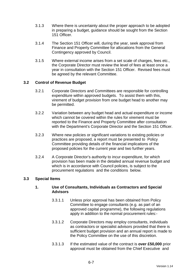- 3.1.3 Where there is uncertainty about the proper approach to be adopted in preparing a budget, guidance should be sought from the Section 151 Officer.
- 3.1.4 The Section 151 Officer will, during the year, seek approval from Finance and Property Committee for allocations from the General Contingency approved by Council.
- 3.1.5 Where external income arises from a set scale of charges, fees etc., the Corporate Director must review the level of fees at least once a year in consultation with the Section 151 Officer. Revised fees must be agreed by the relevant Committee.

# **3.2 Control of Revenue Budget**

- 3.2.1 Corporate Directors and Committees are responsible for controlling expenditure within approved budgets. To assist them with this, virement of budget provision from one budget head to another may be permitted.
- 3.2.2 Variation between any budget head and actual expenditure or income which cannot be covered within the rules for virement must be reported to the Finance and Property Committee after consultation with the Department's Corporate Director and the Section 151 Officer.
- 3.2.3 Where new policies or significant variations to existing policies or practices are proposed, a report must be presented to Policy Committee providing details of the financial implications of the proposed policies for the current year and two further years.
- 3.2.4 A Corporate Director's authority to incur expenditure, for which provision has been made in the detailed annual revenue budget and which is in accordance with Council policies, is subject to the procurement regulations and the conditions below.

## **3.3 Special Items**

## **1. Use of Consultants, Individuals as Contractors and Special Advisors**

- 3.3.1.1 Unless prior approval has been obtained from Policy Committee to engage consultants (e.g. as part of an approved capital programme), the following regulations apply in addition to the normal procurement rules:-
- 3.3.1.2 Corporate Directors may employ consultants, individuals as contractors or specialist advisors provided that there is sufficient budget provision and an annual report is made to the Policy Committee on the use of this discretion.
- 3.3.1.3 If the estimated value of the contract is **over £50,000** prior approval must be obtained from the Chief Executive and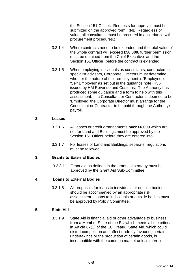the Section 151 Officer. Requests for approval must be submitted on the approved form. (NB Regardless of value, all consultants must be procured in accordance with procurement procedures.)

- 3.3.1.4 Where contracts need to be extended and the total value of the whole contract will **exceed £50,000,** further permission must be obtained from the Chief Executive and the Section 151 Officer before the contract is extended.
- 3.3.1.5 When employing individuals as consultants, contractors or specialist advisors, Corporate Directors must determine whether the nature of their employment is 'Employed' or 'Self Employed' as set out in the guidance note IR56 issued by HM Revenue and Customs. The Authority has produced some guidance and a form to help with this assessment. If a Consultant or Contractor is deemed to be 'Employed' the Corporate Director must arrange for the Consultant or Contractor to be paid through the Authority's payroll.

### **2. Leases**

- 3.3.1.6 All leases or credit arrangements **over £6,000** which are not for Land and Buildings must be approved by the Section 151 Officer before they are entered into.
- 3.3.1.7 For leases of Land and Buildings, separate regulations must be followed.

## **3. Grants to External Bodies**

3.3.3.1 Grant aid as defined in the grant aid strategy must be approved by the Grant Aid Sub-Committee.

## **4. Loans to External Bodies**

3.3.1.8 All proposals for loans to individuals or outside bodies should be accompanied by an appropriate risk assessment. Loans to individuals or outside bodies must be approved by Policy Committee.

# **5. State Aid**

3.3.1.9 State Aid is financial aid or other advantage to business from a Member State of the EU which meets all the criteria in Article 87(1) of the EC Treaty. State Aid, which could distort competition and affect trade by favouring certain undertakings or the production of certain goods, is incompatible with the common market unless there is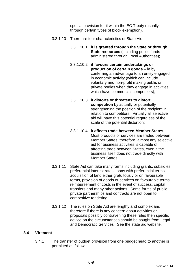special provision for it within the EC Treaty (usually through certain types of block exemption).

- 3.3.1.10 There are four characteristics of State Aid:
	- 3.3.1.10.1 **it is granted through the State or through State resources** (including public funds administered through Local Authorities);
	- 3.3.1.10.2 **it favours certain undertakings or production of certain goods** – ie by conferring an advantage to an entity engaged in economic activity (which can include voluntary and non-profit making public or private bodies when they engage in activities which have commercial competitors);
	- 3.3.1.10.3 **it distorts or threatens to distort competition** by actually or potentially strengthening the position of the recipient in relation to competitors. Virtually all selective aid will have this potential regardless of the scale of the potential distortion;
	- 3.3.1.10.4 **it affects trade between Member States.** Most products or services are traded between Member States, therefore, almost any selective aid for business activities is capable of affecting trade between States, even if the business itself does not trade directly with Member States.
- 3.3.1.11 State Aid can take many forms including grants, subsidies, preferential interest rates, loans with preferential terms, acquisition of land either gratuitously or on favourable terms, provision of goods or services on favourable terms, reimbursement of costs in the event of success, capital transfers and many other actions. Some forms of public private partnerships and contracts are not open to competitive tendering.
- 3.3.1.12 The rules on State Aid are lengthy and complex and therefore if there is any concern about activities or proposals possibly contravening these rules then specific advice on the circumstances should be sought from Legal and Democratic Services. See the state aid website.

## **3.4 Virement**

3.4.1 The transfer of budget provision from one budget head to another is permitted as follows: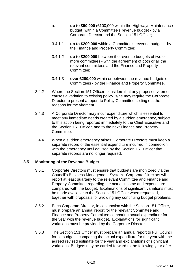- a. **up to £50,000** (£100,000 within the Highways Maintenance budget) within a Committee's revenue budget - by a Corporate Director and the Section 151 Officer;
- 3.4.1.1 **up to £200,000** within a Committee's revenue budget by the Finance and Property Committee;
- 3.4.1.2 **up to £200,000** between the revenue budgets of two or more committees - with the agreement of both or all the relevant committees and the Finance and Property Committee;
- 3.4.1.3 **over £200,000** within or between the revenue budgets of Committees - by the Finance and Property Committee.
- 3.4.2 Where the Section 151 Officer considers that any proposed virement causes a variation to existing policy, s/he may require the Corporate Director to present a report to Policy Committee setting out the reasons for the virement.
- 3.4.3 A Corporate Director may incur expenditure which is essential to meet any immediate needs created by a sudden emergency, subject to this action being reported immediately to the Chief Executive and the Section 151 Officer, and to the next Finance and Property Committee.
- 3.4.4 When a sudden emergency arises, Corporate Directors must keep a separate record of the essential expenditure incurred in connection with the emergency until advised by the Section 151 Officer that separate records are no longer required.

## **3.5 Monitoring of the Revenue Budget**

- 3.5.1 Corporate Directors must ensure that budgets are monitored via the Council's Business Management System. Corporate Directors will report at least quarterly to the relevant Committee and Finance and Property Committee regarding the actual income and expenditure compared with the budget. Explanations of significant variations must be made available to the Section 151 Officer when requested, together with proposals for avoiding any continuing budget problems.
- 3.5.2 Each Corporate Director, in conjunction with the Section 151 Officer, must prepare an annual report for the relevant Committee and Finance and Property Committee comparing actual expenditure for the year with the revenue budget. Explanations for significant variations must be provided by the Corporate Director.
- 3.5.3 The Section 151 Officer must prepare an annual report to Full Council for all budgets, comparing the actual expenditure for the year with the agreed revised estimate for the year and explanations of significant variations. Budgets may be carried forward to the following year after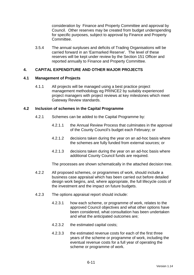consideration by Finance and Property Committee and approval by Council. Other reserves may be created from budget underspending for specific purposes, subject to approval by Finance and Property Committee.

3.5.4 The annual surpluses and deficits of Trading Organisations will be carried forward in an 'Earmarked Reserve'. The level of these reserves will be kept under review by the Section 151 Officer and reported annually to Finance and Property Committee.

## **4. CAPITAL EXPENDITURE AND OTHER MAJOR PROJECTS**

### **4.1 Management of Projects**

4.1.1 All projects will be managed using a best practice project management methodology eg PRINCE2 by suitably experienced project managers with project reviews at key milestones which meet Gateway Review standards.

### **4.2 Inclusion of schemes in the Capital Programme**

- 4.2.1 Schemes can be added to the Capital Programme by:
	- 4.2.1.1 the Annual Review Process that culminates in the approval of the County Council's budget each February; or
	- 4.2.1.2 decisions taken during the year on an ad-hoc basis where the schemes are fully funded from external sources; or
	- 4.2.1.3 decisions taken during the year on an ad-hoc basis where additional County Council funds are required.

The processes are shown schematically in the attached decision tree.

- 4.2.2 All proposed schemes, or programmes of work, should include a business case appraisal which has been carried out before detailed design work begins, and, where appropriate, the full lifecycle costs of the investment and the impact on future budgets.
- 4.2.3 The options appraisal report should include:
	- 4.2.3.1 how each scheme, or programme of work, relates to the approved Council objectives and what other options have been considered, what consultation has been undertaken and what the anticipated outcomes are;
	- 4.2.3.2 the estimated capital costs;
	- 4.2.3.3 the estimated revenue costs for each of the first three years of the scheme or programme of work, including the eventual revenue costs for a full year of operating the scheme or programme of work.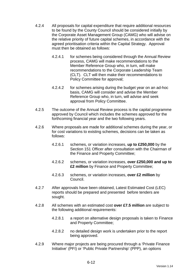- 4.2.4 All proposals for capital expenditure that require additional resources to be found by the County Council should be considered initially by the Corporate Asset Management Group (CAMG) who will advise on the relative priority of future capital schemes, in accordance with the agreed prioritisation criteria within the Capital Strategy. Approval must then be obtained as follows:
	- 4.2.4.1 for schemes being considered through the Annual Review process, CAMG will make recommendations to the Member Reference Group who, in turn, will make recommendations to the Corporate Leadership Team (CLT). CLT will then make their recommendations to Policy Committee for approval;
	- 4.2.4.2 for schemes arising during the budget year on an ad-hoc basis, CAMG will consider and advise the Member Reference Group who, in turn, will advise and seek approval from Policy Committee.
- 4.2.5 The outcome of the Annual Review process is the capital programme approved by Council which includes the schemes approved for the forthcoming financial year and the two following years.
- 4.2.6 Where proposals are made for additional schemes during the year, or for cost variations to existing schemes, decisions can be taken as follows:
	- 4.2.6.1 schemes, or variation increases, **up to £250,000** by the Section 151 Officer after consultation with the Chairman of the Finance and Property Committee;
	- 4.2.6.2 schemes, or variation increases, **over £250,000 and up to £2 million** by Finance and Property Committee;
	- 4.2.6.3 schemes, or variation increases, **over £2 million** by Council.
- 4.2.7 After approvals have been obtained, Latest Estimated Cost (LEC) reports should be prepared and presented before tenders are sought.
- 4.2.8 All schemes with an estimated cost **over £7.5 million** are subject to the following additional requirements:
	- 4.2.8.1 a report on alternative design proposals is taken to Finance and Property Committee;
	- 4.2.8.2 no detailed design work is undertaken prior to the report being approved.
- 4.2.9 Where major projects are being procured through a 'Private Finance Initiative' (PFI) or 'Public Private Partnership' (PPP), an options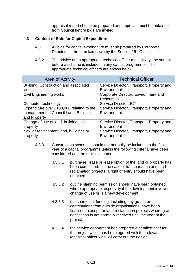appraisal report should be prepared and approval must be obtained from Council before bids are invited.

# **4.3 Content of Bids for Capital Expenditure**

- 4.3.1 All bids for capital expenditure must be prepared by Corporate Directors in the form laid down by the Section 151 Officer.
- 4.3.2 The advice of an appropriate technical officer must always be sought before a scheme is included in any capital programme. The appropriate technical officers are shown below:

| Area of Activity                          | <b>Technical Officer</b>                  |  |
|-------------------------------------------|-------------------------------------------|--|
| Building, Construction and associated     | Service Director, Transport, Property and |  |
| works                                     | Environment                               |  |
| <b>Civil Engineering works</b>            | Corporate Director, Environment and       |  |
|                                           | <b>Resources</b>                          |  |
| Computer technology                       | Service Director, ICT                     |  |
| Expenditure over £100,000 relating to the | Service Director, Transport, Property and |  |
| management of Council Land, Building      | Environment                               |  |
| and Property                              |                                           |  |
| Change of use of land, buildings or       | Service Director, Transport, Property and |  |
| property                                  | Environment                               |  |
| New or replacement land, buildings or     | Service Director, Transport, Property and |  |
| property                                  | Environment                               |  |

- 4.3.3 Construction schemes should not normally be included in the first year of a capital programme unless the following criteria have been considered and the risks evaluated:
	- 4.3.3.1 purchase, lease or lease option of the land or property has been completed. In the case of transportation and land reclamation projects, a right of entry should have been obtained;
	- 4.3.3.2 outline planning permission should have been obtained, where appropriate, especially if the development involves a change of use or is a new development;
	- 4.3.3.3 the sources of funding, including any grants or contributions from outside organisations, have been finalised - except for land reclamation projects where grant notification is not normally received until the year of the project;
	- 4.3.3.4 the service department has prepared a detailed brief for the project which has been agreed with the relevant technical officer who will carry out the design;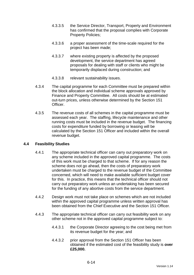- 4.3.3.5 the Service Director, Transport, Property and Environment has confirmed that the proposal complies with Corporate Property Policies;
- 4.3.3.6 a proper assessment of the time-scale required for the project has been made;
- 4.3.3.7 where existing property is affected by the proposed development, the service department has agreed proposals for dealing with staff or clients who might be temporarily displaced during construction; and
- 4.3.3.8 relevant sustainability issues.
- 4.3.4 The capital programme for each Committee must be prepared within the block allocation and individual scheme approvals approved by Finance and Property Committee. All costs should be at estimated out-turn prices, unless otherwise determined by the Section 151 Officer.
- 4.3.5 The revenue costs of all schemes in the capital programme must be assessed each year. The staffing, lifecycle maintenance and other running costs must be included in the revenue budget. The financing costs for expenditure funded by borrowing or leasing will be calculated by the Section 151 Officer and included within the overall revenue budget.

## **4.4 Feasibility Studies**

- 4.4.1 The appropriate technical officer can carry out preparatory work on any scheme included in the approved capital programme. The costs of this work must be charged to that scheme. If for any reason the scheme does not go ahead, then the costs of preparatory work undertaken must be charged to the revenue budget of the Committee concerned, which will need to make available sufficient budget cover for this. In practice, this means that the technical officer should not carry out preparatory work unless an undertaking has been secured for the funding of any abortive costs from the service department.
- 4.4.2 Design work must not take place on schemes which are not included within the approved capital programme unless written approval has been obtained from the Chief Executive and the Section 151 Officer.
- 4.4.3 The appropriate technical officer can carry out feasibility work on any other scheme not in the approved capital programme subject to:
	- 4.4.3.1 the Corporate Director agreeing to the cost being met from its revenue budget for the year; and
	- 4.4.3.2 prior approval from the Section 151 Officer has been obtained if the estimated cost of the feasibility study is **over £25,000.**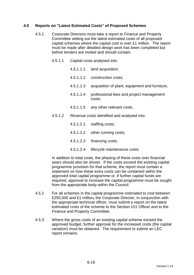# **4.5 Reports on "Latest Estimated Costs" of Proposed Schemes**

- 4.5.1 Corporate Directors must take a report to Finance and Property Committee setting out the latest estimated costs of all proposed capital schemes where the capital cost is over £1 million. The report must be made after detailed design work has been completed but before tenders are invited and should contain:
	- 4.5.1.1 Capital costs analysed into:
		- 4.5.1.1.1 land acquisition;
		- 4.5.1.1.2 construction costs;
		- 4.5.1.1.3 acquisition of plant, equipment and furniture;
		- 4.5.1.1.4 professional fees and project management costs;
		- 4.5.1.1.5 any other relevant costs.
	- 4.5.1.2 Revenue costs identified and analysed into:
		- 4.5.1.2.1 staffing costs;
		- 4.5.1.2.2 other running costs;
		- 4.5.1.2.3 financing costs;
		- 4.5.1.2.4 lifecycle maintenance costs.

In addition to total costs, the phasing of these costs over financial years should also be shown. If the costs exceed the existing capital programme provision for that scheme, the report must contain a statement on how these extra costs can be contained within the approved total capital programme or, if further capital funds are required, approval to increase the capital programme must be sought from the appropriate body within the Council.

- 4.5.2 For all schemes in the capital programme estimated to cost between £250,000 and £1 million**,** the Corporate Director, in conjunction with the appropriate technical officer, must submit a report on the latest estimated costs of the scheme to the Section 151 Officer and to the Finance and Property Committee.
- 4.5.3 Where the gross costs of an existing capital scheme exceed the approved budget, further approval for the increased costs (the capital variation) must be obtained. The requirement to submit an LEC report remains.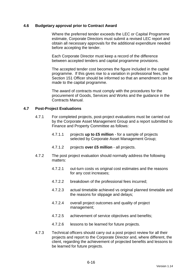### **4.6 Budgetary approval prior to Contract Award**

 Where the preferred tender exceeds the LEC or Capital Programme estimate, Corporate Directors must submit a revised LEC report and obtain all necessary approvals for the additional expenditure needed before accepting the tender.

 Each Corporate Director must keep a record of the difference between accepted tenders and capital programme provisions.

 The accepted tender cost becomes the figure included in the capital programme. If this gives rise to a variation in professional fees, the Section 151 Officer should be informed so that an amendment can be made to the capital programme.

 The award of contracts must comply with the procedures for the procurement of Goods, Services and Works and the guidance in the Contracts Manual.

### **4.7 Post-Project Evaluations**

- 4.7.1 For completed projects, post-project evaluations must be carried out by the Corporate Asset Management Group and a report submitted to Finance and Property Committee as follows:
	- 4.7.1.1 projects **up to £5 million** for a sample of projects selected by Corporate Asset Management Group;
	- 4.7.1.2 projects **over £5 million** all projects.
- 4.7.2 The post project evaluation should normally address the following matters:
	- 4.7.2.1 out-turn costs vs original cost estimates and the reasons for any cost increases;
	- 4.7.2.2 breakdown of the professional fees incurred;
	- 4.7.2.3 actual timetable achieved vs original planned timetable and the reasons for slippage and delays;
	- 4.7.2.4 overall project outcomes and quality of project management;
	- 4.7.2.5 achievement of service objectives and benefits;
	- 4.7.2.6 lessons to be learned for future projects.
- 4.7.3 Technical officers should carry out a post project review for all their projects and report to the Corporate Director and, where different, the client, regarding the achievement of projected benefits and lessons to be learned for future projects.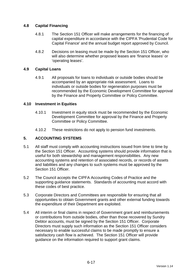# **4.8 Capital Financing**

- 4.8.1 The Section 151 Officer will make arrangements for the financing of capital expenditure in accordance with the CIPFA 'Prudential Code for Capital Finance' and the annual budget report approved by Council.
- 4.8.2 Decisions on leasing must be made by the Section 151 Officer, who will also determine whether proposed leases are 'finance leases' or 'operating leases'.

## **4.9 Capital Loans**

4.9.1 All proposals for loans to individuals or outside bodies should be accompanied by an appropriate risk assessment. Loans to individuals or outside bodies for regeneration purposes must be recommended by the Economic Development Committee for approval by the Finance and Property Committee or Policy Committee.

## **4.10 Investment in Equities**

- 4.10.1 Investment in equity stock must be recommended by the Economic Development Committee for approval by the Finance and Property Committee or Policy Committee.
- 4.10.2 These restrictions do not apply to pension fund investments.

# **5. ACCOUNTING SYSTEMS**

- 5.1 All staff must comply with accounting instructions issued from time to time by the Section 151 Officer. Accounting systems should provide information that is useful for both stewardship and management responsibilities. Any new accounting systems and retention of associated records, or records of assets and liabilities and any changes to such systems must be approved by the Section 151 Officer.
- 5.2 The Council accepts the CIPFA Accounting Codes of Practice and the supporting guidance statements. Standards of accounting must accord with these codes of best practice.
- 5.3 Corporate Directors and Committees are responsible for ensuring that all opportunities to obtain Government grants and other external funding towards the expenditure of their Department are exploited.
- 5.4 All interim or final claims in respect of Government grant and reimbursements or contributions from outside bodies, other than those recovered by Sundry Debtor accounts, must be signed by the Section 151 Officer. Corporate Directors must supply such information as the Section 151 Officer considers necessary to enable successful claims to be made promptly to ensure a satisfactory cash flow is achieved. The Section 151 Officer will provide guidance on the information required to support grant claims.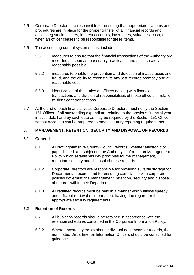- 5.5 Corporate Directors are responsible for ensuring that appropriate systems and procedures are in place for the proper transfer of all financial records and assets, eg stocks, stores, imprest accounts, inventories, valuables, cash, etc, when an officer ceases to be responsible for these items.
- 5.6 The accounting control systems must include:
	- 5.6.1 measures to ensure that the financial transactions of the Authority are recorded as soon as reasonably practicable and as accurately as reasonably possible;
	- 5.6.2 measures to enable the prevention and detection of inaccuracies and fraud, and the ability to reconstitute any lost records promptly and at reasonable cost;
	- 5.6.3 identification of the duties of officers dealing with financial transactions and division of responsibilities of those officers in relation to significant transactions.
- 5.7 At the end of each financial year, Corporate Directors must notify the Section 151 Officer of all outstanding expenditure relating to the previous financial year in such detail and by such date as may be required by the Section 151 Officer so that accounts can be prepared to meet statutory reporting requirements.

# **6. MANAGEMENT, RETENTION, SECURITY AND DISPOSAL OF RECORDS**

## **6.1 General**

- 6.1.1 All Nottinghamshire County Council records, whether electronic or paper-based, are subject to the Authority's Information Management Policy which establishes key principles for the management, retention, security and disposal of these records.
- 6.1.2 Corporate Directors are responsible for providing suitable storage for Departmental records and for ensuring compliance with corporate policies governing the management, retention, security and disposal of records within their Department.
- 6.1.3 All retained records must be held in a manner which allows speedy and efficient retrieval of information, having due regard for the appropriate security requirements.

## **6.2 Retention of Records**

- 6.2.1 All business records should be retained in accordance with the retention schedules contained in the Corporate Information Policy. .
- 6.2.2 Where uncertainty exists about individual documents or records, the nominated Departmental Information Officers should be consulted for guidance.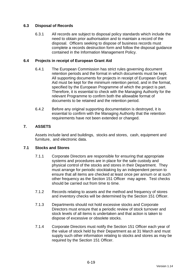# **6.3 Disposal of Records**

6.3.1 All records are subject to disposal policy standards which include the need to obtain prior authorisation and to maintain a record of the disposal. Officers seeking to dispose of business records must complete a records destruction form and follow the disposal guidance contained in the Information Management Policy.

## **6.4 Projects in receipt of European Grant Aid**

- 6.4.1 The European Commission has strict rules governing document retention periods and the format in which documents must be kept. All supporting documents for projects in receipt of European Grant Aid must be kept for the minimum retention period, and in the format, specified by the European Programme of which the project is part. Therefore, it is essential to check with the Managing Authority for the relevant Programme to confirm both the allowable format of documents to be retained and the retention period.
- 6.4.2 Before any original supporting documentation is destroyed, it is essential to confirm with the Managing Authority that the retention requirements have not been extended or changed.

# **7. ASSETS**

Assets include land and buildings, stocks and stores, cash, equipment and furniture, and electronic data.

## **7.1 Stocks and Stores**

- 7.1.1 Corporate Directors are responsible for ensuring that appropriate systems and procedures are in place for the safe custody and physical control of the stocks and stores in their Department. They must arrange for periodic stocktaking by an independent person to ensure that all items are checked at least once per annum or at such other frequency as the Section 151 Officer may agree. Test checks should be carried out from time to time.
- 7.1.2 Records relating to assets and the method and frequency of stores and inventory checks will be determined by the Section 151 Officer.
- 7.1.3 Departments should not hold excessive stocks and Corporate Directors must ensure that a periodic review of stock turnover and stock levels of all items is undertaken and that action is taken to dispose of excessive or obsolete stocks.
- 7.1.4 Corporate Directors must notify the Section 151 Officer each year of the value of stock held by their Department as at 31 March and must supply such other information relating to stocks and stores as may be required by the Section 151 Officer.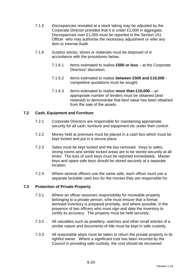- 7.1.5 Discrepancies revealed at a stock taking may be adjusted by the Corporate Director provided that it is under £1,000 in aggregate. Discrepancies over £1,000 must be reported to the Section 151 Officer who may authorise the necessary adjustment or refer any item to Internal Audit.
- 7.1.6 Surplus stocks, stores or materials must be disposed of in accordance with the procedures below:
	- 7.1.6.1 items estimated to realise **£500 or less** at the Corporate Directors' discretion;
	- 7.1.6.2 items estimated to realise **between £500 and £10,000** competitive quotations must be sought;
	- 7.1.6.3 items estimated to realise **more than £10,000** an appropriate number of tenders must be obtained (and retained) to demonstrate that best value has been obtained from the sale of the assets.

# **7.2 Cash, Equipment and Furniture**

- 7.2.1 Corporate Directors are responsible for maintaining appropriate security for all cash, furniture and equipment etc under their control.
- 7.2.2 Money held at premises must be placed in a cash box which must be kept locked and put in a secure place.
- 7.2.3 Safes must be kept locked and the key removed. Keys to safes, strong rooms and similar locked areas are to be stored securely at all times. The loss of such keys must be reported immediately. Master keys and spare safe keys should be stored securely at a separate location.
- 7.2.4 Where several officers use the same safe, each officer must use a separate lockable cash box for the monies they are responsible for.

## **7.3 Protection of Private Property**

- 7.3.1 Where an officer assumes responsibility for moveable property belonging to a private person, s/he must ensure that a formal itemised inventory is prepared promptly, and where possible, in the presence of two officers who must sign and date the inventory to certify its accuracy. The property must be held securely.
- 7.3.2 All valuables such as jewellery, watches and other small articles of a similar nature and documents of title must be kept in safe custody.
- 7.3.3 All reasonable steps must be taken to return the private property to its rightful owner. Where a significant cost has been incurred by the Council in providing safe custody, the cost should be recovered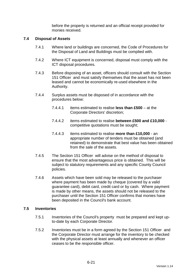before the property is returned and an official receipt provided for monies received.

### **7.4 Disposal of Assets**

- 7.4.1 Where land or buildings are concerned, the Code of Procedures for the Disposal of Land and Buildings must be complied with.
- 7.4.2 Where ICT equipment is concerned, disposal must comply with the ICT disposal procedures.
- 7.4.3 Before disposing of an asset, officers should consult with the Section 151 Officer and must satisfy themselves that the asset has not been leased and cannot be economically re-used elsewhere in the Authority.
- 7.4.4 Surplus assets must be disposed of in accordance with the procedures below:
	- 7.4.4.1 items estimated to realise **less than £500** at the Corporate Directors' discretion;
	- 7.4.4.2 items estimated to realise **between £500 and £10,000** competitive quotations must be sought;
	- 7.4.4.3 items estimated to realise **more than £10,000** an appropriate number of tenders must be obtained (and retained) to demonstrate that best value has been obtained from the sale of the assets.
- 7.4.5 The Section 151 Officer will advise on the method of disposal to ensure that the most advantageous price is obtained. This will be subject to statutory requirements and any specific County Council policies.
- 7.4.6 Assets which have been sold may be released to the purchaser where payment has been made by cheque (covered by a valid guarantee card), debit card, credit card or by cash. Where payment is made by other means, the assets should not be released to the purchaser until the Section 151 Officer confirms that monies have been deposited in the Council's bank account.

#### **7.5 Inventories**

- 7.5.1 Inventories of the Council's property must be prepared and kept upto-date by each Corporate Director.
- 7.5.2 Inventories must be in a form agreed by the Section 151 Officer and the Corporate Director must arrange for the inventory to be checked with the physical assets at least annually and whenever an officer ceases to be the responsible officer.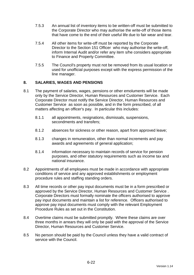- 7.5.3 An annual list of inventory items to be written-off must be submitted to the Corporate Director who may authorise the write-off of those items that have come to the end of their useful life due to fair wear and tear.
- 7.5.4 All other items for write-off must be reported by the Corporate Director to the Section 151 Officer who may authorise the write-off, inform Internal Audit and/or refer any item s/he considers appropriate to Finance and Property Committee.
- 7.5.5 The Council's property must not be removed from its usual location or used for unofficial purposes except with the express permission of the line manager.

# **8. SALARIES, WAGES AND PENSIONS**

- 8.1 The payment of salaries, wages, pensions or other emoluments will be made only by the Service Director, Human Resources and Customer Service. Each Corporate Director must notify the Service Director, Human Resources and Customer Service as soon as possible, and in the form prescribed, of all matters affecting an officer's pay. In particular this includes:
	- 8.1.1 all appointments, resignations, dismissals, suspensions, secondments and transfers;
	- 8.1.2 absences for sickness or other reason, apart from approved leave;
	- 8.1.3 changes in remuneration, other than normal increments and pay awards and agreements of general application;
	- 8.1.4 information necessary to maintain records of service for pension purposes, and other statutory requirements such as income tax and national insurance.
- 8.2 Appointments of all employees must be made in accordance with appropriate conditions of service and any approved establishments or employment procedure rules and staffing standing orders.
- 8.3 All time records or other pay input documents must be in a form prescribed or approved by the Service Director, Human Resources and Customer Service . Corporate Directors must formally nominate the officers authorised to approve pay input documents and maintain a list for reference. Officers authorised to approve pay input documents must comply with the relevant Employment Procedure Rules as set out in the Constitution.
- 8.4 Overtime claims must be submitted promptly. Where these claims are over three months in arrears they will only be paid with the approval of the Service Director, Human Resources and Customer Service.
- 8.5 No person should be paid by the Council unless they have a valid contract of service with the Council.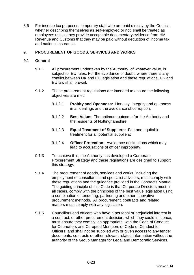8.6 For income tax purposes, temporary staff who are paid directly by the Council, whether describing themselves as self-employed or not, shall be treated as employees unless they provide acceptable documentary evidence from HM Revenue and Customs that they may be paid without deduction of income tax and national insurance.

# **9. PROCUREMENT OF GOODS, SERVICES AND WORKS**

## **9.1 General**

- 9.1.1 All procurement undertaken by the Authority, of whatever value, is subject to EU rules. For the avoidance of doubt, where there is any conflict between UK and EU legislation and these regulations, UK and EU law shall prevail.
- 9.1.2 These procurement regulations are intended to ensure the following objectives are met:
	- 9.1.2.1 **Probity and Openness:** Honesty, integrity and openness in all dealings and the avoidance of corruption;
	- 9.1.2.2 **Best Value:** The optimum outcome for the Authority and the residents of Nottinghamshire;
	- 9.1.2.3 **Equal Treatment of Suppliers:** Fair and equitable treatment for all potential suppliers;
	- 9.1.2.4 **Officer Protection:** Avoidance of situations which may lead to accusations of officer impropriety.
- 9.1.3 To achieve this, the Authority has developed a Corporate Procurement Strategy and these regulations are designed to support this strategy.
- 9.1.4 The procurement of goods, services and works, including the employment of consultants and specialist advisors, must comply with these regulations and the guidance provided in the Contracts Manual. The guiding principle of this Code is that Corporate Directors must, in all cases, comply with the principles of the best value legislation using a combination of tendering, partnering and other innovative procurement methods. All procurement, contracts and related matters must comply with any legislation.
- 9.1.5 Councillors and officers who have a personal or prejudicial interest in a contract, or other procurement decision, which they could influence, must ensure they comply, as appropriate, with the Code of Conduct for Councillors and Co-opted Members or Code of Conduct for Officers and shall not be supplied with or given access to any tender documents, contracts or other relevant related information without the authority of the Group Manager for Legal and Democratic Services.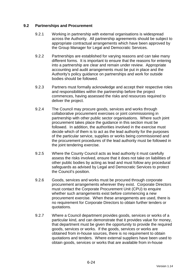## **9.2 Partnerships and Procurement**

- 9.2.1 Working in partnership with external organisations is widespread across the Authority. All partnership agreements should be subject to appropriate contractual arrangements which have been approved by the Group Manager for Legal and Democratic Services.
- 9.2.2 Partnerships are established for varying reasons and can take many different forms. It is important to ensure that the reasons for entering into a partnership are clear and remain under review. Appropriate accounting and audit arrangements must be put in place and the Authority's policy guidance on partnerships and work for outside bodies should be followed.
- 9.2.3 Partners must formally acknowledge and accept their respective roles and responsibilities within the partnership before the project commences, having assessed the risks and resources required to deliver the project.
- 9.2.4 The Council may procure goods, services and works through collaborative procurement exercises or joint commissioning in partnership with other public sector organisations. Where such joint procurement takes place the guidance in this section must be followed. In addition, the authorities involved in the exercise must decide which of them is to act as the lead authority for the purposes of the particular service, supplies or works being commissioned and the procurement procedures of the lead authority must be followed in the joint tendering exercise.
- 9.2.5 Where the County Council acts as lead authority it must carefully assess the risks involved, ensure that it does not take on liabilities of other public bodies by acting as lead and must follow any procedural safeguards as advised by Legal and Democratic Services to protect the Council's position.
- 9.2.6 Goods, services and works must be procured through corporate procurement arrangements wherever they exist. Corporate Directors must contact the Corporate Procurement Unit (CPU) to enquire whether such arrangements exist before commencing a new procurement exercise. When these arrangements are used, there is no requirement for Corporate Directors to obtain further tenders or quotations.
- 9.2.7 Where a Council department provides goods, services or works of a particular kind, and can demonstrate that it provides value for money, that department must be given the opportunity to provide the required goods, services or works. If the goods, services or works are obtained from in-house sources, there is no requirement to obtain quotations and tenders. Where external suppliers have been used to obtain goods, services or works that are available from in-house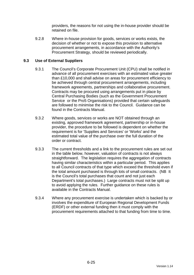providers, the reasons for not using the in-house provider should be retained on file.

9.2.8 Where in-house provision for goods, services or works exists, the decision of whether or not to expose this provision to alternative procurement arrangements, in accordance with the Authority's Procurement Strategy, should be reviewed periodically.

# **9.3 Use of External Suppliers**

- 9.3.1 The Council's Corporate Procurement Unit (CPU) shall be notified in advance of all procurement exercises with an estimated value greater than £10,000 and shall advise on areas for procurement efficiency to be achieved through central procurement arrangements, including framework agreements, partnerships and collaborative procurement. Contracts may be procured using arrangements put in place by Central Purchasing Bodies (such as the Government Procurement Service or the Pro5 Organisations) provided that certain safeguards are followed to minimise the risk to the Council. Guidance can be found in the Contracts Manual.
- 9.3.2 Where goods, services or works are NOT obtained through an existing, approved framework agreement, partnership or in-house provider, the procedure to be followed is dependent on whether the requirement is for 'Supplies and Services' or 'Works' and the estimated total value of the purchase over the full duration of the order or contract.
- 9.3.3 The current thresholds and a link to the procurement rules are set out in the table below, however, valuation of contracts is not always straightforward. The legislation requires the aggregation of contracts having similar characteristics within a particular period. This applies to all Council contracts of that type which exceed the threshold even if the total amount purchased is through lots of small contracts. (NB It is the Council's total purchases that count and not just each Department's total purchases.) Large contracts must not be split up to avoid applying the rules. Further guidance on these rules is available in the Contracts Manual.
- 9.3.4 Where any procurement exercise is undertaken which is backed by or involves the expenditure of European Regional Development Funds (ERDF) or other external funding then it must comply with the procurement requirements attached to that funding from time to time.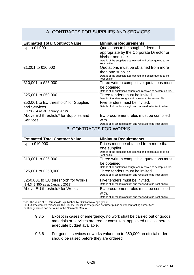#### A. CONTRACTS FOR SUPPLIES AND SERVICES **Estimated Total Contract Value Minimum Requirements** Up to £1,000  $\vert$  Quotations to be sought if deemed appropriate by the Corporate Director or his/her nominee. Details of the suppliers approached and prices quoted to be kept on file. £1,001 to £10,000 Quotations must be obtained from more than one supplier. Details of the suppliers approached and prices quoted to be kept on file. £10,001 to £25,000 Three written competitive quotations must be obtained. Details of all quotations sought and received to be kept on file. £25,001 to £50,000 Three tenders must be invited. Details of tenders sought and received to be kept on file. £50,001 to EU threshold\* for Supplies and Services (£173,934 as at January 2012) Five tenders must be invited. Details of all tenders sought and received to be kept on file. Above EU threshold\* for Supplies and **Services** EU procurement rules must be complied with. Details of all tenders sought and received to be kept on file. B. CONTRACTS FOR WORKS **Estimated Total Contract Value | Minimum Requirements** Up to £10,000 Prices must be obtained from more than one supplier. Details of the suppliers approached and prices quoted to be kept on file. £10,001 to £25,000 Three written competitive quotations must be obtained. Details of all quotations sought and received to be kept on file. £25,001 to £250,000 Three tenders must be invited. Details of all tenders sought and received to be kept on file. £250,001 to EU threshold\* for Works (£ 4,348,350 as at January 2012) Five tenders must be invited. Details of all tenders sought and received to be kept on file. Above EU threshold\* for Works **EU** procurement rules must be complied with. Details of all tenders sought and received to be kept on file.

\*NB The value of EU thresholds is published by OGC at www.ogc.gov.uk

For EU procurement thresholds, the County Council is categorised as 'Other public sector contracting authorities'.

Further guidance can be found in the Contracts Manual.

- 9.3.5 Except in cases of emergency, no work shall be carried out or goods, materials or services ordered or consultant appointed unless there is adequate budget available.
- 9.3.6 For goods, services or works valued up to £50,000 an official order should be raised before they are ordered.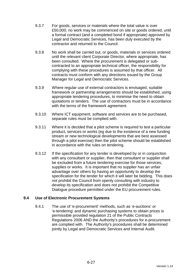- 9.3.7 For goods, services or materials where the total value is over £50,000, no work may be commenced on site or goods ordered, until a formal contract (and a completed bond if appropriate) approved by Legal and Democratic Services, has been duly executed by the contractor and returned to the Council.
- 9.3.8 No work shall be carried out, or goods, materials or services ordered until the relevant client Corporate Director, where appropriate, has been consulted. Where the procurement is delegated or subcontracted to an appropriate technical officer, the responsibility for complying with these procedures is assumed by that officer. All contracts must conform with any directions issued by the Group Manager for Legal and Democratic Services.
- 9.3.9 Where regular use of external contractors is envisaged, suitable framework or partnership arrangements should be established, using appropriate tendering procedures, to minimise the need to obtain quotations or tenders. The use of contractors must be in accordance with the terms of the framework agreement.
- 9.3.10 Where ICT equipment, software and services are to be purchased, separate rules must be complied with.
- 9.3.11 Where it is decided that a pilot scheme is required to test a particular product, services or works (eg due to the existence of a new funding stream or new technological developments that are best assessed through a pilot exercise) then the pilot scheme should be established in accordance with the rules on tendering.
- 9.3.12 If the specification for any tender is developed by or in conjunction with any consultant or supplier, then that consultant or supplier shall be excluded from a future tendering exercise for those services, supplies or works. It is important that no supplier has an unfair advantage over others by having an opportunity to develop the specification for the tender for which it will later be bidding. This does not prohibit the Council from openly consulting with industry to develop its specification and does not prohibit the Competitive Dialogue procedure permitted under the EU procurement rules.

## **9.4 Use of Electronic Procurement Systems**

9.4.1 The use of 'e-procurement' methods, such as 'e-auctions' or 'e-tendering' and dynamic purchasing systems to obtain prices is permissible provided regulation 21 of the Public Contracts Regulations 2006 AND the Authority's procedures for e-procurement are complied with. The Authority's procedures shall be determined jointly by Legal and Democratic Services and Internal Audit.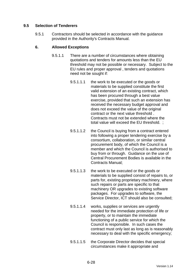# **9.5 Selection of Tenderers**

9.5.1 Contractors should be selected in accordance with the guidance provided in the Authority's Contracts Manual.

## **6. Allowed Exceptions**

- 9.5.1.1 There are a number of circumstances where obtaining quotations and tenders for amounts less than the EU threshold may not be possible or necessary. Subject to the EU rules and proper approval , tenders and quotations need not be sought if:
	- 9.5.1.1.1 the work to be executed or the goods or materials to be supplied constitute the first valid extension of an existing contract, which has been procured through a best value exercise, provided that such an extension has received the necessary budget approval and does not exceed the value of the original contract or the next value threshold . Contracts must not be extended where the total value will exceed the EU threshold. ;
	- 9.5.1.1.2 the Council is buying from a contract entered into following a proper tendering exercise by a consortium, collaboration, or similar central procurement body, of which the Council is a member and which the Council is authorised to buy from or through. Guidance on the use of Central Procurement Bodies is available in the Contracts Manual;
	- 9.5.1.1.3 the work to be executed or the goods or materials to be supplied consist of repairs to, or parts for, existing proprietary machinery, where such repairs or parts are specific to that machinery OR upgrades to existing software packages. For upgrades to software, the Service Director, ICT should also be consulted;
	- 9.5.1.1.4 works, supplies or services are urgently needed for the immediate protection of life or property, or to maintain the immediate functioning of a public service for which the Council is responsible. In such cases the contract must only last as long as is reasonably necessary to deal with the specific emergency;
	- 9.5.1.1.5 the Corporate Director decides that special circumstances make it appropriate and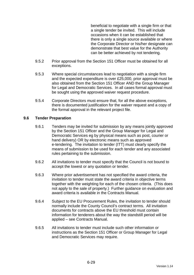beneficial to negotiate with a single firm or that a single tender be invited. This will include occasions when it can be established that there is only a single source available or where the Corporate Director or his/her designate can demonstrate that best value for the Authority can be better achieved by not tendering.

- 9.5.2 Prior approval from the Section 151 Officer must be obtained for all exceptions.
- 9.5.3 Where special circumstances lead to negotiation with a single firm and the expected expenditure is over £25,000, prior approval must be also obtained from the Section 151 Officer AND the Group Manager for Legal and Democratic Services. In all cases formal approval must be sought using the approved waiver request procedure.
- 9.5.4 Corporate Directors must ensure that, for all the above exceptions, there is documented justification for the waiver request and a copy of the formal approval in the relevant project file.

## **9.6 Tender Preparation**

- 9.6.1 Tenders may be invited for submission by any means jointly approved by the Section 151 Officer and the Group Manager for Legal and Democratic Services eg by physical means such as post, courier or hand delivery) OR by electronic means such as approved e-tendering. The invitation to tender (ITT) must clearly specify the means of submission to be used for each tender and any associated rules pertaining to the submission.
- 9.6.2 All invitations to tender must specify that the Council is not bound to accept the lowest or any quotation or tender.
- 9.6.3 Where prior advertisement has not specified the award criteria, the invitation to tender must state the award criteria in objective terms together with the weighting for each of the chosen criteria. (This does not apply to the sale of property.) Further guidance on evaluation and award criteria is available in the Contracts Manual.
- 9.6.4 Subject to the EU Procurement Rules, the invitation to tender should normally include the County Council's contract terms. All invitation documents for contracts above the EU threshold must contain information for tenderers about the way the standstill period will be applied – see Contracts Manual.
- 9.6.5 All invitations to tender must include such other information or instructions as the Section 151 Officer or Group Manager for Legal and Democratic Services may require.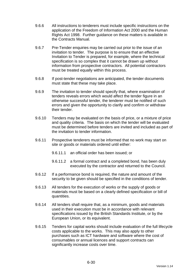- 9.6.6 All instructions to tenderers must include specific instructions on the application of the Freedom of Information Act 2000 and the Human Rights Act 1998. Further guidance on these matters is available in the Contracts Manual.
- 9.6.7 Pre-Tender enquiries may be carried out prior to the issue of an invitation to tender. The purpose is to ensure that an effective Invitation to Tender is prepared, for example, where the technical specification is so complex that it cannot be drawn up without information from prospective contractors. All potential contractors must be treated equally within this process.
- 9.6.8 If post-tender negotiations are anticipated, the tender documents must state that these may take place.
- 9.6.9 The invitation to tender should specify that, where examination of tenders reveals errors which would affect the tender figure in an otherwise successful tender, the tenderer must be notified of such errors and given the opportunity to clarify and confirm or withdraw their tender.
- 9.6.10 Tenders may be evaluated on the basis of price, or a mixture of price and quality criteria. The basis on which the tender will be evaluated must be determined before tenders are invited and included as part of the invitation to tender information.
- 9.6.11 Prospective tenderers must be informed that no work may start on site or goods or materials ordered until either:
	- 9.6.11.1 an official order has been issued; or
	- 9.6.11.2 a formal contract and a completed bond, has been duly executed by the contractor and returned to the Council.
- 9.6.12 If a performance bond is required, the nature and amount of the security to be given should be specified in the conditions of tender.
- 9.6.13 All tenders for the execution of works or the supply of goods or materials must be based on a clearly defined specification or bill of quantities.
- 9.6.14 All tenders shall require that, as a minimum, goods and materials used in their execution must be in accordance with relevant specifications issued by the British Standards Institute, or by the European Union, or its equivalent.
- 9.6.15 Tenders for capital works should include evaluation of the full lifecycle costs applicable to the works. This may also apply to other purchases such as ICT hardware and software where the cost of consumables or annual licences and support contracts can significantly increase costs over time.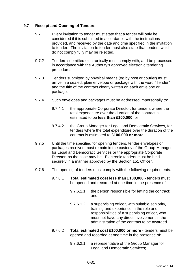# **9.7 Receipt and Opening of Tenders**

- 9.7.1 Every invitation to tender must state that a tender will only be considered if it is submitted in accordance with the instructions provided, and received by the date and time specified in the invitation to tender. The invitation to tender must also state that tenders which do not comply fully may be rejected.
- 9.7.2 Tenders submitted electronically must comply with, and be processed in accordance with the Authority's approved electronic tendering procedures.
- 9.7.3 Tenders submitted by physical means (eg by post or courier) must arrive in a sealed, plain envelope or package with the word "Tender" and the title of the contract clearly written on each envelope or package.
- 9.7.4 Such envelopes and packages must be addressed impersonally to:
	- 9.7.4.1 the appropriate Corporate Director, for tenders where the total expenditure over the duration of the contract is estimated to be **less than £100,000**; or
	- 9.7.4.2 the Group Manager for Legal and Democratic Services, for tenders where the total expenditure over the duration of the contract is estimated to **£100,000 or more.**
- 9.7.5 Until the time specified for opening tenders, tender envelopes or packages received must remain in the custody of the Group Manager for Legal and Democratic Services or the appropriate Corporate Director, as the case may be. Electronic tenders must be held securely in a manner approved by the Section 151 Officer.
- 9.7.6 The opening of tenders must comply with the following requirements:
	- 9.7.6.1 **Total estimated cost less than £100,000** tenders must be opened and recorded at one time in the presence of:
		- 9.7.6.1.1 the person responsible for letting the contract; and
		- 9.7.6.1.2 a supervising officer, with suitable seniority, training and experience in the role and responsibilities of a supervising officer, who must not have any direct involvement in the administration of the contract to be awarded.
	- 9.7.6.2 **Total estimated cost £100,000 or more** tenders must be opened and recorded at one time in the presence of:
		- 9.7.6.2.1 a representative of the Group Manager for Legal and Democratic Services;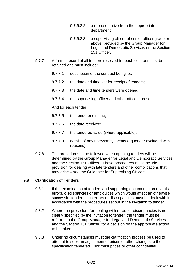- 9.7.6.2.2 a representative from the appropriate department;
- 9.7.6.2.3 a supervising officer of senior officer grade or above, provided by the Group Manager for Legal and Democratic Services or the Section 151 Officer.
- 9.7.7 A formal record of all tenders received for each contract must be retained and must include:
	- 9.7.7.1 description of the contract being let;
	- 9.7.7.2 the date and time set for receipt of tenders;
	- 9.7.7.3 the date and time tenders were opened;
	- 9.7.7.4 the supervising officer and other officers present;

And for each tender:

- 9.7.7.5 the tenderer's name;
- 9.7.7.6 the date received;
- 9.7.7.7 the tendered value (where applicable);
- 9.7.7.8 details of any noteworthy events (eg tender excluded with reasons).
- 9.7.8 The procedures to be followed when opening tenders will be determined by the Group Manager for Legal and Democratic Services and the Section 151 Officer. These procedures must include provision for dealing with late tenders and other complications that may arise – see the Guidance for Supervising Officers.

#### **9.8 Clarification of Tenders**

- 9.8.1 If the examination of tenders and supporting documentation reveals errors, discrepancies or ambiguities which would affect an otherwise successful tender, such errors or discrepancies must be dealt with in accordance with the procedures set out in the invitation to tender.
- 9.8.2 Where the procedure for dealing with errors or discrepancies is not clearly specified by the invitation to tender, the tender must be referred to the Group Manager for Legal and Democratic Services and the Section 151 Officer for a decision on the appropriate action to be taken.
- 9.8.3 Under no circumstances must the clarification process be used to attempt to seek an adjustment of prices or other changes to the specification tendered. Nor must prices or other confidential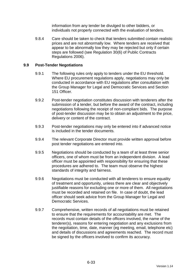information from any tender be divulged to other bidders, or individuals not properly connected with the evaluation of tenders.

9.8.4 Care should be taken to check that tenders submitted contain realistic prices and are not abnormally low. Where tenders are received that appear to be abnormally low they may be rejected but only if certain steps are followed (see Regulation 30(6) of Public Contracts Regulations 2006).

## **9.9 Post-Tender Negotiations**

- 9.9.1 The following rules only apply to tenders under the EU threshold. Where EU procurement regulations apply, negotiations may only be conducted in accordance with EU regulations after consultation with the Group Manager for Legal and Democratic Services and Section 151 Officer.
- 9.9.2 Post-tender negotiation constitutes discussion with tenderers after the submission of a tender, but before the award of the contract, including negotiations following the receipt of non-compliant bids. The purpose of post-tender discussion may be to obtain an adjustment to the price, delivery or content of the contract.
- 9.9.3 Post-tender negotiations may only be entered into if advanced notice is included in the tender documents.
- 9.9.4 The relevant Corporate Director must provide written approval before post tender negotiations are entered into.
- 9.9.5 Negotiations should be conducted by a team of at least three senior officers, one of whom must be from an independent division. A lead officer must be appointed with responsibility for ensuring that these procedures are adhered to. The team must observe the highest standards of integrity and fairness.
- 9.9.6 Negotiations must be conducted with all tenderers to ensure equality of treatment and opportunity, unless there are clear and objectively justifiable reasons for excluding one or more of them. All negotiations must be recorded and retained on file. In case of doubt, the lead officer should seek advice from the Group Manager for Legal and Democratic Services.
- 9.9.7 Comprehensive, written records of all negotiations must be retained to ensure that the requirements for accountability are met. The records must contain details of the officers involved, the name of the tenderer(s), reasons for entering negotiation and any exclusions from the negotiation, time, date, manner (eg meeting, email, telephone etc) and details of discussions and agreements reached. The record must be signed by the officers involved to confirm its accuracy.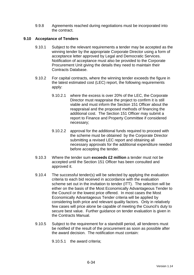9.9.8 Agreements reached during negotiations must be incorporated into the contract.

# **9.10 Acceptance of Tenders**

- 9.10.1 Subject to the relevant requirements a tender may be accepted as the winning tender by the appropriate Corporate Director using a form of acceptance letter approved by Legal and Democratic Services. Notification of acceptance must also be provided to the Corporate Procurement Unit giving the details they need to maintain their Contracts Database.
- 9.10.2 For capital contracts, where the winning tender exceeds the figure in the latest estimated cost (LEC) report, the following requirements apply:
	- 9.10.2.1 where the excess is over 20% of the LEC, the Corporate Director must reappraise the project to confirm it is still viable and must inform the Section 151 Officer about the reappraisal and the proposed methods of financing the additional cost. The Section 151 Officer may submit a report to Finance and Property Committee if considered necessary;
	- 9.10.2.2 approval for the additional funds required to proceed with the scheme must be obtained by the Corporate Director submitting a revised LEC report and obtaining all necessary approvals for the additional expenditure needed before accepting the tender.
- 9.10.3 Where the tender sum **exceeds £2 million** a tender must not be accepted until the Section 151 Officer has been consulted and approved it.
- 9.10.4 The successful tender(s) will be selected by applying the evaluation criteria to each bid received in accordance with the evaluation scheme set out in the invitation to tender (ITT). The selection will be either on the basis of the Most Economically Advantageous Tender to the Council or the lowest price offered. In most cases the Most Economically Advantageous Tender criteria will be applied by considering both price and relevant quality factors. Only in relatively few cases will price alone be capable of meeting the Council's duty to secure best value. Further guidance on tender evaluation is given in the Contracts Manual.
- 9.10.5 Subject to the requirement for a standstill period, all tenderers must be notified of the result of the procurement as soon as possible after the award decision. The notification must contain:

9.10.5.1 the award criteria;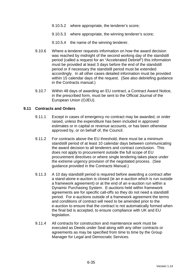- 9.10.5.2 where appropriate, the tenderer's score;
- 9.10.5.3 where appropriate, the winning tenderer's score;
- 9.10.5.4 the name of the winning tenderer.
- 9.10.6 Where a tenderer requests information on how the award decision was reached by midnight of the second working day of the standstill period (called a request for an "Accelerated Debrief") this information must be provided at least 3 days before the end of the standstill period or if necessary the standstill period must be extended accordingly. In all other cases detailed information must be provided within 15 calendar days of the request. (See also debriefing guidance in the Contracts manual.)
- 9.10.7 Within 48 days of awarding an EU contract, a Contract Award Notice, in the prescribed form, must be sent to the Official Journal of the European Union (OJEU).

### **9.11 Contracts and Orders**

- 9.11.1 Except in cases of emergency no contract may be awarded, or order raised, unless the expenditure has been included in approved estimates or in capital or revenue accounts, or has been otherwise approved by, or on behalf of, the Council.
- 9.11.2 For contracts above the EU threshold, there must be a minimum standstill period of at least 10 calendar days between communicating the award decision to all tenderers and contract conclusion. This does not apply to procurement outside the full scope of EU procurement directives or where single tendering takes place under the extreme urgency provision of the negotiated process. (See guidance provided in the Contracts Manual.)
- 9.11.3 A 10 day standstill period is required before awarding a contract after a stand-alone e-auction is closed (ie an e-auction which is run outside a framework agreement) or at the end of an e-auction run within a Dynamic Purchasing System. E-auctions held within framework agreements are for specific call-offs so they do not need a standstill period. For e-auctions outside of a framework agreement the terms and conditions of contract will need to be amended prior to the e-auction to ensure that the contract is not automatically formed when the final bid is accepted, to ensure compliance with UK and EU legislation.
- 9.11.4 All contracts for construction and maintenance work must be executed as Deeds under Seal along with any other contracts or agreements as may be specified from time to time by the Group Manager for Legal and Democratic Services.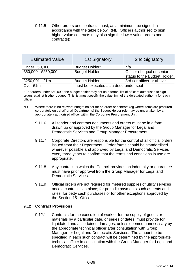9.11.5 Other orders and contracts must, as a minimum, be signed in accordance with the table below. (NB Officers authorised to sign higher value contracts may also sign the lower value orders and contracts):

| <b>Estimated Value</b> | <b>1st Signatory</b>                  | 2nd Signatory               |  |
|------------------------|---------------------------------------|-----------------------------|--|
| <b>Under £50,000</b>   | <b>Budget Holder*</b>                 | n/a                         |  |
| £50,000 - £250,000     | <b>Budget Holder</b>                  | Officer of equal or senior  |  |
|                        |                                       | status to the Budget Holder |  |
| £250,001 - £1m         | <b>Budget Holder</b>                  | 3rd tier officer or above   |  |
| Over £1m               | must be executed as a deed under seal |                             |  |

\* For orders under £50,000, the budget holder may set up a formal list of officers authorised to sign orders against his/her budget. This list must specify the value limit of the delegated authority for each officer.

- NB Where there is no relevant budget holder for an order or contract (eg where items are procured corporately on behalf of all Departments) the Budget Holder role may be undertaken by an appropriately authorised officer within the Corporate Procurement Unit.
	- 9.11.6 All tender and contract documents and orders must be in a form drawn up or approved by the Group Manager for Legal and Democratic Services and Group Manager Procurement.
	- 9.11.7 Corporate Directors are responsible for the control of all official orders issued from their Department. Order forms should be standardised wherever possible and approved by Legal and Democratic Services every three years to confirm that the terms and conditions in use are appropriate.
	- 9.11.8 Any contract in which the Council provides an indemnity or guarantee must have prior approval from the Group Manager for Legal and Democratic Services.
	- 9.11.9 Official orders are not required for metered supplies of utility services once a contract is in place; for periodic payments such as rents and rates; for petty cash purchases or for other exceptions approved by the Section 151 Officer.

## **9.12 Contract Provisions**

9.12.1 Contracts for the execution of work or for the supply of goods or materials by a particular date, or series of dates, must provide for liquidated and ascertained damages, unless deemed unnecessary by the appropriate technical officer after consultation with Group Manager for Legal and Democratic Services. The amount to be specified in each such contract will be determined by the appropriate technical officer in consultation with the Group Manager for Legal and Democratic Services.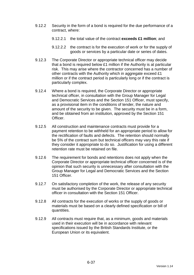- 9.12.2 Security in the form of a bond is required for the due performance of a contract, where:
	- 9.12.2.1 the total value of the contract **exceeds £1 million**; and
	- 9.12.2.2 the contract is for the execution of work or for the supply of goods or services by a particular date or series of dates.
- 9.12.3 The Corporate Director or appropriate technical officer may decide that a bond is required below £1 million if the Authority is at particular risk. This may arise where the contractor concerned has a number of other contracts with the Authority which in aggregate exceed £1 million or if the contract period is particularly long or if the contract is particularly complex.
- 9.12.4 Where a bond is required, the Corporate Director or appropriate technical officer, in consultation with the Group Manager for Legal and Democratic Services and the Section 151 Officer, must specify, as a provisional item in the conditions of tender, the nature and amount of the security to be given. The security must be in a form, and be obtained from an institution, approved by the Section 151 Officer.
- 9.12.5 All construction and maintenance contracts must provide for a payment retention to be withheld for an appropriate period to allow for the rectification of faults and defects. The retention should normally be 5% of the contract sum but technical officers may vary this rate if they consider it appropriate to do so. Justification for using a different retention rate must be retained on file.
- 9.12.6 The requirement for bonds and retentions does not apply when the Corporate Director or appropriate technical officer concerned is of the opinion that such security is unnecessary after consultation with the Group Manager for Legal and Democratic Services and the Section 151 Officer.
- 9.12.7 On satisfactory completion of the work, the release of any security must be authorised by the Corporate Director or appropriate technical officer in consultation with the Section 151 Officer.
- 9.12.8 All contracts for the execution of works or the supply of goods or materials must be based on a clearly defined specification or bill of quantities.
- 9.12.9 All contracts must require that, as a minimum, goods and materials used in their execution will be in accordance with relevant specifications issued by the British Standards Institute, or the European Union or its equivalent.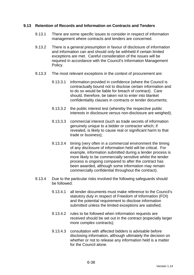## **9.13 Retention of Records and Information on Contracts and Tenders**

- 9.13.1 There are some specific issues to consider in respect of information management where contracts and tenders are concerned.
- 9.13.2 There is a general presumption in favour of disclosure of information and information can and should only be withheld if certain limited exceptions are met. Careful consideration of the issues will be required in accordance with the Council's Information Management Policy.
- 9.13.3 The most relevant exceptions in the context of procurement are:
	- 9.13.3.1 information provided in confidence (where the Council is contractually bound not to disclose certain information and to do so would be liable for breach of contract). Care should, therefore, be taken not to enter into blanket confidentiality clauses in contracts or tender documents;
	- 9.13.3.2 the public interest test (whereby the respective public interests in disclosure versus non-disclosure are weighed);
	- 9.13.3.3 commercial interest (such as trade secrets of information genuinely unique to a bidder or contractor which, if revealed, is likely to cause real or significant harm to that trade or business);
	- 9.13.3.4 timing (very often in a commercial environment the timing of any disclosure of information held will be critical. For example, information submitted during a tender process is more likely to be commercially sensitive whilst the tender process is ongoing compared to after the contract has been awarded, although some information may remain commercially confidential throughout the contract).
- 9.13.4 Due to the particular risks involved the following safeguards should be followed:
	- 9.13.4.1 all tender documents must make reference to the Council's statutory duty in respect of Freedom of Information (FOI) and the potential requirement to disclose information submitted unless the limited exceptions are satisfied;
	- 9.13.4.2 rules to be followed when information requests are received should be set out in the contract (especially larger more complex contracts);
	- 9.13.4.3 consultation with affected bidders is advisable before disclosing information, although ultimately the decision on whether or not to release any information held is a matter for the Council alone.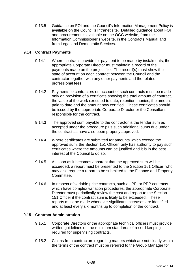9.13.5 Guidance on FOI and the Council's Information Management Policy is available on the Council's Intranet site. Detailed guidance about FOI and procurement is available on the OGC website, from the Information Commissioner's website, in the Contracts Manual and from Legal and Democratic Services.

### **9.14 Contract Payments**

- 9.14.1 Where contracts provide for payment to be made by instalments, the appropriate Corporate Director must maintain a record of the payments made on the project file. The record(s) must show the state of account on each contract between the Council and the contractor together with any other payments and the related professional fees.
- 9.14.2 Payments to contractors on account of such contracts must be made only on provision of a certificate showing the total amount of contract, the value of the work executed to date, retention monies, the amount paid to date and the amount now certified. These certificates should be issued by the appropriate Corporate Director or the Consultant responsible for the contract.
- 9.14.3 The approved sum payable to the contractor is the tender sum as accepted under the procedure plus such additional sums due under the contract as have also been properly approved.
- 9.14.4 Where certificates are submitted for amounts which exceed the approved sum, the Section 151 Officer only has authority to pay such certificates where the amounts can be justified and it is in the best interest of the Council to do so.
- 9.14.5 As soon as it becomes apparent that the approved sum will be exceeded, a report must be presented to the Section 151 Officer, who may also require a report to be submitted to the Finance and Property Committee.
- 9.14.6 In respect of variable price contracts, such as PFI or PPP contracts which have complex variation procedures, the appropriate Corporate Director must periodically review the cost and report to the Section 151 Officer if the contract sum is likely to be exceeded. These reports must be made whenever significant increases are identified and at least every six months up to completion of the contract.

#### **9.15 Contract Administration**

- 9.15.1 Corporate Directors or the appropriate technical officers must provide written guidelines on the minimum standards of record keeping required for supervising contracts.
- 9.15.2 Claims from contractors regarding matters which are not clearly within the terms of the contract must be referred to the Group Manager for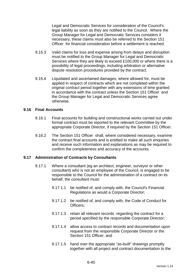Legal and Democratic Services for consideration of the Council's legal liability as soon as they are notified to the Council. Where the Group Manager for Legal and Democratic Services considers it necessary, these claims must also be referred to the Section 151 Officer for financial consideration before a settlement is reached.

- 9.15.3 Valid claims for loss and expense arising from delays and disruption must be notified to the Group Manager for Legal and Democratic Services where they are likely to exceed £100,000 or where there is a possibility of legal proceedings, including arbitration or alternative dispute resolution procedures provided by the contract.
- 9.15.4 Liquidated and ascertained damages, where allowed for, must be applied in respect of contracts which are not completed within the original contract period together with any extensions of time granted in accordance with the contract unless the Section 151 Officer and the Group Manager for Legal and Democratic Services agree otherwise.

#### **9.16 Final Accounts**

- 9.16.1 Final accounts for building and constructional works carried out under formal contract must be reported to the relevant Committee by the appropriate Corporate Director, if required by the Section 151 Officer.
- 9.16.2 The Section 151 Officer shall, where considered necessary, examine the contract final accounts and is entitled to make all such enquiries and receive such information and explanations as may be required to confirm the completeness and accuracy of the accounts.

#### **9.17 Administration of Contracts by Consultants**

- 9.17.1 Where a consultant (eg an architect, engineer, surveyor or other consultant) who is not an employee of the Council, is engaged to be responsible to the Council for the administration of a contract on its behalf, the consultant must:
	- 9.17.1.1 be notified of, and comply with, the Council's Financial Regulations as would a Corporate Director;
	- 9.17.1.2 be notified of, and comply with, the Code of Conduct for Officers;
	- 9.17.1.3 retain all relevant records regarding the contract for a period specified by the responsible Corporate Director;
	- 9.17.1.4 allow access to contract records and documentation upon request from the responsible Corporate Director or the Section 151 Officer: and
	- 9.17.1.5 hand over the appropriate "as-built" drawings promptly together with all project and contract documentation to the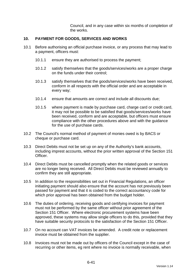Council, and in any case within six months of completion of the works.

#### **10. PAYMENT FOR GOODS, SERVICES AND WORKS**

- 10.1 Before authorising an official purchase invoice, or any process that may lead to a payment, officers must:
	- 10.1.1 ensure they are authorised to process the payment;
	- 10.1.2 satisfy themselves that the goods/services/works are a proper charge on the funds under their control;
	- 10.1.3 satisfy themselves that the goods/services/works have been received, conform in all respects with the official order and are acceptable in every way;
	- 10.1.4 ensure that amounts are correct and include all discounts due;
	- 10.1.5 where payment is made by purchase card, charge card or credit card, it may not be possible to be satisfied that goods/services/works have been received, conform and are acceptable, but officers must ensure compliance with the other procedures above and with the guidance for the use of purchase cards.
- 10.2 The Council's normal method of payment of monies owed is by BACS or cheque or purchase card.
- 10.3 Direct Debits must not be set up on any of the Authority's bank accounts, including imprest accounts, without the prior written approval of the Section 151 Officer.
- 10.4 Direct Debits must be cancelled promptly when the related goods or services are no longer being received. All Direct Debits must be reviewed annually to confirm they are still appropriate.
- 10.5 In addition to the responsibilities set out in Financial Regulations, an officer initiating payment should also ensure that the account has not previously been passed for payment and that it is coded to the correct accountancy code for which prior approval has been obtained from the budget holder.
- 10.6 The duties of ordering, receiving goods and certifying invoices for payment must not be performed by the same officer without prior agreement of the Section 151 Officer. Where electronic procurement systems have been approved, these systems may allow single officers to do this, provided that they have suitable security protocols to the satisfaction of the Section 151 Officer.
- 10.7 On no account can VAT invoices be amended. A credit note or replacement invoice must be obtained from the supplier.
- 10.8 Invoices must not be made out by officers of the Council except in the case of recurring or other items, eg rent where no invoice is normally receivable, when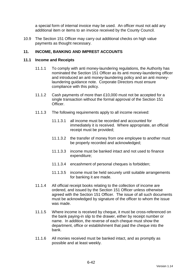a special form of internal invoice may be used. An officer must not add any additional item or items to an invoice received by the County Council.

10.9 The Section 151 Officer may carry out additional checks on high value payments as thought necessary.

### **11. INCOME, BANKING AND IMPREST ACCOUNTS**

#### **11.1 Income and Receipts**

- 11.1.1 To comply with anti money-laundering regulations, the Authority has nominated the Section 151 Officer as its anti money-laundering officer and introduced an anti money-laundering policy and an anti moneylaundering guidance note. Corporate Directors must ensure compliance with this policy.
- 11.1.2 Cash payments of more than £10,000 must not be accepted for a single transaction without the formal approval of the Section 151 Officer.
- 11.1.3 The following requirements apply to all income received:
	- 11.1.3.1 all income must be recorded and accounted for immediately it is received. Where appropriate, an official receipt must be provided;
	- 11.1.3.2 the transfer of money from one employee to another must be properly recorded and acknowledged;
	- 11.1.3.3 income must be banked intact and not used to finance expenditure;
	- 11.1.3.4 encashment of personal cheques is forbidden;
	- 11.1.3.5 income must be held securely until suitable arrangements for banking it are made.
- 11.1.4 All official receipt books relating to the collection of income are ordered, and issued by the Section 151 Officer unless otherwise agreed with the Section 151 Officer. The issue of all such documents must be acknowledged by signature of the officer to whom the issue was made.
- 11.1.5 Where income is received by cheque, it must be cross-referenced on the bank paying-in slip to the drawer, either by receipt number or name. In addition, the reverse of each cheque must show the department, office or establishment that paid the cheque into the bank.
- 11.1.6 All monies received must be banked intact, and as promptly as possible and at least weekly.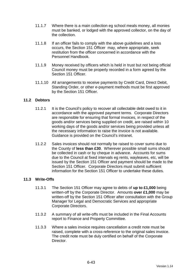- 11.1.7 Where there is a main collection eg school meals money, all monies must be banked, or lodged with the approved collector, on the day of the collection.
- 11.1.8 If an officer fails to comply with the above guidelines and a loss occurs, the Section 151 Officer may, where appropriate, seek restitution from the officer concerned in accordance with the Personnel Handbook.
- 11.1.9 Money received by officers which is held in trust but not being official Council money must be properly recorded in a form agreed by the Section 151 Officer
- 11.1.10 All arrangements to receive payments by Credit Card, Direct Debit, Standing Order, or other e-payment methods must be first approved by the Section 151 Officer.

### **11.2 Debtors**

- 11.2.1 It is the Council's policy to recover all collectable debt owed to it in accordance with the approved payment terms. Corporate Directors are responsible for ensuring that formal invoices, in respect of the goods and/or services being supplied on credit, are raised within 10 working days of the goods and/or services being provided unless all the necessary information to raise the invoice is not available. Guidance is provided on the Council's intranet.
- 11.2.2 Sales invoices should not normally be raised to cover sums due to the County of **less than £30**. Wherever possible small sums should be collected in cash or by cheque in advance. Accounts for sums due to the Council at fixed intervals eg rents, wayleaves, etc, will be issued by the Section 151 Officer and payment should be made to the Section 151 Officer. Corporate Directors must submit sufficient information for the Section 151 Officer to undertake these duties.

#### **11.3 Write-Offs**

- 11.3.1 The Section 151 Officer may agree to debts of **up to £1,000** being written-off by the Corporate Director. Amounts **over £1,000** may be written-off by the Section 151 Officer after consultation with the Group Manager for Legal and Democratic Services and appropriate Corporate Directors.
- 11.3.2 A summary of all write-offs must be included in the Final Accounts report to Finance and Property Committee.
- 11.3.3 Where a sales invoice requires cancellation a credit note must be raised, complete with a cross-reference to the original sales invoice. The credit note must be duly certified on behalf of the Corporate Director.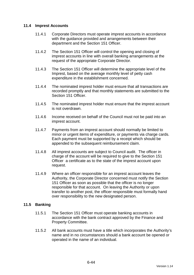### **11.4 Imprest Accounts**

- 11.4.1 Corporate Directors must operate imprest accounts in accordance with the guidance provided and arrangements between their department and the Section 151 Officer.
- 11.4.2 The Section 151 Officer will control the opening and closing of imprest accounts in line with overall banking arrangements at the request of the appropriate Corporate Director.
- 11.4.3 The Section 151 Officer will determine the appropriate level of the Imprest, based on the average monthly level of petty cash expenditure in the establishment concerned.
- 11.4.4 The nominated imprest holder must ensure that all transactions are recorded promptly and that monthly statements are submitted to the Section 151 Officer.
- 11.4.5 The nominated imprest holder must ensure that the imprest account is not overdrawn.
- 11.4.6 Income received on behalf of the Council must not be paid into an imprest account.
- 11.4.7 Payments from an imprest account should normally be limited to minor or urgent items of expenditure, or payments via charge cards. Each payment must be supported by a receipt which should be appended to the subsequent reimbursement claim.
- 11.4.8 All imprest accounts are subject to Council audit. The officer in charge of the account will be required to give to the Section 151 Officer a certificate as to the state of the imprest account upon request.
- 11.4.9 Where an officer responsible for an imprest account leaves the Authority, the Corporate Director concerned must notify the Section 151 Officer as soon as possible that the officer is no longer responsible for that account. On leaving the Authority or upon transfer to another post, the officer responsible must formally hand over responsibility to the new designated person.

#### **11.5 Banking**

- 11.5.1 The Section 151 Officer must operate banking accounts in accordance with the bank contract approved by the Finance and Property Committee.
- 11.5.2 All bank accounts must have a title which incorporates the Authority's name and in no circumstances should a bank account be opened or operated in the name of an individual.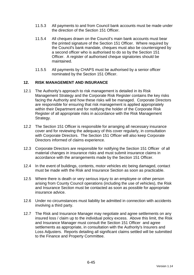- 11.5.3 All payments to and from Council bank accounts must be made under the direction of the Section 151 Officer.
- 11.5.4 All cheques drawn on the Council's main bank accounts must bear the printed signature of the Section 151 Officer. Where required by the Council's bank mandate, cheques must also be countersigned by a second officer who is authorised to do so by the Section 151 Officer. A register of authorised cheque signatories should be maintained.
- 11.5.5 All payments by CHAPS must be authorised by a senior officer nominated by the Section 151 Officer.

### **12. RISK MANAGEMENT AND INSURANCE**

- 12.1 The Authority's approach to risk management is detailed in its Risk Management Strategy and the Corporate Risk Register contains the key risks facing the Authority and how these risks will be managed. Corporate Directors are responsible for ensuring that risk management is applied appropriately within their Department and for notifying the holder of the Corporate Risk Register of all appropriate risks in accordance with the Risk Management Strategy.
- 12.2 The Section 151 Officer is responsible for arranging all necessary insurance cover and for reviewing the adequacy of this cover regularly, in consultation with Corporate Directors. The Section 151 Officer will also keep Corporate Directors informed of claims experience.
- 12.3 Corporate Directors are responsible for notifying the Section 151 Officer of all material changes in insurance risks and must submit insurance claims in accordance with the arrangements made by the Section 151 Officer.
- 12.4 In the event of buildings, contents, motor vehicles etc being damaged, contact must be made with the Risk and Insurance Section as soon as practicable.
- 12.5 Where there is death or very serious injury to an employee or other person arising from County Council operations (including the use of vehicles), the Risk and Insurance Section must be contacted as soon as possible for appropriate insurance advice.
- 12.6 Under no circumstances must liability be admitted in connection with accidents involving a third party.
- 12.7 The Risk and Insurance Manager may negotiate and agree settlements on any insured loss / claim up to the individual policy excess. Above this limit, the Risk and Insurance Manager must consult the Section 151 Officer and agree settlements as appropriate, in consultation with the Authority's Insurers and Loss Adjusters. Reports detailing all significant claims settled will be submitted to the Finance and Property Committee.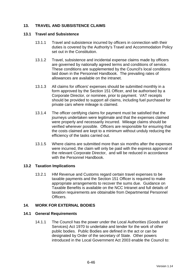# **13. TRAVEL AND SUBSISTENCE CLAIMS**

#### **13.1 Travel and Subsistence**

- 13.1.1 Travel and subsistence incurred by officers in connection with their duties is covered by the Authority's Travel and Accommodation Policy set out in the Constitution.
- 13.1.2 Travel, subsistence and incidental expense claims made by officers are governed by nationally agreed terms and conditions of service. These conditions are supplemented by the Council's local conditions laid down in the Personnel Handbook. The prevailing rates of allowances are available on the intranet.
- 13.1.3 All claims for officers' expenses should be submitted monthly in a form approved by the Section 151 Officer, and be authorised by a Corporate Director, or nominee, prior to payment. VAT receipts should be provided to support all claims, including fuel purchased for private cars where mileage is claimed.
- 13.1.4 The officer certifying claims for payment must be satisfied that the journeys undertaken were legitimate and that the expenses claimed were properly and necessarily incurred. Mileage claims should be verified wherever possible. Officers are responsible for ensuring that the costs claimed are kept to a minimum without unduly reducing the efficiency of the tasks carried out.
- 13.1.5 Where claims are submitted more than six months after the expenses were incurred, the claim will only be paid with the express approval of the relevant Corporate Director, and will be reduced in accordance with the Personnel Handbook.

#### **13.2 Taxation Implications**

13.2.1 HM Revenue and Customs regard certain travel expenses to be taxable payments and the Section 151 Officer is required to make appropriate arrangements to recover the sums due. Guidance on Taxable Benefits is available on the NCC Intranet and full details of taxation requirements are obtainable from Departmental Personnel **Officers** 

#### **14. WORK FOR EXTERNAL BODIES**

#### **14.1 General Requirements**

14.1.1 The Council has the power under the Local Authorities (Goods and Services) Act 1970 to undertake and tender for the work of other public bodies. Public Bodies are defined in the act or can be designated by Order of the secretary of State. Other powers introduced in the Local Government Act 2003 enable the Council to: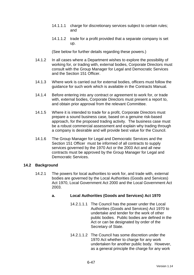- 14.1.1.1 charge for discretionary services subject to certain rules; and
- 14.1.1.2 trade for a profit provided that a separate company is set up.

(See below for further details regarding these powers.)

- 14.1.2 In all cases where a Department wishes to explore the possibility of working for, or trading with, external bodies, Corporate Directors must consult with the Group Manager for Legal and Democratic Services and the Section 151 Officer.
- 14.1.3 Where work is carried out for external bodies, officers must follow the guidance for such work which is available in the Contracts Manual.
- 14.1.4 Before entering into any contract or agreement to work for, or trade with, external bodies, Corporate Directors must present a report to, and obtain prior approval from the relevant Committee.
- 14.1.5 Where it is intended to trade for a profit, Corporate Directors must prepare a sound business case, based on a genuine risk-based approach, for the proposed trading activity. The business case must be a robust commercial assessment and explain why trading through a company is desirable and will provide best value for the Council.
- 14.1.6 The Group Manager for Legal and Democratic Services and the Section 151 Officer must be informed of all contracts to supply services governed by the 1970 Act or the 2003 Act and all new contracts must be approved by the Group Manager for Legal and Democratic Services.

#### **14.2 Background**

14.2.1 The powers for local authorities to work for, and trade with, external bodies are governed by the Local Authorities (Goods and Services) Act 1970, Local Government Act 2000 and the Local Government Act 2003.

# **a. Local Authorities (Goods and Services) Act 1970**

- 14.2.1.1.1 The Council has the power under the Local Authorities (Goods and Services) Act 1970 to undertake and tender for the work of other public bodies. Public bodies are defined in the Act or can be designated by order of the Secretary of State.
- 14.2.1.1.2 The Council has some discretion under the 1970 Act whether to charge for any work undertaken for another public body. However, as a general principle the charge for any work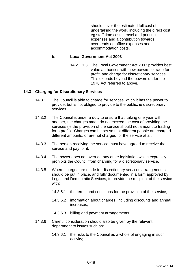should cover the estimated full cost of undertaking the work, including the direct cost eg staff time costs, travel and printing expenses and a contribution towards overheads eg office expenses and accommodation costs.

#### **b. Local Government Act 2003**

14.2.1.1.3 The Local Government Act 2003 provides best value authorities with new powers to trade for profit, and charge for discretionary services. This extends beyond the powers under the 1970 Act referred to above.

#### **14.3 Charging for Discretionary Services**

- 14.3.1 The Council is able to charge for services which it has the power to provide, but is not obliged to provide to the public, ie discretionary services.
- 14.3.2 The Council is under a duty to ensure that, taking one year with another, the charges made do not exceed the cost of providing the services (ie the provision of the service should not amount to trading for a profit). Charges can be set so that different people are charged different amounts, or are not charged for the service at all.
- 14.3.3 The person receiving the service must have agreed to receive the service and pay for it.
- 14.3.4 The power does not override any other legislation which expressly prohibits the Council from charging for a discretionary service.
- 14.3.5 Where charges are made for discretionary services arrangements should be put in place, and fully documented in a form approved by Legal and Democratic Services, to provide the recipient of the service with:
	- 14.3.5.1 the terms and conditions for the provision of the service;
	- 14.3.5.2 information about charges, including discounts and annual increases;
	- 14.3.5.3 billing and payment arrangements.
- 14.3.6 Careful consideration should also be given by the relevant department to issues such as:
	- 14.3.6.1 the risks to the Council as a whole of engaging in such activity;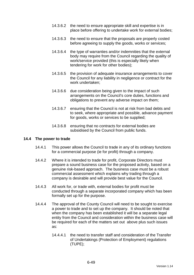- 14.3.6.2 the need to ensure appropriate skill and expertise is in place before offering to undertake work for external bodies;
- 14.3.6.3 the need to ensure that the proposals are properly costed before agreeing to supply the goods, works or services;
- 14.3.6.4 the type of warranties and/or indemnities that the external body may require from the Council regarding the quality of work/service provided (this is especially likely when tendering for work for other bodies);
- 14.3.6.5 the provision of adequate insurance arrangements to cover the Council for any liability in negligence or contract for the work undertaken;
- 14.3.6.6 due consideration being given to the impact of such arrangements on the Council's core duties, functions and obligations to prevent any adverse impact on them;
- 14.3.6.7 ensuring that the Council is not at risk from bad debts and to seek, where appropriate and possible, advance payment for goods, works or services to be supplied;
- 14.3.6.8 ensuring that no contracts for external bodies are subsidised by the Council from public funds.

#### **14.4 The power to trade**

- 14.4.1 This power allows the Council to trade in any of its ordinary functions for a commercial purpose (ie for profit) through a company.
- 14.4.2 Where it is intended to trade for profit, Corporate Directors must prepare a sound business case for the proposed activity, based on a genuine risk-based approach. The business case must be a robust commercial assessment which explains why trading through a company is desirable and will provide best value for the Council.
- 14.4.3 All work for, or trade with, external bodies for profit must be conducted through a separate incorporated company which has been formally set up for the purpose.
- 14.4.4 The approval of the County Council will need to be sought to exercise a power to trade and to set up the company. It should be noted that when the company has been established it will be a separate legal entity from the Council and consideration within the business case will be required for each of the matters set out above plus such issues as:
	- 14.4.4.1 the need to transfer staff and consideration of the Transfer of Undertakings (Protection of Employment) regulations (TUPE);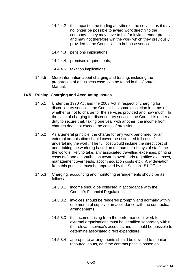- 14.4.4.2 the impact of the trading activities of the service, as it may no longer be possible to award work directly to the company – they may have to bid for it via a tender process and may not therefore win the work which they previously provided to the Council as an in-house service;
- 14.4.4.3 pensions implications;
- 14.4.4.4 premises requirements;
- 14.4.4.5 taxation implications.
- 14.4.5 More information about charging and trading, including the preparation of a business case, can be found in the Contracts Manual.

### **14.5 Pricing, Charging and Accounting Issues**

- 14.5.1 Under the 1970 Act and the 2003 Act in respect of charging for discretionary services, the Council has some discretion in terms of whether or not to charge for the services provided and how much. In the case of charging for discretionary services the Council is under a duty to secure that, taking one year with another, the income from charges does not exceed the costs of provision.
- 14.5.2 As a general principle, the charge for any work performed for an external organisation should cover the estimated full cost of undertaking the work. The full cost would include the direct cost of undertaking the work (eg based on the number of days of staff time the work is likely to take, any associated travelling expenses, printing costs etc) and a contribution towards overheads (eg office expenses, management overheads, accommodation costs etc). Any deviation from this principle must be approved by the Section 151 Officer.
- 14.5.3 Charging, accounting and monitoring arrangements should be as follows:
	- 14.5.3.1 income should be collected in accordance with the Council's Financial Regulations;
	- 14.5.3.2 invoices should be rendered promptly and normally within one month of supply or in accordance with the contractual arrangements;
	- 14.5.3.3 the income arising from the performance of work for external organisations must be identified separately within the relevant service's accounts and it should be possible to determine associated direct expenditure;
	- 14.5.3.4 appropriate arrangements should be devised to monitor resource inputs, eg if the contract price is based on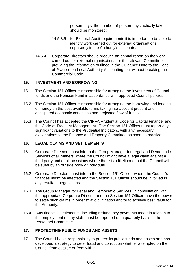person-days, the number of person-days actually taken should be monitored;

- 14.5.3.5 for External Audit requirements it is important to be able to identify work carried out for external organisations separately in the Authority's accounts.
- 14.5.4 Corporate Directors should produce an annual report on the work carried out for external organisations for the relevant Committee, providing the information outlined in the Guidance Note to the Code of Practice on Local Authority Accounting, but without breaking the Commercial Code.

### **15. INVESTMENT AND BORROWING**

- 15.1 The Section 151 Officer is responsible for arranging the investment of Council funds and the Pension Fund in accordance with approved Council policies.
- 15.2 The Section 151 Officer is responsible for arranging the borrowing and lending of money on the best available terms taking into account present and anticipated economic conditions and projected flow of funds.
- 15.3 The Council has accepted the CIPFA Prudential Code for Capital Finance, and the Code of Treasury Management. The Section 151 Officer must report any significant variations to the Prudential Indicators, with any necessary explanations to the Finance and Property Committee as soon as practical.

#### **16. LEGAL CLAIMS AND SETTLEMENTS**

- 16.1 Corporate Directors must inform the Group Manager for Legal and Democratic Services of all matters where the Council might have a legal claim against a third party and of all occasions where there is a likelihood that the Council will be sued by an outside body or individual.
- 16.2 Corporate Directors must inform the Section 151 Officer where the Council's finances might be affected and the Section 151 Officer should be involved in any resultant negotiations.
- 16.3 The Group Manager for Legal and Democratic Services, in consultation with the appropriate Corporate Director and the Section 151 Officer, have the power to settle such claims in order to avoid litigation and/or to achieve best value for the Authority.
- 16.4 Any financial settlements, including redundancy payments made in relation to the employment of any staff, must be reported on a quarterly basis to the Personnel Committee.

# **17. PROTECTING PUBLIC FUNDS AND ASSETS**

17.1 The Council has a responsibility to protect its public funds and assets and has developed a strategy to deter fraud and corruption whether attempted on the Council from outside or from within.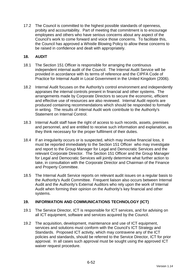17.2 The Council is committed to the highest possible standards of openness, probity and accountability. Part of meeting that commitment is to encourage employees and others who have serious concerns about any aspect of the Council's work to come forward and voice those concerns. To facilitate this, the Council has approved a Whistle Blowing Policy to allow these concerns to be raised in confidence and dealt with appropriately.

### **18. AUDIT**

- 18.1 The Section 151 Officer is responsible for arranging the continuous independent internal audit of the Council. The Internal Audit Service will be provided in accordance with its terms of reference and the CIPFA Code of Practice for Internal Audit in Local Government in the United Kingdom (2006).
- 18.2 Internal Audit focuses on the Authority's control environment and independently appraises the internal controls present in financial and other systems. The arrangements made by Corporate Directors to secure the economic, efficient and effective use of resources are also reviewed. Internal Audit reports are produced containing recommendations which should be responded to formally in writing. The results of Internal Audit work contribute to the Authority's Statement on Internal Control.
- 18.3 Internal Audit staff have the right of access to such records, assets, premises and personnel, and are entitled to receive such information and explanation, as they think necessary for the proper fulfilment of their duties.
- 18.4 If an irregularity occurs or is suspected, which may involve financial loss, it must be reported immediately to the Section 151 Officer who may investigate and report to the Group Manager for Legal and Democratic Services and the relevant Corporate Director. The Section 151 Officer and the Group Manager for Legal and Democratic Services will jointly determine what further action to take, in consultation with the Corporate Director and Chairman of the Finance and Property Committee.
- 18.5 The Internal Audit Service reports on relevant audit issues on a regular basis to the Authority's Audit Committee. Frequent liaison also occurs between Internal Audit and the Authority's External Auditors who rely upon the work of Internal Audit when forming their opinion on the Authority's key financial and other systems.

# **19. INFORMATION AND COMMUNICATIONS TECHNOLOGY (ICT)**

- 19.1 The Service Director, ICT is responsible for ICT services, and for advising on all ICT equipment, software and services acquired by the Council.
- 19.2 The acquisition, development, maintenance and use of ICT equipment, services and solutions must conform with the Council's ICT Strategy and Standards. Proposed ICT activity, which may contravene any of the ICT policies and standards, should be referred to the Service Director, ICT for prior approval. In all cases such approval must be sought using the approved ICT waiver request procedure.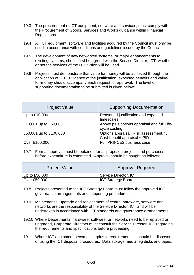- 19.3 The procurement of ICT equipment, software and services, must comply with the Procurement of Goods, Services and Works guidance within Financial Regulations.
- 19.4 All ICT equipment, software and facilities acquired by the Council must only be used in accordance with conditions and guidelines issued by the Council.
- 19.5 The development of new networked systems, or major enhancements to existing systems, should first be agreed with the Service Director, ICT, whether or not the services of the IT Division will be used.
- 19.6 Projects must demonstrate that value for money will be achieved through the application of ICT. Evidence of the justification, expected benefits and valuefor-money should accompany each request for approval. The level of supporting documentation to be submitted is given below:

| <b>Project Value</b>   | <b>Supporting Documentation</b>                                          |
|------------------------|--------------------------------------------------------------------------|
| Up to £10,000          | Reasoned justification and expected<br>timescales                        |
| £10,001 up to £50,000  | Above plus options appraisal and full Life-<br>cycle costing             |
| £50,001 up to £100,000 | Options appraisal, Risk assessment, full<br>Cost-benefit appraisal + PID |
| Over £100,000          | Full PRINCE2 business case                                               |

19.7 Formal approval must be obtained for all proposed projects and purchases before expenditure is committed. Approval should be sought as follows:

| <b>Project Value</b> | <b>Approval Required</b>  |
|----------------------|---------------------------|
| Up to $£50,000$      | Service Director, ICT     |
| Over £50,000         | <b>ICT Strategy Board</b> |

- 19.8 Projects presented to the ICT Strategy Board must follow the approved ICT governance arrangements and supporting procedures.
- 19.9 Maintenance, upgrade and replacement of central hardware, software and networks are the responsibility of the Service Director, ICT and will be undertaken in accordance with ICT standards and governance arrangements.
- 19.10 Where Departmental hardware, software, or networks need to be replaced or upgraded, Corporate Directors must consult the Service Director, ICT regarding the requirements and specifications before proceeding.
- 19.11 Where ICT equipment becomes surplus to requirements, it should be disposed of using the ICT disposal procedures. Data storage media, eg disks and tapes,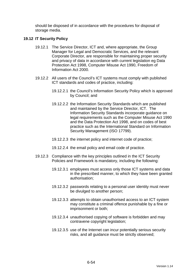should be disposed of in accordance with the procedures for disposal of storage media.

#### **19.12 IT Security Policy**

- 19.12.1 The Service Director, ICT and, where appropriate, the Group Manager for Legal and Democratic Services, and the relevant Corporate Director, are responsible for maintaining proper security and privacy of data in accordance with current legislation eg Data Protection Act 1998, Computer Misuse Act 1990, Freedom of Information Act 2000.
- 19.12.2 All users of the Council's ICT systems must comply with published ICT standards and codes of practice, including:
	- 19.12.2.1 the Council's Information Security Policy which is approved by Council; and
	- 19.12.2.2 the Information Security Standards which are published and maintained by the Service Director, ICT. The Information Security Standards incorporate guidance on legal requirements such as the Computer Misuse Act 1990 and the Data Protection Act 1998, and on codes of best practice such as the International Standard on Information Security Management (ISO 17799).
	- 19.12.2.3 the internet policy and internet code of practice;
	- 19.12.2.4 the email policy and email code of practice.
- 19.12.3 Compliance with the key principles outlined in the ICT Security Policies and Framework is mandatory, including the following:
	- 19.12.3.1 employees must access only those ICT systems and data in the prescribed manner, to which they have been granted authorisation;
	- 19.12.3.2 passwords relating to a personal user identity must never be divulged to another person;
	- 19.12.3.3 attempts to obtain unauthorised access to an ICT system may constitute a criminal offence punishable by a fine or imprisonment or both;
	- 19.12.3.4 unauthorised copying of software is forbidden and may contravene copyright legislation;
	- 19.12.3.5 use of the Internet can incur potentially serious security risks, and all guidance must be strictly observed;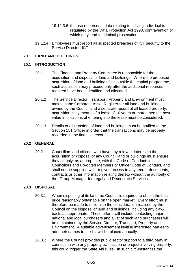- 19.12.3.6 the use of personal data relating to a living individual is regulated by the Data Protection Act 1998, contravention of which may lead to criminal prosecution.
- 19.12.4 Employees must report all suspected breaches of ICT security to the Service Director, ICT.

### **20. LAND AND BUILDINGS**

#### **20.1 INTRODUCTION**

- 20.1.1 The Finance and Property Committee is responsible for the acquisition and disposal of land and buildings. Where the proposed acquisition of land and buildings falls outside the capital programme, such acquisition may proceed only after the additional resources required have been identified and allocated.
- 20.1.2 The Service Director, Transport, Property and Environment must maintain the Corporate Asset Register for all land and buildings owned by the Council and a separate record of all leased property. If acquisition is by means of a lease of 10 years or more, then the best value implications of entering into the lease must be considered.
- 20.1.3 Details of all transfers of land and buildings must be notified to the Section 151 Officer in order that the transactions may be properly recorded in the financial records.

#### **20.2 GENERAL**

20.2.1 Councillors and officers who have any relevant interest in the acquisition or disposal of any Council land or buildings must ensure they comply, as appropriate, with the Code of Conduct for Councillors and Co-opted Members or Officer Code of Conduct, and shall not be supplied with or given access to any tender documents, contracts or other information relating thereto without the authority of the Group Manager for Legal and Democratic Services.

#### **20.3 DISPOSAL**

- 20.3.1 When disposing of its land the Council is required to obtain the best price reasonably obtainable on the open market. Every effort must therefore be made to maximise the consideration realised by the Council on the disposal of land and buildings, including any clawback, as appropriate. These efforts will include contacting major national and local purchasers and a list of such land purchasers will be maintained by the Service Director, Transport, Property and Environment. A suitable advertisement inviting interested parties to add their names to the list will be placed annually.
- 20.3.2 Where the Council provides public sector support to a third party in connection with any property transaction or project involving property, this could trigger the State Aid rules. In such circumstances the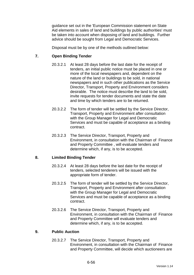guidance set out in the 'European Commission statement on State Aid elements in sales of land and buildings by public authorities' must be taken into account when disposing of land and buildings. Further advice should be sought from Legal and Democratic Services.

Disposal must be by one of the methods outlined below:

### **7. Open Binding Tender**

- 20.3.2.1 At least 28 days before the last date for the receipt of tenders, an initial public notice must be placed in one or more of the local newspapers and, dependent on the nature of the land or buildings to be sold, in national newspapers and in such other publications as the Service Director, Transport, Property and Environment considers desirable. The notice must describe the land to be sold, invite requests for tender documents and state the date and time by which tenders are to be returned.
- 20.3.2.2 The form of tender will be settled by the Service Director, Transport, Property and Environment after consultation with the Group Manager for Legal and Democratic Services and must be capable of acceptance as a binding contract.
- 20.3.2.3 The Service Director, Transport, Property and Environment, in consultation with the Chairman of Finance and Property Committee , will evaluate tenders and determine which, if any, is to be accepted.

#### **8. Limited Binding Tender**

- 20.3.2.4 At least 28 days before the last date for the receipt of tenders, selected tenderers will be issued with the appropriate form of tender.
- 20.3.2.5 The form of tender will be settled by the Service Director, Transport, Property and Environment after consultation with the Group Manager for Legal and Democratic Services and must be capable of acceptance as a binding contract.
- 20.3.2.6 The Service Director, Transport, Property and Environment, in consultation with the Chairman of Finance and Property Committee will evaluate tenders and determine which, if any, is to be accepted.

#### **9. Public Auction**

20.3.2.7 The Service Director, Transport, Property and Environment, in consultation with the Chairman of Finance and Property Committee, will decide which auctioneers are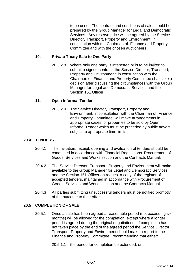to be used. The contract and conditions of sale should be prepared by the Group Manager for Legal and Democratic Services. Any reserve price will be agreed by the Service Director, Transport, Property and Environment, in consultation with the Chairman of Finance and Property Committee and with the chosen auctioneers.

#### **10. Private Treaty Sale to One Party**

20.3.2.8 Where only one party is interested or is to be invited to submit a signed contract, the Service Director, Transport, Property and Environment, in consultation with the Chairman of Finance and Property Committee shall take a decision after discussing the circumstances with the Group Manager for Legal and Democratic Services and the Section 151 Officer.

### **11. Open Informal Tender**

20.3.2.9 The Service Director, Transport, Property and Environment, in consultation with the Chairman of Finance and Property Committee, will make arrangements in appropriate cases for properties to be sold by Open Informal Tender which must be preceded by public advert subject to appropriate time limits.

### **20.4 TENDERS**

- 20.4.1 The invitation, receipt, opening and evaluation of tenders should be conducted in accordance with Financial Regulations Procurement of Goods, Services and Works section and the Contracts Manual.
- 20.4.2 The Service Director, Transport, Property and Environment will make available to the Group Manager for Legal and Democratic Services and the Section 151 Officer on request a copy of the register of accepted tenders, maintained in accordance with Procurement of Goods, Services and Works section and the Contracts Manual.
- 20.4.3 All parties submitting unsuccessful tenders must be notified promptly of the outcome to their offer.

#### **20.5 COMPLETION OF SALE**

- 20.5.1 Once a sale has been agreed a reasonable period (not exceeding six months) will be allowed for the completion, except where a longer period is agreed during the original negotiations. If completion has not taken place by the end of the agreed period the Service Director, Transport, Property and Environment should make a report to the Finance and Property Committee , recommending that either:
	- 20.5.1.1 the period for completion be extended; or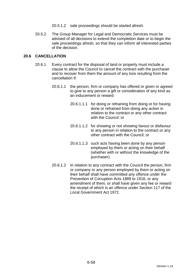- 20.5.1.2 sale proceedings should be started afresh.
- 20.5.2 The Group Manager for Legal and Democratic Services must be advised of all decisions to extend the completion date or to begin the sale proceedings afresh, so that they can inform all interested parties of the decision.

### **20.6 CANCELLATION**

- 20.6.1 Every contract for the disposal of land or property must include a clause to allow the Council to cancel the contract with the purchaser and to recover from them the amount of any loss resulting from the cancellation if:
	- 20.6.1.1 the person, firm or company has offered or given or agreed to give to any person a gift or consideration of any kind as an inducement or reward:
		- 20.6.1.1.1 for doing or refraining from doing or for having done or refrained from doing any action in relation to the contract or any other contract with the Council; or
		- 20.6.1.1.2 for showing or not showing favour or disfavour to any person in relation to the contract or any other contract with the Council; or
		- 20.6.1.1.3 such acts having been done by any person employed by them or acting on their behalf (whether with or without the knowledge of the purchaser).
	- 20.6.1.2 In relation to any contract with the Council the person, firm or company or any person employed by them or acting on their behalf shall have committed any offence under the Prevention of Corruption Acts 1889 to 1916, or any amendment of them, or shall have given any fee or reward the receipt of which is an offence under Section 117 of the Local Government Act 1972.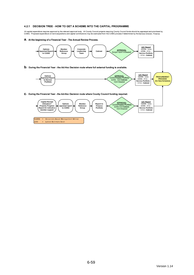#### 4.2.1 DECISION TREE - HOW TO GET A SCHEME INTO THE CAPITAL PROGRAMME

All capital expenditure requires approval by the relevant approval body. All County Council projects requiring County Council funds should be appraised and prioritised by<br>CAMG. Proposed expenditure on land acquisitions a

a. At the beginning of a Financial Year - The Annual Review Process.

LEC

= Latest Estimate Cost

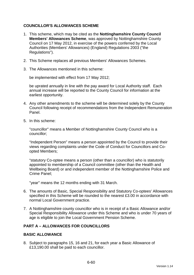### **COUNCILLOR'S ALLOWANCES SCHEME**

- 1. This scheme, which may be cited as the **Nottinghamshire County Council Members' Allowances Scheme**, was approved by Nottinghamshire County Council on 17 May 2012, in exercise of the powers conferred by the Local Authorities (Members' Allowances) (England) Regulations 2003 ("the Regulations").
- 2. This Scheme replaces all previous Members' Allowances Schemes.
- 3. The Allowances mentioned in this scheme:

be implemented with effect from 17 May 2012;

be uprated annually in line with the pay award for Local Authority staff. Each annual increase will be reported to the County Council for information at the earliest opportunity.

- 4. Any other amendments to the scheme will be determined solely by the County Council following receipt of recommendations from the Independent Remuneration Panel.
- 5. In this scheme:

"councillor" means a Member of Nottinghamshire County Council who is a councillor;

"Independent Person" means a person appointed by the Council to provide their views regarding complaints under the Code of Conduct for Councillors and Coopted Members;

"statutory Co-optee means a person (other than a councillor) who is statutorily appointed to membership of a Council committee (other than the Health and Wellbeing Board) or and independent member of the Nottinghamshire Police and Crime Panel;

"year" means the 12 months ending with 31 March.

- 6. The amounts of Basic, Special Responsibility and Statutory Co-optees' Allowances specified in this Scheme will be rounded to the nearest £3.00 in accordance with normal Local Government practice.
- 7. A Nottinghamshire county councillor who is in receipt of a Basic Allowance and/or Special Responsibility Allowance under this Scheme and who is under 70 years of age is eligible to join the Local Government Pension Scheme.

#### **PART A – ALLOWANCES FOR COUNCILLORS**

#### **BASIC ALLOWANCE**

8. Subject to paragraphs 15, 16 and 21, for each year a Basic Allowance of £13,190.00 shall be paid to each councillor.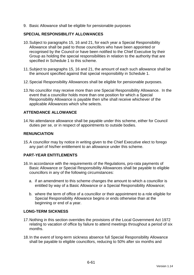9. Basic Allowance shall be eligible for pensionable purposes

#### **SPECIAL RESPONSIBILITY ALLOWANCES**

- 10. Subject to paragraphs 15, 16 and 21, for each year a Special Responsibility Allowance shall be paid to those councillors who have been appointed or recognised by the Council or have been notified to the Chief Executive by their Group as holding the special responsibilities in relation to the authority that are specified in Schedule 1 to this scheme.
- 11. Subject to paragraphs 15, 16 and 21, the amount of each such allowance shall be the amount specified against that special responsibility in Schedule 1.
- 12. Special Responsibility Allowances shall be eligible for pensionable purposes.
- 13. No councillor may receive more than one Special Responsibility Allowance. In the event that a councillor holds more than one position for which a Special Responsibility Allowance is payable then s/he shall receive whichever of the applicable Allowances which s/he selects.

# **ATTENDANCE ALLOWANCE**

14. No attendance allowance shall be payable under this scheme, either for Council duties per se, or in respect of appointments to outside bodies.

### **RENUNCIATION**

15. A councillor may by notice in writing given to the Chief Executive elect to forego any part of his/her entitlement to an allowance under this scheme.

#### **PART-YEAR ENTITLEMENTS**

- 16. In accordance with the requirements of the Regulations, pro-rata payments of Basic Allowance or Special Responsibility Allowances shall be payable to eligible councillors in any of the following circumstances:
	- a. if an amendment to this scheme changes the amount to which a councillor is entitled by way of a Basic Allowance or a Special Responsibility Allowance;
	- b. where the term of office of a councillor or their appointment to a role eligible for Special Responsibility Allowance begins or ends otherwise than at the beginning or end of a year.

#### **LONG-TERM SICKNESS**

- 17. Nothing in this section overrides the provisions of the Local Government Act 1972 relating to vacation of office by failure to attend meetings throughout a period of six months.
- 18. In the event of long-term sickness absence full Special Responsibility Allowance shall be payable to eligible councillors, reducing to 50% after six months and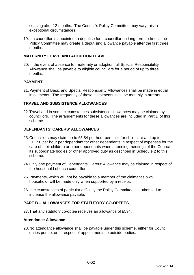ceasing after 12 months. The Council's Policy Committee may vary this in exceptional circumstances.

19. If a councillor is appointed to deputise for a councillor on long-term sickness the Policy Committee may create a deputising allowance payable after the first three months.

### **MATERNITY LEAVE AND ADOPTION LEAVE**

20. In the event of absence for maternity or adoption full Special Responsibility Allowance shall be payable to eligible councillors for a period of up to three months.

### **PAYMENT**

21. Payment of Basic and Special Responsibility Allowances shall be made in equal instalments. The frequency of those instalments shall be monthly in arrears.

### **TRAVEL AND SUBSISTENCE ALLOWANCES**

22. Travel and in some circumstances subsistence allowances may be claimed by councillors. The arrangements for these allowances are included in Part D of this scheme.

#### **DEPENDANTS' CARERS' ALLOWANCES**

- 23. Councillors may claim up to £5.84 per hour per child for child care and up to £11.58 per hour per dependant for other dependants in respect of expenses for the care of their children or other dependants when attending meetings of the Council, its subordinate bodies or other approved duty as described in Schedule 2 to this scheme.
- 24. Only one payment of Dependants' Carers' Allowance may be claimed in respect of the household of each councillor.
- 25. Payments, which will not be payable to a member of the claimant's own household, will be made only when supported by a receipt.
- 26. In circumstances of particular difficulty the Policy Committee is authorised to increase the allowance payable.

### **PART B – ALLOWANCES FOR STATUTORY CO-OPTEES**

27. That any statutory co-optee receives an allowance of £594.

#### **Attendance Allowance**

28. No attendance allowance shall be payable under this scheme, either for Council duties per se, or in respect of appointments to outside bodies.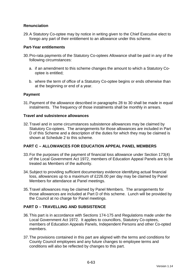# **Renunciation**

29. A Statutory Co-optee may by notice in writing given to the Chief Executive elect to forego any part of their entitlement to an allowance under this scheme.

#### **Part-Year entitlements**

- 30. Pro-rata payments of the Statutory Co-optees Allowance shall be paid in any of the following circumstances:
	- a. if an amendment to this scheme changes the amount to which a Statutory Cooptee is entitled;
	- b. where the term of office of a Statutory Co-optee begins or ends otherwise than at the beginning or end of a year.

### **Payment**

31. Payment of the allowance described in paragraphs 28 to 30 shall be made in equal instalments. The frequency of those instalments shall be monthly in arrears.

#### **Travel and subsistence allowances**

32. Travel and in some circumstances subsistence allowances may be claimed by Statutory Co-optees. The arrangements for those allowances are included in Part D of this Scheme and a description of the duties for which they may be claimed is shown at Schedule 2 to this scheme.

# **PART C – ALLOWANCES FOR EDUCATION APPEAL PANEL MEMBERS**

- 33. For the purposes of the payment of financial loss allowance under Section 173(4) of the Local Government Act 1972, members of Education Appeal Panels are to be treated as Members of the authority.
- 34. Subject to providing sufficient documentary evidence identifying actual financial loss, allowances up to a maximum of £226.00 per day may be claimed by Panel Members for attendance at Panel meetings.
- 35. Travel allowances may be claimed by Panel Members. The arrangements for those allowances are included at Part D of this scheme. Lunch will be provided by the Council at no charge for Panel meetings.

# **PART D – TRAVELLING AND SUBSISTENCE**

- 36. This part is in accordance with Sections 174-175 and Regulations made under the Local Government Act 1972. It applies to councillors, Statutory Co-optees, members of Education Appeals Panels, Independent Persons and other Co-opted members.
- 37. The provisions contained in this part are aligned with the terms and conditions for County Council employees and any future changes to employee terms and conditions will also be reflected by changes to this part.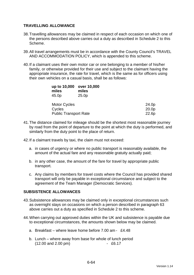### **TRAVELLING ALLOWANCE**

- 38. Travelling allowances may be claimed in respect of each occasion on which one of the persons described above carries out a duty as described in Schedule 2 to this Scheme.
- 39. All travel arrangements must be in accordance with the County Council's TRAVEL AND ACCOMMODATION POLICY, which is appended to this scheme.
- 40. If a claimant uses their own motor car or one belonging to a member of his/her family, or otherwise provided for their use and subject to the claimant having the appropriate insurance, the rate for travel, which is the same as for officers using their own vehicles on a casual basis, shall be as follows:

| up to 10,000<br>miles<br>45.0p | over 10,000<br>miles<br>25.0 <sub>p</sub> |       |
|--------------------------------|-------------------------------------------|-------|
| <b>Motor Cycles</b>            |                                           | 24.0p |
| Cycles                         |                                           | 20.0p |
| <b>Public Transport Rate</b>   |                                           | 22.6p |

- 41. The distance claimed for mileage should be the shortest most reasonable journey by road from the point of departure to the point at which the duty is performed, and similarly from the duty point to the place of return.
- 42. If a claimant travels by taxi, the claim must not exceed:
	- a. in cases of urgency or where no public transport is reasonably available, the amount of the actual fare and any reasonable gratuity actually paid;
	- b. in any other case, the amount of the fare for travel by appropriate public transport.
	- c. Any claims by members for travel costs where the Council has provided shared transport will only be payable in exceptional circumstance and subject to the agreement of the Team Manager (Democratic Services).

#### **SUBSISTENCE ALLOWANCES**

- 43. Subsistence allowances may be claimed only in exceptional circumstances such as overnight stays on occasions on which a person described in paragraph 63 above carries out a duty as specified in Schedule 2 to this scheme.
- 44. When carrying out approved duties within the UK and subsistence is payable due to exceptional circumstances, the amounts shown below may be claimed.
	- a. Breakfast where leave home before 7.00 am £4.48
	- b. Lunch where away from base for whole of lunch period (12.00 and 2.00 pm) - £6.17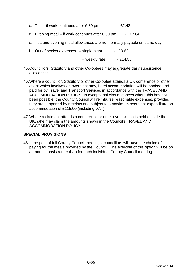- c. Tea if work continues after  $6.30 \text{ pm}$  £2.43
- d. Evening meal if work continues after 8.30 pm £7.64
- e. Tea and evening meal allowances are not normally payable on same day.
- f. Out of pocket expenses  $-$  single night  $-$  £3.63

 $-$  weekly rate  $-$  £14.55

- 45. Councillors, Statutory and other Co-optees may aggregate daily subsistence allowances.
- 46. Where a councillor, Statutory or other Co-optee attends a UK conference or other event which involves an overnight stay, hotel accommodation will be booked and paid for by Travel and Transport Services in accordance with the TRAVEL AND ACCOMMODATION POLICY. In exceptional circumstances where this has not been possible, the County Council will reimburse reasonable expenses, provided they are supported by receipts and subject to a maximum overnight expenditure on accommodation of £115.00 (including VAT).
- 47. Where a claimant attends a conference or other event which is held outside the UK, s/he may claim the amounts shown in the Council's TRAVEL AND ACCOMMODATION POLICY.

### **SPECIAL PROVISIONS**

48. In respect of full County Council meetings, councillors will have the choice of paying for the meals provided by the Council. The exercise of this option will be on an annual basis rather than for each individual County Council meeting.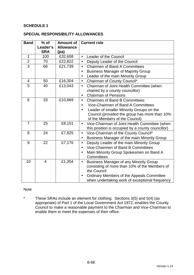### **SCHEDULE 1**

#### **SPECIAL RESPONSIBILITY ALLOWANCES**

| <b>Band</b>    | $%$ of         | <b>Amount of</b> | <b>Current role</b>                                        |  |
|----------------|----------------|------------------|------------------------------------------------------------|--|
|                | Leader's       | <b>Allowance</b> |                                                            |  |
|                | <b>SRA</b>     | (pa)             |                                                            |  |
| $\mathbf 1$    | 100            | £32,608          | Leader of the Council<br>$\bullet$                         |  |
| $\overline{2}$ | 70             | £22,822          | Deputy Leader of the Council<br>$\bullet$                  |  |
| $\overline{3}$ | 66             | £21,739          | <b>Chairmen of Band A Committees</b><br>$\bullet$          |  |
|                |                |                  | <b>Business Manager of Majority Group</b><br>$\bullet$     |  |
|                |                |                  | Leader of the main Minority Group                          |  |
| $\overline{4}$ | 50             | £16,304          | Chairman of County Council*<br>$\bullet$                   |  |
| 5              | 40             | £13,043          | Chairman of Joint Health Committee (when<br>$\bullet$      |  |
|                |                |                  | chaired by a county councillor)                            |  |
|                |                |                  | <b>Chairman of Pensions</b><br>$\bullet$                   |  |
| 6              | 33             | £10,869          | <b>Chairmen of Band B Committees:</b><br>$\bullet$         |  |
|                |                |                  | Vice-Chairmen of Band A Committees                         |  |
|                |                |                  | Leader of smaller Minority Groups on the<br>$\bullet$      |  |
|                |                |                  | Council (provided the group has more than 10%              |  |
|                |                |                  | of the Members of the Council)                             |  |
| $\overline{7}$ | 25             | £8,151           | Vice-Chairman of Joint Health Committee (when<br>$\bullet$ |  |
|                |                |                  | this position is occupied by a county councillor)          |  |
| 8              | 24             | £7,825           | Vice-Chairman of the County Council*<br>$\bullet$          |  |
|                |                |                  | Business Manager of the main Minority Group<br>$\bullet$   |  |
| 9              | 22             | £7,176           | Deputy Leader of the main Minority Group<br>$\bullet$      |  |
|                |                |                  | Vice-Chairmen of Band B Committees<br>$\bullet$            |  |
|                |                |                  | Main Minority Group Spokesmen on Band A                    |  |
|                |                |                  | Committees                                                 |  |
| 10             | $\overline{4}$ | £1,304           | <b>Business Manager of any Minority Group</b><br>$\bullet$ |  |
|                |                |                  | consisting of more than 10% of the Members of              |  |
|                |                |                  | the Council                                                |  |
|                |                |                  | Ordinary Members of the Appeals Committee<br>$\bullet$     |  |
|                |                |                  | when undertaking work of exceptional frequency             |  |

#### Note

\* These SRAs include an element for clothing. Sections 3(5) and 5(4) (as appropriate) of Part 1 of the Local Government Act 1972, enables the County Council to make a reasonable payment to the Chairman and Vice-Chairman to enable them to meet the expenses of their office.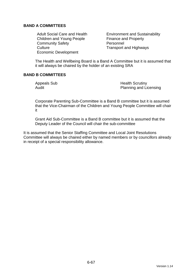### **BAND A COMMITTEES**

Children and Young People Finance and Property Community Safety **Personnel** Culture Culture Transport and Highways Economic Development

Adult Social Care and Health Environment and Sustainability

The Health and Wellbeing Board is a Band A Committee but it is assumed that it will always be chaired by the holder of an existing SRA

### **BAND B COMMITTEES**

Appeals Sub **Health Scrutiny** Audit **Audit** Planning and Licensing

Corporate Parenting Sub-Committee is a Band B committee but it is assumed that the Vice-Chairman of the Children and Young People Committee will chair it

Grant Aid Sub-Committee is a Band B committee but it is assumed that the Deputy Leader of the Council will chair the sub-committee

It is assumed that the Senior Staffing Committee and Local Joint Resolutions Committee will always be chaired either by named members or by councillors already in receipt of a special responsibility allowance.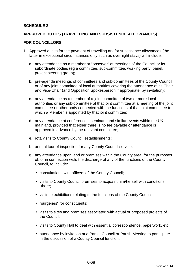### **SCHEDULE 2**

#### **APPROVED DUTIES (TRAVELLING AND SUBSISTENCE ALLOWANCES)**

#### **FOR COUNCILLORS**

- 1. Approved duties for the payment of travelling and/or subsistence allowances (the latter in exceptional circumstances only such as overnight stays) will include:
	- a. any attendance as a member or "observer" at meetings of the Council or its subordinate bodies (eg a committee, sub-committee, working party, panel, project steering group);
	- b. pre-agenda meetings of committees and sub-committees of the County Council or of any joint committee of local authorities covering the attendance of its Chair and Vice-Chair (and Opposition Spokesperson if appropriate, by invitation);
	- c. any attendance as a member of a joint committee of two or more local authorities or any sub-committee of that joint committee at a meeting of the joint committee or other body connected with the functions of that joint committee to which a Member is appointed by that joint committee;
	- d. any attendance at conferences, seminars and similar events within the UK mainland, provided that either there is no fee payable or attendance is approved in advance by the relevant committee;
	- e. rota visits to County Council establishments;
	- f. annual tour of inspection for any County Council service;
	- g. any attendance upon land or premises within the County area, for the purposes of, or in connection with, the discharge of any of the functions of the County Council, to include:
		- consultations with officers of the County Council;
		- visits to County Council premises to acquaint him/herself with conditions there;
		- visits to exhibitions relating to the functions of the County Council;
		- "surgeries" for constituents;
		- visits to sites and premises associated with actual or proposed projects of the Council;
		- visits to County Hall to deal with essential correspondence, paperwork, etc;
		- attendance by invitation at a Parish Council or Parish Meeting to participate in the discussion of a County Council function.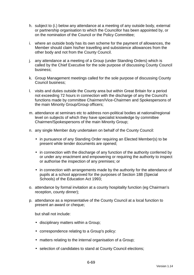- h. subject to (i.) below any attendance at a meeting of any outside body, external or partnership organisation to which the Councillor has been appointed by, or on the nomination of the Council or the Policy Committee;
- i. where an outside body has its own scheme for the payment of allowances, the Member should claim his/her travelling and subsistence allowances from the other body and not from the County Council.
- j. any attendance at a meeting of a Group (under Standing Orders) which is called by the Chief Executive for the sole purpose of discussing County Council business;
- k. Group Management meetings called for the sole purpose of discussing County Council business;
- l. visits and duties outside the County area but within Great Britain for a period not exceeding 72 hours in connection with the discharge of any the Council's functions made by committee Chairmen/Vice-Chairmen and Spokespersons of the main Minority Group/Group officers;
- m. attendance at seminars etc to address non-political bodies at national/regional level on subjects of which they have specialist knowledge by committee Chairmen/Spokespersons of the main Minority Group;
- n. any single Member duty undertaken on behalf of the County Council:
	- in pursuance of any Standing Order requiring an Elected Member(s) to be present while tender documents are opened;
	- in connection with the discharge of any function of the authority conferred by or under any enactment and empowering or requiring the authority to inspect or authorise the inspection of any premises; or
	- in connection with arrangements made by the authority for the attendance of pupils at a school approved for the purposes of Section 188 (Special Schools) of the Education Act 1993;
- o. attendance by formal invitation at a county hospitality function (eg Chairman's reception, county dinner);
- p. attendance as a representative of the County Council at a local function to present an award or cheque;

but shall not include:

- disciplinary matters within a Group;
- correspondence relating to a Group's policy:
- matters relating to the internal organisation of a Group;
- selection of candidates to stand at County Council elections;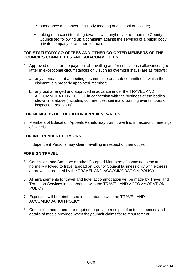- attendance at a Governing Body meeting of a school or college;
- taking up a constituent's grievance with anybody other than the County Council (eg following up a complaint against the services of a public body, private company or another council).

#### **FOR STATUTORY CO-OPTEES AND OTHER CO-OPTED MEMBERS OF THE COUNCIL'S COMMITTEES AND SUB-COMMITTEES**

- 2. Approved duties for the payment of travelling and/or subsistence allowances (the latter in exceptional circumstances only such as overnight stays) are as follows:
	- a. any attendance at a meeting of committee or a sub-committee of which the claimant is a properly appointed member;
	- b. any visit arranged and approved in advance under the TRAVEL AND ACCOMMODATION POLICY in connection with the business of the bodies shown in a above (including conferences, seminars, training events, tours or inspection, rota visits).

# **FOR MEMBERS OF EDUCATION APPEALS PANELS**

3. Members of Education Appeals Panels may claim travelling in respect of meetings of Panels.

# **FOR INDEPENDENT PERSONS**

4. Independent Persons may claim travelling in respect of their duties.

# **FOREIGN TRAVEL**

- 5. Councillors and Statutory or other Co-opted Members of committees etc are normally allowed to travel abroad on County Council business only with express approval as required by the TRAVEL AND ACCOMMODATION POLICY.
- 6. All arrangements for travel and hotel accommodation will be made by Travel and Transport Services in accordance with the TRAVEL AND ACCOMMODATION POLICY.
- 7. Expenses will be reimbursed in accordance with the TRAVEL AND ACCOMMODATION POLICY.
- 8. Councillors and others are required to provide receipts of actual expenses and details of meals provided when they submit claims for reimbursement.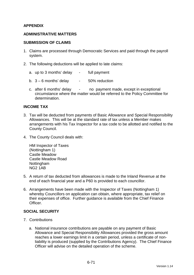### **APPENDIX**

#### **ADMINISTRATIVE MATTERS**

#### **SUBMISSION OF CLAIMS**

- 1. Claims are processed through Democratic Services and paid through the payroll system.
- 2. The following deductions will be applied to late claims:
	- a. up to 3 months' delay full payment
	- b.  $3 6$  months' delay  $-50\%$  reduction
	- c. after 6 months' delay no payment made, except in exceptional circumstance where the matter would be referred to the Policy Committee for determination.

#### **INCOME TAX**

- 3. Tax will be deducted from payments of Basic Allowance and Special Responsibility Allowances. This will be at the standard rate of tax unless a Member makes arrangements with his Tax Inspector for a tax code to be allotted and notified to the County Council.
- 4. The County Council deals with:

HM Inspector of Taxes (Nottingham 1) Castle Meadow Castle Meadow Road Nottingham NG2 1AB

- 5. A return of tax deducted from allowances is made to the Inland Revenue at the end of each financial year and a P60 is provided to each councillor.
- 6. Arrangements have been made with the Inspector of Taxes (Nottingham 1) whereby Councillors on application can obtain, where appropriate, tax relief on their expenses of office. Further guidance is available from the Chief Finance **Officer**

#### **SOCIAL SECURITY**

- 7. Contributions
	- a. National insurance contributions are payable on any payment of Basic Allowance and Special Responsibility Allowances provided the gross amount reaches a lower earnings limit in a certain period, unless a certificate of nonliability is produced (supplied by the Contributions Agency). The Chief Finance Officer will advise on the detailed operation of the scheme.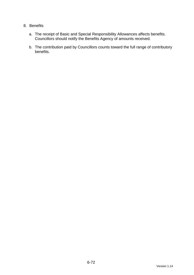### 8. Benefits

- a. The receipt of Basic and Special Responsibility Allowances affects benefits. Councillors should notify the Benefits Agency of amounts received.
- b. The contribution paid by Councillors counts toward the full range of contributory benefits.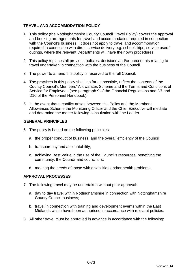# **TRAVEL AND ACCOMMODATION POLICY**

- 1. This policy (the Nottinghamshire County Council Travel Policy) covers the approval and booking arrangements for travel and accommodation required in connection with the Council's business. It does not apply to travel and accommodation required in connection with direct service delivery e.g. school, trips, service users' outings, where the relevant Departments will have their own procedures.
- 2. This policy replaces all previous policies, decisions and/or precedents relating to travel undertaken in connection with the business of the Council.
- 3. The power to amend this policy is reserved to the full Council.
- 4. The practices in this policy shall, as far as possible, reflect the contents of the County Council's Members' Allowances Scheme and the Terms and Conditions of Service for Employees (see paragraph 9 of the Financial Regulations and D7 and D10 of the Personnel Handbook).
- 5. In the event that a conflict arises between this Policy and the Members' Allowances Scheme the Monitoring Officer and the Chief Executive will mediate and determine the matter following consultation with the Leader.

#### **GENERAL PRINCIPLES**

- 6. The policy is based on the following principles:
	- a. the proper conduct of business, and the overall efficiency of the Council;
	- b. transparency and accountability;
	- c. achieving Best Value in the use of the Council's resources, benefiting the community, the Council and councillors;
	- d. meeting the needs of those with disabilities and/or health problems.

#### **APPROVAL PROCESSES**

- 7. The following travel may be undertaken without prior approval:
	- a. day to day travel within Nottinghamshire in connection with Nottinghamshire County Council business;
	- b. travel in connection with training and development events within the East Midlands which have been authorised in accordance with relevant policies.
- 8. All other travel must be approved in advance in accordance with the following: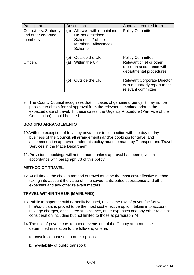| Participant                                             | <b>Description</b>                                                                                                     | Approval required from                                                                     |
|---------------------------------------------------------|------------------------------------------------------------------------------------------------------------------------|--------------------------------------------------------------------------------------------|
| Councillors, Statutory<br>and other co-opted<br>members | All travel within mainland<br>(a)<br>UK not described in<br>Schedule 2 of the<br><b>Members' Allowances</b><br>Scheme. | <b>Policy Committee</b>                                                                    |
|                                                         | Outside the UK<br>(b)                                                                                                  | <b>Policy Committee</b>                                                                    |
| <b>Officers</b>                                         | Within the UK<br>(a)                                                                                                   | Relevant chief or other<br>officer in accordance with<br>departmental procedures           |
|                                                         | Outside the UK<br>(b)                                                                                                  | <b>Relevant Corporate Director</b><br>with a quarterly report to the<br>relevant committee |

9. The County Council recognises that, in cases of genuine urgency, it may not be possible to obtain formal approval from the relevant committee prior to the expected date of travel. In these cases, the Urgency Procedure (Part Five of the Constitution) should be used.

# **BOOKING ARRANGEMENTS**

- 10. With the exception of travel by private car in connection with the day to day business of the Council, all arrangements and/or bookings for travel and accommodation approved under this policy must be made by Transport and Travel Services in the Place Department.
- 11. Provisional bookings will not be made unless approval has been given in accordance with paragraph 73 of this policy.

# **METHOD OF TRAVEL**

12. At all times, the chosen method of travel must be the most cost-effective method, taking into account the value of time saved, anticipated subsistence and other expenses and any other relevant matters.

# **TRAVEL WITHIN THE UK (MAINLAND)**

- 13. Public transport should normally be used, unless the use of private/self-drive hire/civic cars is proved to be the most cost effective option, taking into account mileage charges, anticipated subsistence, other expenses and any other relevant consideration including but not limited to those at paragraph 74
- 14. The use of private cars to attend events out of the County area must be determined in relation to the following criteria:
	- a. cost in comparison to other options;
	- b. availability of public transport;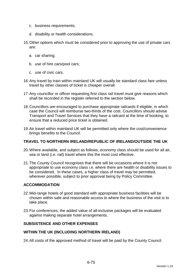- c. business requirements;
- d. disability or health considerations.
- 15. Other options which must be considered prior to approving the use of private cars are:
	- a. car sharing;
	- b. use of hire cars/pool cars;
	- c. use of civic cars.
- 16. Any travel by train within mainland UK will usually be standard class fare unless travel by other classes of ticket is cheaper overall.
- 17. Any councillor or officer requesting first class rail travel must give reasons which shall be recorded in the register referred to the section below.
- 18. Councillors are encouraged to purchase appropriate railcards if eligible, in which case the Council will reimburse two-thirds of the cost. Councillors should advise Transport and Travel Services that they have a railcard at the time of booking, to ensure that a reduced price ticket is obtained.
- 19. Air travel within mainland UK will be permitted only where the cost/convenience brings benefits to the Council.

#### **TRAVEL TO NORTHERN IRELAND/REPUBLIC OF IRELAND/OUTSIDE THE UK**

- 20. Where available, and subject as follows, economy class should be used for all air, sea or land (i.e. rail) travel where this the most cost effective.
- 21. The County Council recognises that there will be occasions where it is not appropriate to use economy class i.e. where there are health or disability issues to be considered. In these cases, a higher class of travel may be permitted, wherever possible, subject to prior approval being by Policy Committee.

### **ACCOMMODATION**

- 22. Mid-range hotels of good standard with appropriate business facilities will be chosen within safe and reasonable access to where the business of the visit is to take place.
- 23. For conferences, the added value of all-inclusive packages will be evaluated against making separate hotel arrangements.

## **SUBSISTENCE AND OTHER EXPENSES**

#### **WITHIN THE UK (INCLUDING NORTHERN IRELAND)**

24. All costs of the approved method of travel will be paid by the County Council.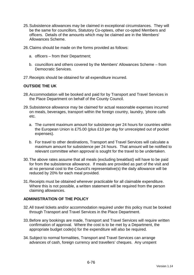- 25. Subsistence allowances may be claimed in exceptional circumstances. They will be the same for councillors, Statutory Co-optees, other co-opted Members and officers. Details of the amounts which may be claimed are in the Members' Allowances Scheme.
- 26. Claims should be made on the forms provided as follows:
	- a. officers from their Department;
	- b. councillors and others covered by the Members' Allowances Scheme from Democratic Services.
- 27. Receipts should be obtained for all expenditure incurred.

#### **OUTSIDE THE UK**

- 28. Accommodation will be booked and paid for by Transport and Travel Services in the Place Department on behalf of the County Council.
- 29. Subsistence allowance may be claimed for actual reasonable expenses incurred on meals, beverages, transport within the foreign country, laundry, 'phone calls etc.
	- a. The current maximum amount for subsistence per 24 hours for countries within the European Union is £75.00 (plus £10 per day for unreceipted out of pocket expenses).
	- b. For travel to other destinations, Transport and Travel Services will calculate a maximum amount for subsistence per 24 hours. That amount will be notified to relevant committee when approval is sought for the travel to be undertaken.
- 30. The above rates assume that all meals (excluding breakfast) will have to be paid for from the subsistence allowance. If meals are provided as part of the visit and at no personal cost to the Council's representative(s) the daily allowance will be reduced by 20% for each meal provided.
- 31. Receipts must be obtained wherever practicable for all claimable expenditure. Where this is not possible, a written statement will be required from the person claiming allowances.

#### **ADMINISTRATION OF THE POLICY**

- 32. All travel tickets and/or accommodation required under this policy must be booked through Transport and Travel Services in the Place Department.
- 33. Before any bookings are made, Transport and Travel Services will require written confirmation of approval. Where the cost is to be met by a Department, the appropriate budget code(s) for the expenditure will also be required.
- 34. Subject to normal formalities, Transport and Travel Services can arrange advances of cash, foreign currency and travellers' cheques. Any unspent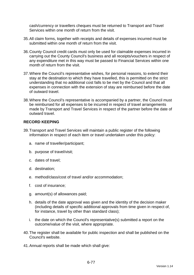cash/currency or travellers cheques must be returned to Transport and Travel Services within one month of return from the visit.

- 35. All claim forms, together with receipts and details of expenses incurred must be submitted within one month of return from the visit.
- 36. County Council credit cards must only be used for claimable expenses incurred in carrying out the County Council's business and all receipts/vouchers in respect of any expenditure met in this way must be passed to Financial Services within one month of return from the visit.
- 37. Where the Council's representative wishes, for personal reasons, to extend their stay at the destination to which they have travelled, this is permitted on the strict understanding that no additional cost falls to be met by the Council and that all expenses in connection with the extension of stay are reimbursed before the date of outward travel.
- 38. Where the Council's representative is accompanied by a partner, the Council must be reimbursed for all expenses to be incurred in respect of travel arrangements made by Transport and Travel Services in respect of the partner before the date of outward travel.

## **RECORD KEEPING**

- 39. Transport and Travel Services will maintain a public register of the following information in respect of each item or travel undertaken under this policy:
	- a. name of traveller/participant;
	- b. purpose of travel/visit;
	- c. dates of travel;
	- d. destination;
	- e. method/class/cost of travel and/or accommodation;
	- f. cost of insurance;
	- g. amount(s) of allowances paid;
	- h. details of the date approval was given and the identity of the decision maker (including details of specific additional approvals from time given in respect of, for instance, travel by other than standard class);
	- i. the date on which the Council's representative(s) submitted a report on the outcome/value of the visit, where appropriate.
- 40. The register shall be available for public inspection and shall be published on the Council's website.
- 41. Annual reports shall be made which shall give: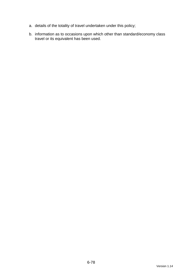- a. details of the totality of travel undertaken under this policy;
- b. information as to occasions upon which other than standard/economy class travel or its equivalent has been used.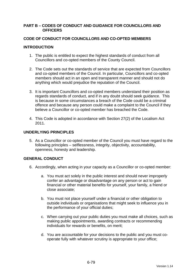#### **PART B – CODES OF CONDUCT AND GUIDANCE FOR COUNCILLORS AND OFFICERS**

### **CODE OF CONDUCT FOR COUNCILLORS AND CO-OPTED MEMBERS**

### **INTRODUCTION**

- 1. The public is entitled to expect the highest standards of conduct from all Councillors and co-opted members of the County Council.
- 2. The Code sets out the standards of service that are expected from Councillors and co-opted members of the Council. In particular, Councillors and co-opted members should act in an open and transparent manner and should not do anything which would prejudice the reputation of the Council.
- 3. It is important Councillors and co-opted members understand their position as regards standards of conduct, and if in any doubt should seek guidance. This is because in some circumstances a breach of the Code could be a criminal offence and because any person could make a complaint to the Council if they believe a Councillor or co-opted member has breached the Code.
- 4. This Code is adopted in accordance with Section 27(2) of the Localism Act 2011.

### **UNDERLYING PRINCIPLES**

5. As a Councillor or co-opted member of the Council you must have regard to the following principles – selflessness, integrity, objectivity, accountability, openness, honesty and leadership.

## **GENERAL CONDUCT**

- 6. Accordingly, when acting in your capacity as a Councillor or co-opted member:
	- a. You must act solely in the public interest and should never improperly confer an advantage or disadvantage on any person or act to gain financial or other material benefits for yourself, your family, a friend or close associate;
	- b. You must not place yourself under a financial or other obligation to outside individuals or organisations that might seek to influence you in the performance of your official duties;
	- c. When carrying out your public duties you must make all choices, such as making public appointments, awarding contracts or recommending individuals for rewards or benefits, on merit;
	- d. You are accountable for your decisions to the public and you must cooperate fully with whatever scrutiny is appropriate to your office;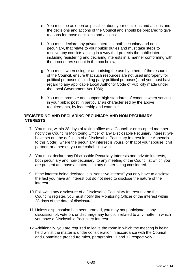- e. You must be as open as possible about your decisions and actions and the decisions and actions of the Council and should be prepared to give reasons for those decisions and actions;
- f. You must declare any private interests, both pecuniary and nonpecuniary, that relate to your public duties and must take steps to resolve any conflicts arising in a way that protects the public interest, including registering and declaring interests in a manner conforming with the procedures set out in the box below;
- g. You must, when using or authorising the use by others of the resources of the Council, ensure that such resources are not used improperly for political purposes (including party political purposes) and you must have regard to any applicable Local Authority Code of Publicity made under the Local Government Act 1986;
- h. You must promote and support high standards of conduct when serving in your public post, in particular as characterised by the above requirements, by leadership and example

### **REGISTERING AND DECLARING PECUNIARY AND NON-PECUNIARY INTERESTS**

- 7. You must, within 28 days of taking office as a Councillor or co-opted member, notify the Council's Monitoring Officer of any Disclosable Pecuniary Interest (we have set out the definition of a Disclosable Pecuniary Interest in the Appendix to this Code), where the pecuniary interest is yours, or that of your spouse, civil partner, or a person you are cohabiting with.
- 8. You must declare any Disclosable Pecuniary Interests and private interests, both pecuniary and non-pecuniary, to any meeting of the Council at which you are present and have an interest in any matter being considered.
- 9. If the interest being declared is a "sensitive interest" you only have to disclose the fact you have an interest but do not need to disclose the nature of the interest.
- 10. Following any disclosure of a Disclosable Pecuniary Interest not on the Council's register, you must notify the Monitoring Officer of the interest within 28 days of the date of disclosure.
- 11. Unless dispensation has been granted, you may not participate in any discussion of, vote on, or discharge any function related to any matter in which you have a Disclosable Pecuniary Interest.
- 12. Additionally, you are required to leave the room in which the meeting is being held whilst the matter is under consideration in accordance with the Council and Committee procedure rules, paragraphs 17 and 12 respectively.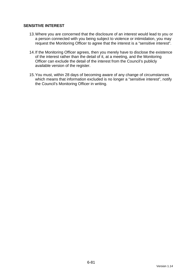## **SENSITIVE INTEREST**

- 13. Where you are concerned that the disclosure of an interest would lead to you or a person connected with you being subject to violence or intimidation, you may request the Monitoring Officer to agree that the interest is a "sensitive interest".
- 14. If the Monitoring Officer agrees, then you merely have to disclose the existence of the interest rather than the detail of it, at a meeting, and the Monitoring Officer can exclude the detail of the interest from the Council's publicly available version of the register.
- 15. You must, within 28 days of becoming aware of any change of circumstances which means that information excluded is no longer a "sensitive interest", notify the Council's Monitoring Officer in writing.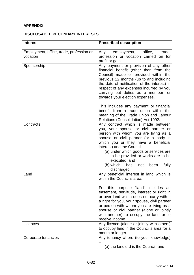# **APPENDIX**

## **DISCLOSABLE PECUNIARY INTERESTS**

| <b>Interest</b>                                      | <b>Prescribed description</b>                                                                                                                                                                                                                                                                                                                                                                               |
|------------------------------------------------------|-------------------------------------------------------------------------------------------------------------------------------------------------------------------------------------------------------------------------------------------------------------------------------------------------------------------------------------------------------------------------------------------------------------|
| Employment, office, trade, profession or<br>vocation | employment, office,<br>trade,<br>Any<br>profession or vocation carried on for<br>profit or gain.                                                                                                                                                                                                                                                                                                            |
| Sponsorship                                          | Any payment or provision of any other<br>financial benefit (other than from the<br>Council) made or provided within the<br>previous 12 months (up to and including<br>the date of notification of the interest) in<br>respect of any expenses incurred by you<br>carrying out duties as a member, or<br>towards your election expenses.                                                                     |
|                                                      | This includes any payment or financial<br>benefit from a trade union within the<br>meaning of the Trade Union and Labour<br>Relations (Consolidation) Act 1992.                                                                                                                                                                                                                                             |
| Contracts                                            | Any contract which is made between<br>you, your spouse or civil partner or<br>person with whom you are living as a<br>spouse or civil partner (or a body in<br>which you or they have a beneficial<br>interest) and the Council<br>(a) under which goods or services are<br>to be provided or works are to be<br>executed; and<br>(b) which<br>fully<br>has<br>been<br>not<br>discharged                    |
| Land                                                 | Any beneficial interest in land which is<br>within the Council's area.<br>For this purpose "land" includes an<br>easement, servitude, interest or right in<br>or over land which does not carry with it<br>a right for you, your spouse, civil partner<br>or person with whom you are living as a<br>spouse or civil partner (alone or jointly<br>with another) to occupy the land or to<br>receive income. |
| Licences                                             | Any licence (alone or jointly with others)<br>to occupy land in the Council's area for a<br>month or longer.                                                                                                                                                                                                                                                                                                |
| Corporate tenancies                                  | Any tenancy where (to your knowledge)<br>(a) the landlord is the Council; and                                                                                                                                                                                                                                                                                                                               |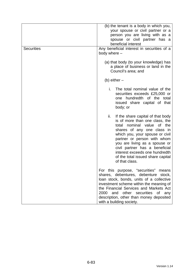| <b>Securities</b> | (b) the tenant is a body in which you,<br>your spouse or civil partner or a<br>person you are living with as a<br>spouse or civil partner has a<br>beneficial interest<br>Any beneficial interest in securities of a<br>body where -                                                                                                                                    |
|-------------------|-------------------------------------------------------------------------------------------------------------------------------------------------------------------------------------------------------------------------------------------------------------------------------------------------------------------------------------------------------------------------|
|                   | (a) that body (to your knowledge) has<br>a place of business or land in the<br>Council's area; and                                                                                                                                                                                                                                                                      |
|                   | (b) either $-$                                                                                                                                                                                                                                                                                                                                                          |
|                   | i.<br>The total nominal value of the<br>securities exceeds £25,000 or<br>one hundredth of the total<br>issued share capital of that<br>body; or                                                                                                                                                                                                                         |
|                   | ii.<br>If the share capital of that body<br>is of more than one class, the<br>total nominal value<br>of the<br>shares of any one class in<br>which you, your spouse or civil<br>partner or person with whom<br>you are living as a spouse or<br>civil partner has a beneficial<br>interest exceeds one hundredth<br>of the total issued share capital<br>of that class. |
|                   | For this purpose, "securities"<br>means<br>shares, debentures, debenture stock,<br>loan stock, bonds, units of a collective<br>investment scheme within the meaning of<br>the Financial Services and Markets Act<br>2000<br>and other securities of<br>any<br>description, other than money deposited<br>with a building society.                                       |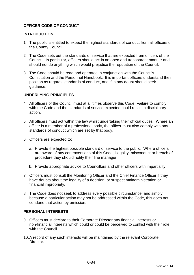## **OFFICER CODE OF CONDUCT**

### **INTRODUCTION**

- 1. The public is entitled to expect the highest standards of conduct from all officers of the County Council.
- 2. The Code sets out the standards of service that are expected from officers of the Council. In particular, officers should act in an open and transparent manner and should not do anything which would prejudice the reputation of the Council.
- 3. The Code should be read and operated in conjunction with the Council's Constitution and the Personnel Handbook. It is important officers understand their position as regards standards of conduct, and if in any doubt should seek guidance.

### **UNDERLYING PRINCIPLES**

- 4. All officers of the Council must at all times observe this Code. Failure to comply with the Code and the standards of service expected could result in disciplinary action.
- 5. All officers must act within the law whilst undertaking their official duties. Where an officer is a member of a professional body, the officer must also comply with any standards of conduct which are set by that body.
- 6. Officers are expected to:
	- a. Provide the highest possible standard of service to the public. Where officers are aware of any contraventions of this Code, illegality, misconduct or breach of procedure they should notify their line manager;
	- b. Provide appropriate advice to Councillors and other officers with impartiality.
- 7. Officers must consult the Monitoring Officer and the Chief Finance Officer if they have doubts about the legality of a decision, or suspect maladministration or financial impropriety.
- 8. The Code does not seek to address every possible circumstance, and simply because a particular action may not be addressed within the Code, this does not condone that action by omission.

#### **PERSONAL INTERESTS**

- 9. Officers must declare to their Corporate Director any financial interests or non-financial interests which could or could be perceived to conflict with their role with the Council.
- 10. A record of any such interests will be maintained by the relevant Corporate **Director**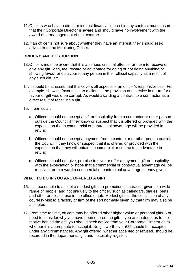- 11. Officers who have a direct or indirect financial interest in any contract must ensure that their Corporate Director is aware and should have no involvement with the award of or management of that contract.
- 12. If an officer is not sure about whether they have an interest, they should seek advice from the Monitoring Officer.

## **BRIBERY AND CORRUPTION**

- 13. Officers must be aware that it is a serious criminal offence for them to receive or give any gift, loan, fee, reward or advantage for doing or not doing anything or showing favour or disfavour to any person in their official capacity as a result of any such gift, etc.
- 14. It should be stressed that this covers all aspects of an officer's responsibilities. For example, showing favouritism to a client in the provision of a service in return for a favour or gift would be corrupt. As would awarding a contract to a contractor as a direct result of receiving a gift.
- 15. In particular:
	- a. Officers should not accept a gift or hospitality from a contractor or other person outside the Council if they know or suspect that it is offered or provided with the expectation that a commercial or contractual advantage will be provided in return;
	- b. Officers should not accept a payment from a contractor or other person outside the Council if they know or suspect that it is offered or provided with the expectation that they will obtain a commercial or contractual advantage in return;
	- c. Officers should not give, promise to give, or offer a payment, gift or hospitality with the expectation or hope that a commercial or contractual advantage will be received, or to reward a commercial or contractual advantage already given.

## **WHAT TO DO IF YOU ARE OFFERED A GIFT**

- 16. It is reasonable to accept a modest gift of a promotional character given to a wide range of people, and not uniquely to the officer, such as calendars, diaries, pens and other articles of use in the office or job. Modest gifts at the conclusion of any courtesy visit to a factory or firm of the sort normally given by that firm may also be accepted.
- 17. From time to time, officers may be offered other higher value or personal gifts. You need to consider why you have been offered the gift. If you are in doubt as to the motive behind the gift, you should seek advice from your Corporate Director as to whether it is appropriate to accept it. No gift worth over £25 should be accepted under any circumstances. Any gift offered, whether accepted or refused, should be recorded in the departmental gift and hospitality register.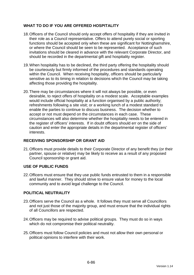## **WHAT TO DO IF YOU ARE OFFERED HOSPITALITY**

- 18. Officers of the Council should only accept offers of hospitality if they are invited in their role as a Council representative. Offers to attend purely social or sporting functions should be accepted only when these are significant for Nottinghamshire, or where the Council should be seen to be represented. Acceptance of such invitations should be cleared in advance with the relevant Corporate Director, and should be recorded in the departmental gift and hospitality register.
- 19. When hospitality has to be declined, the third party offering the hospitality should be courteously but firmly informed of the procedures and standards operating within the Council. When receiving hospitality, officers should be particularly sensitive as to its timing in relation to decisions which the Council may be taking affecting those providing the hospitality.
- 20. There may be circumstances where it will not always be possible, or even desirable, to reject offers of hospitality on a modest scale. Acceptable examples would include official hospitality at a function organised by a public authority; refreshments following a site visit; or a working lunch of a modest standard to enable the parties to continue to discuss business. The decision whether to accept or not must depend on the circumstances in each case. These circumstances will also determine whether the hospitality needs to be entered in the register of officers' interests. If in doubt officers should err on the side of caution and enter the appropriate details in the departmental register of officers' interests.

## **RECEIVING SPONSORSHIP OR GRANT AID**

21. Officers must provide details to their Corporate Director of any benefit they (or their partner, spouse or relative) may be likely to receive as a result of any proposed Council sponsorship or grant aid.

## **USE OF PUBLIC FUNDS**

22. Officers must ensure that they use public funds entrusted to them in a responsible and lawful manner. They should strive to ensure value for money to the local community and to avoid legal challenge to the Council.

## **POLITICAL NEUTRALITY**

- 23. Officers serve the Council as a whole. It follows they must serve all Councillors and not just those of the majority group, and must ensure that the individual rights of all Councillors are respected.
- 24. Officers may be required to advise political groups. They must do so in ways which do not compromise their political neutrality.
- 25. Officers must follow Council policies and must not allow their own personal or political opinions to interfere with their work.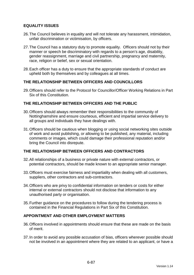## **EQUALITY ISSUES**

- 26. The Council believes in equality and will not tolerate any harassment, intimidation, unfair discrimination or victimisation, by officers.
- 27. The Council has a statutory duty to promote equality. Officers should not by their manner or speech be discriminatory with regards to a person's age, disability, gender reassignment, marriage and civil partnership, pregnancy and maternity, race, religion or belief, sex or sexual orientation.
- 28. Each officer has a duty to ensure that the appropriate standards of conduct are upheld both by themselves and by colleagues at all times.

### **THE RELATIONSHIP BETWEEN OFFICERS AND COUNCILLORS**

29. Officers should refer to the Protocol for Councillor/Officer Working Relations in Part Six of this Constitution.

### **THE RELATIONSHIP BETWEEN OFFICERS AND THE PUBLIC**

- 30. Officers should always remember their responsibilities to the community of Nottinghamshire and ensure courteous, efficient and impartial service delivery to all groups and individuals they have dealings with.
- 31. Officers should be cautious when blogging or using social networking sites outside of work and avoid publishing, or allowing to be published, any material, including comments or images, which could damage their professional reputation and/or bring the Council into disrepute.

### **THE RELATIONSHIP BETWEEN OFFICERS AND CONTRACTORS**

- 32. All relationships of a business or private nature with external contractors, or potential contractors, should be made known to an appropriate senior manager.
- 33. Officers must exercise fairness and impartiality when dealing with all customers, suppliers, other contractors and sub-contractors.
- 34. Officers who are privy to confidential information on tenders or costs for either internal or external contractors should not disclose that information to any unauthorised party or organisation.
- 35. Further guidance on the procedures to follow during the tendering process is contained in the Financial Regulations in Part Six of this Constitution.

#### **APPOINTMENT AND OTHER EMPLOYMENT MATTERS**

- 36. Officers involved in appointments should ensure that these are made on the basis of merit.
- 37. In order to avoid any possible accusation of bias, officers wherever possible should not be involved in an appointment where they are related to an applicant, or have a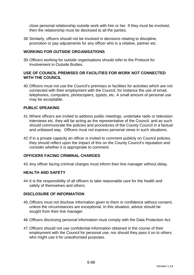close personal relationship outside work with him or her. If they must be involved, then the relationship must be disclosed to all the parties.

38. Similarly, officers should not be involved in decisions relating to discipline, promotion or pay adjustments for any officer who is a relative, partner etc.

### **WORKING FOR OUTSIDE ORGANISATIONS**

39. Officers working for outside organisations should refer to the Protocol for Involvement in Outside Bodies.

### **USE OF COUNCIL PREMISES OR FACILITIES FOR WORK NOT CONNECTED WITH THE COUNCIL**

40. Officers must not use the Council's premises or facilities for activities which are not connected with their employment with the Council, for instance the use of email, telephones, computers, photocopiers, typists, etc. A small amount of personal use may be acceptable.

### **PUBLIC SPEAKING**

- 41. Where officers are invited to address public meetings, undertake radio or television interviews etc, they will be acting as the representative of the Council, and as such should communicate the policies and procedures of the County Council in a factual and unbiased way. Officers must not express personal views in such situations.
- 42. If in a private capacity an officer is invited to comment publicly on Council policies, they should reflect upon the impact of this on the County Council's reputation and consider whether it is appropriate to comment.

### **OFFICERS FACING CRIMINAL CHARGES**

43. Any officer facing criminal charges must inform their line manager without delay.

#### **HEALTH AND SAFETY**

44. It is the responsibility of all officers to take reasonable care for the health and safety of themselves and others.

#### **DISCLOSURE OF INFORMATION**

- 45. Officers must not disclose information given to them in confidence without consent, unless the circumstances are exceptional. In this situation, advice should be sought from their line manager.
- 46. Officers disclosing personal information must comply with the Data Protection Act.
- 47. Officers should not use confidential information obtained in the course of their employment with the Council for personal use, nor should they pass it on to others who might use it for unauthorised purposes.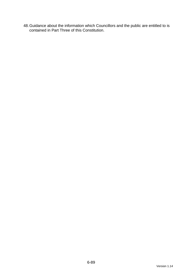48. Guidance about the information which Councillors and the public are entitled to is contained in Part Three of this Constitution.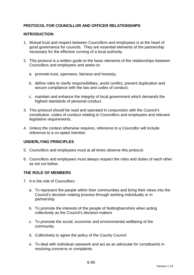## **PROTOCOL FOR COUNCILLOR AND OFFICER RELATIONSHIPS**

### **INTRODUCTION**

- 1. Mutual trust and respect between Councillors and employees is at the heart of good governance for councils. They are essential elements of the partnership necessary for the effective running of a local authority.
- 2. This protocol is a written guide to the basic elements of the relationships between Councillors and employees and seeks to:
	- a. promote trust, openness, fairness and honesty;
	- b. define roles to clarify responsibilities, avoid conflict, prevent duplication and secure compliance with the law and codes of conduct;
	- c. maintain and enhance the integrity of local government which demands the highest standards of personal conduct.
- 3. This protocol should be read and operated in conjunction with the Council's constitution, codes of conduct relating to Councillors and employees and relevant legislative requirements.
- 4. Unless the context otherwise requires, reference to a Councillor will include reference to a co-opted member.

## **UNDERLYING PRINCIPLES**

- 5. Councillors and employees must at all times observe this protocol.
- 6. Councillors and employees must always respect the roles and duties of each other as set out below.

#### **THE ROLE OF MEMBERS**

- 7. It is the role of Councillors:
	- a. To represent the people within their communities and bring their views into the Council's decision making process through working individually or in partnership
	- b. To promote the interests of the people of Nottinghamshire when acting collectively as the Council's decision-makers
	- c. To promote the social, economic and environmental wellbeing of the community.
	- d. Collectively to agree the policy of the County Council
	- e. To deal with individual casework and act as an advocate for constituents in resolving concerns or complaints.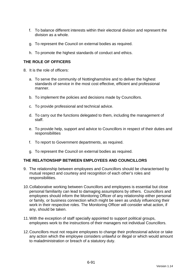- f. To balance different interests within their electoral division and represent the division as a whole.
- g. To represent the Council on external bodies as required.
- h. To promote the highest standards of conduct and ethics.

## **THE ROLE OF OFFICERS**

- 8. It is the role of officers:
	- a. To serve the community of Nottinghamshire and to deliver the highest standards of service in the most cost effective, efficient and professional manner.
	- b. To implement the policies and decisions made by Councillors.
	- c. To provide professional and technical advice.
	- d. To carry out the functions delegated to them, including the management of staff.
	- e. To provide help, support and advice to Councillors in respect of their duties and responsibilities
	- f. To report to Government departments, as required.
	- g. To represent the Council on external bodies as required.

#### **THE RELATIONSHIP BETWEEN EMPLOYEES AND COUNCILLORS**

- 9. The relationship between employees and Councillors should be characterised by mutual respect and courtesy and recognition of each other's roles and responsibilities.
- 10. Collaborative working between Councillors and employees is essential but close personal familiarity can lead to damaging assumptions by others. Councillors and employees should inform the Monitoring Officer of any relationship either personal or family, or business connection which might be seen as unduly influencing their work in their respective roles. The Monitoring Officer will consider what action, if any, should be taken.
- 11. With the exception of staff specially appointed to support political groups, employees work to the instructions of their managers not individual Councillors.
- 12. Councillors must not require employees to change their professional advice or take any action which the employee considers unlawful or illegal or which would amount to maladministration or breach of a statutory duty.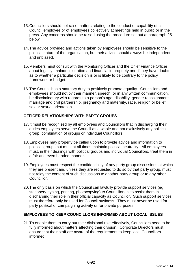- 13. Councillors should not raise matters relating to the conduct or capability of a Council employee or of employees collectively at meetings held in public or in the press. Any concerns should be raised using the procedure set out at paragraph 25 below.
- 14. The advice provided and actions taken by employees should be sensitive to the political nature of the organisation, but their advice should always be independent and unbiased.
- 15. Members must consult with the Monitoring Officer and the Chief Finance Officer about legality, maladministration and financial impropriety and if they have doubts as to whether a particular decision is or is likely to be contrary to the policy framework or budget.
- 16. The Council has a statutory duty to positively promote equality. Councillors and employees should not by their manner, speech, or in any written communication, be discriminatory with regards to a person's age, disability, gender reassignment, marriage and civil partnership, pregnancy and maternity, race, religion or belief, sex or sexual orientation.

## **OFFICER RELATIONSHIPS WITH PARTY GROUPS**

- 17. It must be recognised by all employees and Councillors that in discharging their duties employees serve the Council as a whole and not exclusively any political group, combination of groups or individual Councillors.
- 18. Employees may properly be called upon to provide advice and information to political groups but must at all times maintain political neutrality. All employees must, in their dealings with political groups and individual Councillors, treat them in a fair and even handed manner.
- 19. Employees must respect the confidentiality of any party group discussions at which they are present and unless they are requested to do so by that party group, must not relay the content of such discussions to another party group or to any other Councillor.
- 20. The only basis on which the Council can lawfully provide support services (eg stationery, typing, printing, photocopying) to Councillors is to assist them in discharging their role in their official capacity as Councillor. Such support services must therefore only be used for Council business. They must never be used for party political or campaigning activity or for private purposes.

## **EMPLOYEES TO KEEP COUNCILLORS INFORMED ABOUT LOCAL ISSUES**

21. To enable them to carry out their divisional role effectively, Councillors need to be fully informed about matters affecting their division. Corporate Directors must ensure that their staff are aware of the requirement to keep local Councillors informed.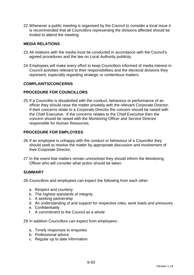22. Whenever a public meeting is organised by the Council to consider a local issue it is recommended that all Councillors representing the divisions affected should be invited to attend the meeting.

### **MEDIA RELATIONS**

- 23. All relations with the media must be conducted in accordance with the Council's agreed procedures and the law on Local Authority publicity.
- 24. Employees will make every effort to keep Councillors informed of media interest in Council activities relevant to their responsibilities and the electoral divisions they represent, especially regarding strategic or contentious matters.

#### **COMPLAINTS/CONCERNS**

### **PROCEDURE FOR COUNCILLORS**

25. If a Councillor is dissatisfied with the conduct, behaviour or performance of an officer they should raise the matter privately with the relevant Corporate Director. If their concerns relate to a Corporate Director the concern should be raised with the Chief Executive. If the concerns relates to the Chief Executive then the concern should be raised with the Monitoring Officer and Service Director responsible for Human Resources.

### **PROCEDURE FOR EMPLOYEES**

- 26. If an employee is unhappy with the conduct or behaviour of a Councillor they should seek to resolve the matter by appropriate discussion and involvement of their Corporate Director.
- 27. In the event that matters remain unresolved they should inform the Monitoring Officer who will consider what action should be taken.

#### **SUMMARY**

28. Councillors and employees can expect the following from each other:

- a. Respect and courtesy
- b. The highest standards of integrity
- c. A working partnership
- d. An understanding of and support for respective roles, work loads and pressures
- e. Confidentiality
- f. A commitment to the Council as a whole

29. In addition Councillors can expect from employees:

- a. Timely responses to enquiries
- b. Professional advice
- c. Regular up to date information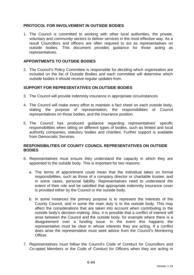## **PROTOCOL FOR INVOLVEMENT IN OUTSIDE BODIES**

1. The Council is committed to working with other local authorities, the private, voluntary and community sectors to deliver services in the most effective way. As a result Councillors and officers are often required to act as representatives on outside bodies. This document provides guidance for those acting as representatives.

### **APPOINTMENTS TO OUTSIDE BODIES**

2. The Council's Policy Committee is responsible for deciding which organisation are included on the list of Outside Bodies and each committee will determine which outside bodies it should receive regular updates from.

#### **SUPPORT FOR REPRESENTATIVES ON OUTSIDE BODIES**

- 3. The Council will provide indemnity insurance in appropriate circumstances.
- 4. The Council will make every effort to maintain a fact sheet on each outside body, stating the purpose of representation, the responsibilities of Council representatives on those bodies, and the insurance position.
- 5. The Council has produced guidance regarding representatives' specific responsibilities when sitting on different types of bodies, such as limited and local authority companies, statutory bodies and charities. Further support is available from Democratic Services.

### **RESPONSIBILITIES OF COUNTY COUNCIL REPRESENTATIVES ON OUTSIDE BODIES**

- 6. Representatives must ensure they understand the capacity in which they are appointed to the outside body. This is important for two reasons:
	- a. The terms of appointment could mean that the individual takes on formal responsibilities, such as those of a company director or charitable trustee, and in some cases, personal liability. Representatives need to understand the extent of their role and be satisfied that appropriate indemnity insurance cover is provided either by the Council or the outside body.
	- b. In some instances the primary purpose is to represent the interests of the County Council, and in some the main duty is to the outside body. This may affect the considerations that are taken into account when contributing to the outside body's decision-making. Also, it is possible that a conflict of interest will arise between the Council and the outside body, for example where there is a disagreement over a funding issue. In the event this happens the representative must be clear in whose interests they are acting. If a conflict does arise the representative must seek advice from the Council's Monitoring Officer.
- 7. Representatives must follow the Council's Code of Conduct for Councillors and Co-opted Members or the Code of Conduct for Officers when they are acting in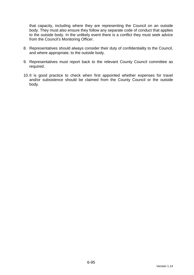that capacity, including where they are representing the Council on an outside body. They must also ensure they follow any separate code of conduct that applies to the outside body. In the unlikely event there is a conflict they must seek advice from the Council's Monitoring Officer.

- 8. Representatives should always consider their duty of confidentiality to the Council, and where appropriate, to the outside body.
- 9. Representatives must report back to the relevant County Council committee as required.
- 10. It is good practice to check when first appointed whether expenses for travel and/or subsistence should be claimed from the County Council or the outside body.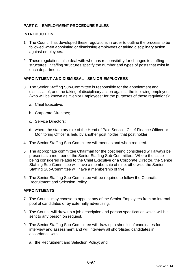## **PART C – EMPLOYMENT PROCEDURE RULES**

### **INTRODUCTION**

- 1. The Council has developed these regulations in order to outline the process to be followed when appointing or dismissing employees or taking disciplinary action against employees.
- 2. These regulations also deal with who has responsibility for changes to staffing structures. Staffing structures specify the number and types of posts that exist in each department.

### **APPOINTMENT AND DISMISSAL - SENIOR EMPLOYEES**

- 3. The Senior Staffing Sub-Committee is responsible for the appointment and dismissal of, and the taking of disciplinary action against, the following employees (who will be known as "Senior Employees" for the purposes of these regulations):
	- a. Chief Executive;
	- b. Corporate Directors;
	- c. Service Directors;
	- d. where the statutory role of the Head of Paid Service, Chief Finance Officer or Monitoring Officer is held by another post holder, that post holder.
- 4. The Senior Staffing Sub-Committee will meet as and when required.
- 5. The appropriate committee Chairman for the post being considered will always be present as a member of the Senior Staffing Sub-Committee. Where the issue being considered relates to the Chief Executive or a Corporate Director, the Senior Staffing Sub-Committee will have a membership of nine; otherwise the Senior Staffing Sub-Committee will have a membership of five.
- 6. The Senior Staffing Sub-Committee will be required to follow the Council's Recruitment and Selection Policy.

## **APPOINTMENTS**

- 7. The Council may choose to appoint any of the Senior Employees from an internal pool of candidates or by externally advertising.
- 8. The Council will draw up a job description and person specification which will be sent to any person on request.
- 9. The Senior Staffing Sub-Committee will draw up a shortlist of candidates for interview and assessment and will interview all short-listed candidates in accordance with:
	- a. the Recruitment and Selection Policy; and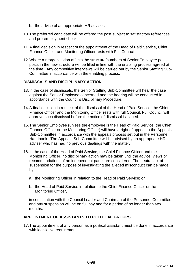- b. the advice of an appropriate HR advisor.
- 10. The preferred candidate will be offered the post subject to satisfactory references and pre-employment checks.
- 11. A final decision in respect of the appointment of the Head of Paid Service, Chief Finance Officer and Monitoring Officer rests with Full Council.
- 12. Where a reorganisation affects the structure/numbers of Senior Employee posts, posts in the new structure will be filled in line with the enabling process agreed at the time. Any competitive interviews will be carried out by the Senior Staffing Sub-Committee in accordance with the enabling process.

#### **DISMISSALS AND DISCIPLINARY ACTION**

- 13. In the case of dismissals, the Senior Staffing Sub-Committee will hear the case against the Senior Employee concerned and the hearing will be conducted in accordance with the Council's Disciplinary Procedure.
- 14. A final decision in respect of the dismissal of the Head of Paid Service, the Chief Finance Officer and the Monitoring Officer rests with full Council. Full Council will approve such dismissal before the notice of dismissal is issued.
- 15. The Senior Employee (unless the employee is the Head of Paid Service, the Chief Finance Officer or the Monitoring Officer) will have a right of appeal to the Appeals Sub-Committee in accordance with the appeals process set out in the Personnel Handbook. The Appeals Sub-Committee will be advised by an appropriate HR adviser who has had no previous dealings with the matter.
- 16. In the case of the Head of Paid Service, the Chief Finance Officer and the Monitoring Officer, no disciplinary action may be taken until the advice, views or recommendations of an independent panel are considered. The neutral act of suspension for the purpose of investigating the alleged misconduct can be made by:
	- a. the Monitoring Officer in relation to the Head of Paid Service; or
	- b. the Head of Paid Service in relation to the Chief Finance Officer or the Monitoring Officer,

in consultation with the Council Leader and Chairman of the Personnel Committee and any suspension will be on full pay and for a period of no longer than two months.

### **APPOINTMENT OF ASSISTANTS TO POLITICAL GROUPS**

17. The appointment of any person as a political assistant must be done in accordance with legislative requirements.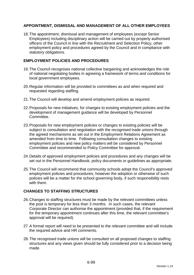## **APPOINTMENT, DISMISSAL AND MANAGEMENT OF ALL OTHER EMPLOYEES**

18. The appointment, dismissal and management of employees (except Senior Employees) including disciplinary action will be carried out by properly authorised officers of the Council in line with the Recruitment and Selection Policy, other employment policy and procedures agreed by the Council and in compliance with statutory obligations.

## **EMPLOYMENT POLICIES AND PROCEDURES**

- 19. The Council recognises national collective bargaining and acknowledges the role of national negotiating bodies in agreeing a framework of terms and conditions for local government employees.
- 20. Regular information will be provided to committees as and when required and requested regarding staffing.
- 21. The Council will develop and amend employment policies as required.
- 22. Proposals for new initiatives, for changes to existing employment policies and the development of management guidance will be developed by Personnel Committee.
- 23. Proposals for new employment policies or changes to existing policies will be subject to consultation and negotiation with the recognised trade unions through the agreed mechanisms as set out in the Employment Relations Agreement as amended from time to time. Following consultation changes to existing employment policies and new policy matters will be considered by Personnel Committee and recommended to Policy Committee for approval.
- 24. Details of approved employment policies and procedures and any changes will be set out in the Personnel Handbook, policy documents or guidelines as appropriate.
- 25. The Council will recommend that community schools adopt the Council's approved employment policies and procedures; however the adoption or otherwise of such policies will be a matter for the school governing body, if such responsibility rests with them.

## **CHANGES TO STAFFING STRUCTURES**

- 26. Changes to staffing structures must be made by the relevant committees unless the post is temporary for less than 3 months. In such cases, the relevant Corporate Director can authorise the appointment (provided that, if the requirement for the temporary appointment continues after this time, the relevant committee's approval will be required).
- 27. A formal report will need to be presented to the relevant committee and will include the required advice and HR comments.
- 28. The recognised trade unions will be consulted on all proposed changes to staffing structures and any views given should be fully considered prior to a decision being made.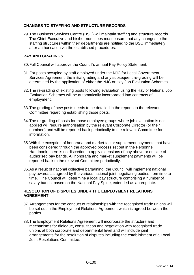## **CHANGES TO STAFFING AND STRUCTURE RECORDS**

29. The Business Services Centre (BSC) will maintain staffing and structure records. The Chief Executive and his/her nominees must ensure that any changes to the staffing structures within their departments are notified to the BSC immediately after authorisation via the established procedures.

## **PAY AND GRADINGS**

- 30. Full Council will approve the Council's annual Pay Policy Statement.
- 31. For posts occupied by staff employed under the NJC for Local Government Services Agreement, the initial grading and any subsequent re-grading will be determined by the application of either the NJC or Hay Job Evaluation Schemes.
- 32. The re-grading of existing posts following evaluation using the Hay or National Job Evaluation Schemes will be automatically incorporated into contracts of employment.
- 33. The grading of new posts needs to be detailed in the reports to the relevant Committee regarding establishing those posts.
- 34. The re-grading of posts for those employee groups where job evaluation is not applied will require authorisation by the relevant Corporate Director (or their nominee) and will be reported back periodically to the relevant Committee for information.
- 35. With the exception of honoraria and market factor supplement payments that have been considered through the approved process set out in the Personnel Handbook, there is no discretion to apply extensions of pay above or outside of authorised pay bands. All honoraria and market supplement payments will be reported back to the relevant Committee periodically.
- 36. As a result of national collective bargaining, the Council will implement national pay awards as agreed by the various national joint negotiating bodies from time to time. The Council will determine a local pay structure comprising a number of salary bands, based on the National Pay Spine, extended as appropriate.

## **RESOLUTION OF DISPUTES UNDER THE EMPLOYMENT RELATIONS AGREEMENT**

- 37. Arrangements for the conduct of relationships with the recognised trade unions will be set out in the Employment Relations Agreement which is agreed between the parties.
- 38. The Employment Relations Agreement will incorporate the structure and mechanisms for dialogue, consultation and negotiation with recognised trade unions at both corporate and departmental level and will include joint arrangements for the resolution of disputes including the establishment of a Local Joint Resolutions Committee.